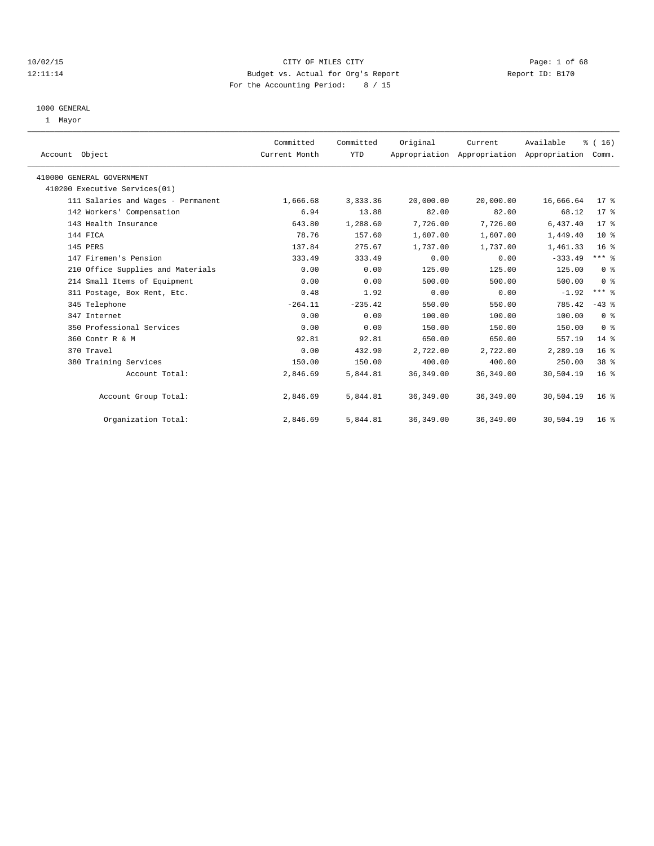## 10/02/15 CITY OF MILES CITY Page: 1 of 68 12:11:14 Budget vs. Actual for Org's Report Report ID: B170 For the Accounting Period: 8 / 15

#### 1000 GENERAL

1 Mayor

| Account Object                     | Committed<br>Current Month | Committed<br><b>YTD</b> | Original   | Current    | Available<br>Appropriation Appropriation Appropriation | $\frac{1}{6}$ ( 16 )<br>Comm. |  |
|------------------------------------|----------------------------|-------------------------|------------|------------|--------------------------------------------------------|-------------------------------|--|
| 410000 GENERAL GOVERNMENT          |                            |                         |            |            |                                                        |                               |  |
| 410200 Executive Services(01)      |                            |                         |            |            |                                                        |                               |  |
| 111 Salaries and Wages - Permanent | 1,666.68                   | 3,333.36                | 20,000.00  | 20,000.00  | 16,666.64                                              | $17$ %                        |  |
| 142 Workers' Compensation          | 6.94                       | 13.88                   | 82.00      | 82.00      | 68.12                                                  | 17.8                          |  |
| 143 Health Insurance               | 643.80                     | 1,288.60                | 7,726.00   | 7,726.00   | 6,437.40                                               | $17*$                         |  |
| 144 FICA                           | 78.76                      | 157.60                  | 1,607.00   | 1,607.00   | 1,449.40                                               | 10 <sup>8</sup>               |  |
| 145 PERS                           | 137.84                     | 275.67                  | 1,737.00   | 1,737.00   | 1,461.33                                               | 16 <sup>8</sup>               |  |
| 147 Firemen's Pension              | 333.49                     | 333.49                  | 0.00       | 0.00       | $-333.49$                                              | $***$ $-$                     |  |
| 210 Office Supplies and Materials  | 0.00                       | 0.00                    | 125.00     | 125.00     | 125.00                                                 | 0 <sup>8</sup>                |  |
| 214 Small Items of Equipment       | 0.00                       | 0.00                    | 500.00     | 500.00     | 500.00                                                 | 0 <sup>8</sup>                |  |
| 311 Postage, Box Rent, Etc.        | 0.48                       | 1.92                    | 0.00       | 0.00       | $-1.92$                                                | $***$ $-$                     |  |
| 345 Telephone                      | $-264.11$                  | $-235.42$               | 550.00     | 550.00     | 785.42                                                 | $-43$ %                       |  |
| 347 Internet                       | 0.00                       | 0.00                    | 100.00     | 100.00     | 100.00                                                 | 0 <sup>8</sup>                |  |
| 350 Professional Services          | 0.00                       | 0.00                    | 150.00     | 150.00     | 150.00                                                 | 0 <sup>8</sup>                |  |
| 360 Contr R & M                    | 92.81                      | 92.81                   | 650.00     | 650.00     | 557.19                                                 | $14*$                         |  |
| 370 Travel                         | 0.00                       | 432.90                  | 2,722.00   | 2,722.00   | 2,289.10                                               | 16 <sup>°</sup>               |  |
| 380 Training Services              | 150.00                     | 150.00                  | 400.00     | 400.00     | 250.00                                                 | 38 <sup>8</sup>               |  |
| Account Total:                     | 2,846.69                   | 5,844.81                | 36, 349.00 | 36, 349.00 | 30,504.19                                              | 16 <sup>°</sup>               |  |
| Account Group Total:               | 2,846.69                   | 5,844.81                | 36,349.00  | 36, 349.00 | 30,504.19                                              | 16 <sup>8</sup>               |  |
| Organization Total:                | 2,846.69                   | 5,844.81                | 36, 349.00 | 36, 349.00 | 30,504.19                                              | 16 <sup>8</sup>               |  |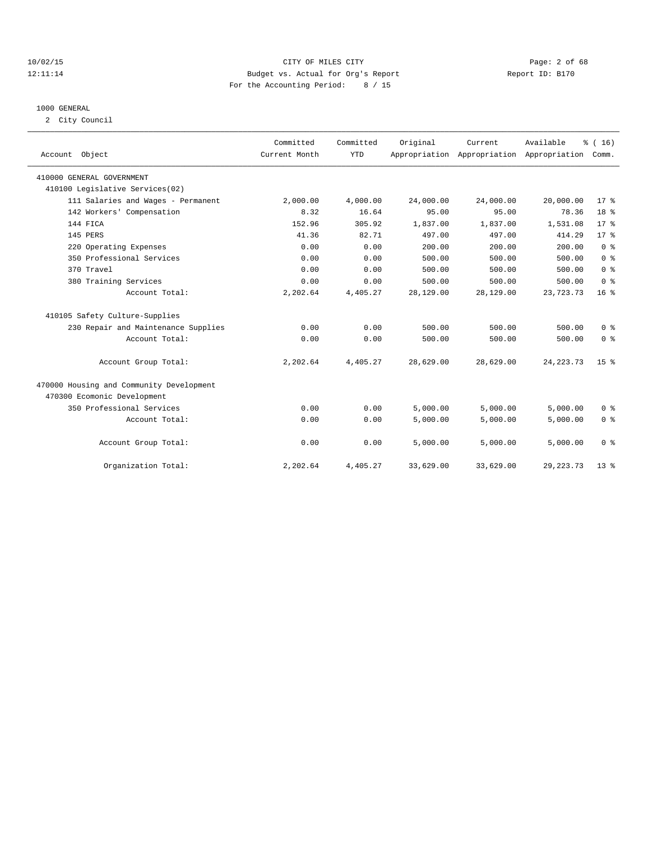## 10/02/15 CITY OF MILES CITY Page: 2 of 68 12:11:14 Budget vs. Actual for Org's Report Report ID: B170 For the Accounting Period: 8 / 15

## 1000 GENERAL

2 City Council

| Account Object                           | Committed<br>Current Month | Committed<br><b>YTD</b> | Original  | Current   | Available<br>Appropriation Appropriation Appropriation | % (16)<br>Comm. |
|------------------------------------------|----------------------------|-------------------------|-----------|-----------|--------------------------------------------------------|-----------------|
| 410000 GENERAL GOVERNMENT                |                            |                         |           |           |                                                        |                 |
| 410100 Legislative Services(02)          |                            |                         |           |           |                                                        |                 |
| 111 Salaries and Wages - Permanent       | 2,000.00                   | 4,000.00                | 24,000.00 | 24,000.00 | 20,000.00                                              | 17 <sup>8</sup> |
| 142 Workers' Compensation                | 8.32                       | 16.64                   | 95.00     | 95.00     | 78.36                                                  | 18 %            |
| 144 FICA                                 | 152.96                     | 305.92                  | 1,837.00  | 1,837.00  | 1,531.08                                               | $17*$           |
| 145 PERS                                 | 41.36                      | 82.71                   | 497.00    | 497.00    | 414.29                                                 | $17*$           |
| 220 Operating Expenses                   | 0.00                       | 0.00                    | 200.00    | 200.00    | 200.00                                                 | 0 <sup>8</sup>  |
| 350 Professional Services                | 0.00                       | 0.00                    | 500.00    | 500.00    | 500.00                                                 | 0 <sup>8</sup>  |
| 370 Travel                               | 0.00                       | 0.00                    | 500.00    | 500.00    | 500.00                                                 | 0 <sup>8</sup>  |
| 380 Training Services                    | 0.00                       | 0.00                    | 500.00    | 500.00    | 500.00                                                 | 0 <sup>8</sup>  |
| Account Total:                           | 2,202.64                   | 4,405.27                | 28,129.00 | 28,129.00 | 23,723.73                                              | 16 <sup>8</sup> |
| 410105 Safety Culture-Supplies           |                            |                         |           |           |                                                        |                 |
| 230 Repair and Maintenance Supplies      | 0.00                       | 0.00                    | 500.00    | 500.00    | 500.00                                                 | 0 <sup>8</sup>  |
| Account Total:                           | 0.00                       | 0.00                    | 500.00    | 500.00    | 500.00                                                 | 0 <sup>8</sup>  |
| Account Group Total:                     | 2,202.64                   | 4,405.27                | 28,629.00 | 28,629.00 | 24, 223. 73                                            | 15 <sub>8</sub> |
| 470000 Housing and Community Development |                            |                         |           |           |                                                        |                 |
| 470300 Ecomonic Development              |                            |                         |           |           |                                                        |                 |
| 350 Professional Services                | 0.00                       | 0.00                    | 5,000.00  | 5,000.00  | 5,000.00                                               | 0 <sup>8</sup>  |
| Account Total:                           | 0.00                       | 0.00                    | 5,000.00  | 5,000.00  | 5.000.00                                               | 0 <sup>8</sup>  |
| Account Group Total:                     | 0.00                       | 0.00                    | 5,000.00  | 5,000.00  | 5,000.00                                               | 0 <sup>8</sup>  |
| Organization Total:                      | 2,202.64                   | 4,405.27                | 33,629.00 | 33,629.00 | 29, 223. 73                                            | 13 <sup>8</sup> |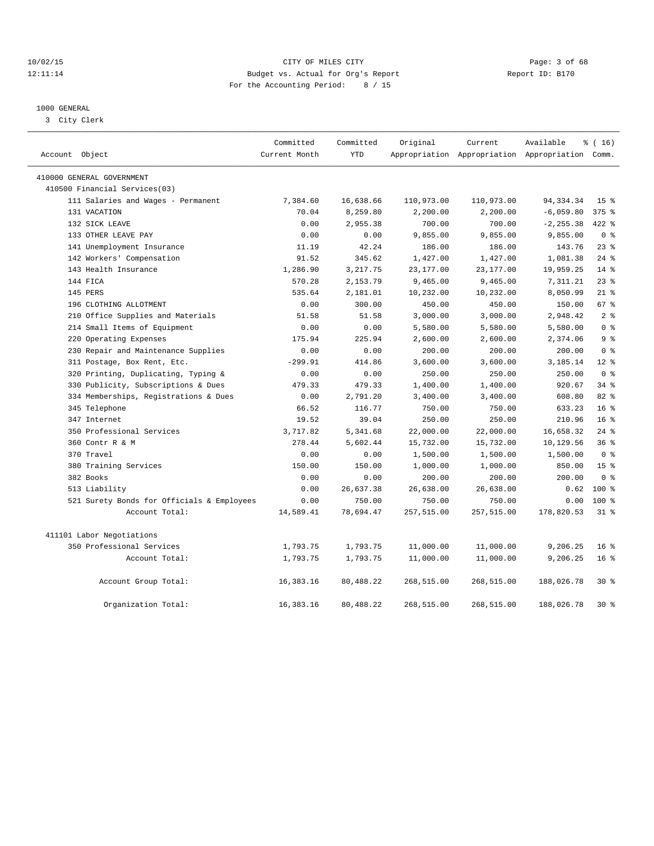## 10/02/15 CITY OF MILES CITY Page: 3 of 68 12:11:14 Budget vs. Actual for Org's Report Report ID: B170 For the Accounting Period: 8 / 15

## 1000 GENERAL

3 City Clerk

| Account Object                             | Committed<br>Current Month | Committed<br><b>YTD</b> | Original   | Current    | Available<br>Appropriation Appropriation Appropriation Comm. | % (16)          |
|--------------------------------------------|----------------------------|-------------------------|------------|------------|--------------------------------------------------------------|-----------------|
|                                            |                            |                         |            |            |                                                              |                 |
| 410000 GENERAL GOVERNMENT                  |                            |                         |            |            |                                                              |                 |
| 410500 Financial Services(03)              |                            |                         |            |            |                                                              |                 |
| 111 Salaries and Wages - Permanent         | 7,384.60                   | 16,638.66               | 110,973.00 | 110,973.00 | 94, 334. 34                                                  | 15 <sup>°</sup> |
| 131 VACATION                               | 70.04                      | 8,259.80                | 2,200.00   | 2,200.00   | $-6,059.80$                                                  | $375$ $%$       |
| 132 SICK LEAVE                             | 0.00                       | 2,955.38                | 700.00     | 700.00     | $-2, 255.38$                                                 | $422$ %         |
| 133 OTHER LEAVE PAY                        | 0.00                       | 0.00                    | 9,855.00   | 9,855.00   | 9,855.00                                                     | 0 <sup>8</sup>  |
| 141 Unemployment Insurance                 | 11.19                      | 42.24                   | 186.00     | 186.00     | 143.76                                                       | 23%             |
| 142 Workers' Compensation                  | 91.52                      | 345.62                  | 1,427.00   | 1,427.00   | 1,081.38                                                     | $24$ %          |
| 143 Health Insurance                       | 1,286.90                   | 3, 217.75               | 23,177.00  | 23,177.00  | 19,959.25                                                    | $14*$           |
| 144 FICA                                   | 570.28                     | 2,153.79                | 9,465.00   | 9,465.00   | 7,311.21                                                     | $23$ $%$        |
| 145 PERS                                   | 535.64                     | 2,181.01                | 10,232.00  | 10,232.00  | 8,050.99                                                     | $21$ %          |
| 196 CLOTHING ALLOTMENT                     | 0.00                       | 300.00                  | 450.00     | 450.00     | 150.00                                                       | 67 %            |
| 210 Office Supplies and Materials          | 51.58                      | 51.58                   | 3,000.00   | 3,000.00   | 2,948.42                                                     | 2 <sub>8</sub>  |
| 214 Small Items of Equipment               | 0.00                       | 0.00                    | 5,580.00   | 5,580.00   | 5,580.00                                                     | 0 <sup>8</sup>  |
| 220 Operating Expenses                     | 175.94                     | 225.94                  | 2,600.00   | 2,600.00   | 2,374.06                                                     | 9 <sup>8</sup>  |
| 230 Repair and Maintenance Supplies        | 0.00                       | 0.00                    | 200.00     | 200.00     | 200.00                                                       | 0 <sup>8</sup>  |
| 311 Postage, Box Rent, Etc.                | $-299.91$                  | 414.86                  | 3,600.00   | 3,600.00   | 3,185.14                                                     | $12*$           |
| 320 Printing, Duplicating, Typing &        | 0.00                       | 0.00                    | 250.00     | 250.00     | 250.00                                                       | 0 <sup>8</sup>  |
| 330 Publicity, Subscriptions & Dues        | 479.33                     | 479.33                  | 1,400.00   | 1,400.00   | 920.67                                                       | $34$ $%$        |
| 334 Memberships, Registrations & Dues      | 0.00                       | 2,791.20                | 3,400.00   | 3,400.00   | 608.80                                                       | 82%             |
| 345 Telephone                              | 66.52                      | 116.77                  | 750.00     | 750.00     | 633.23                                                       | 16 <sup>8</sup> |
| 347 Internet                               | 19.52                      | 39.04                   | 250.00     | 250.00     | 210.96                                                       | 16 <sup>8</sup> |
| 350 Professional Services                  | 3,717.82                   | 5,341.68                | 22,000.00  | 22,000.00  | 16,658.32                                                    | $24$ %          |
| 360 Contr R & M                            | 278.44                     | 5,602.44                | 15,732.00  | 15,732.00  | 10,129.56                                                    | 36%             |
| 370 Travel                                 | 0.00                       | 0.00                    | 1,500.00   | 1,500.00   | 1,500.00                                                     | 0 <sup>8</sup>  |
| 380 Training Services                      | 150.00                     | 150.00                  | 1,000.00   | 1,000.00   | 850.00                                                       | 15 <sup>8</sup> |
| 382 Books                                  | 0.00                       | 0.00                    | 200.00     | 200.00     | 200.00                                                       | 0 <sup>8</sup>  |
| 513 Liability                              | 0.00                       | 26,637.38               | 26,638.00  | 26,638.00  | 0.62                                                         | 100 %           |
| 521 Surety Bonds for Officials & Employees | 0.00                       | 750.00                  | 750.00     | 750.00     | 0.00                                                         | $100*$          |
| Account Total:                             | 14,589.41                  | 78,694.47               | 257,515.00 | 257,515.00 | 178,820.53                                                   | $31$ %          |
|                                            |                            |                         |            |            |                                                              |                 |
| 411101 Labor Negotiations                  |                            |                         |            |            |                                                              |                 |
| 350 Professional Services                  | 1,793.75                   | 1,793.75                | 11,000.00  | 11,000.00  | 9,206.25                                                     | 16 <sup>8</sup> |
| Account Total:                             | 1,793.75                   | 1,793.75                | 11,000.00  | 11,000.00  | 9,206.25                                                     | 16 <sup>°</sup> |
| Account Group Total:                       | 16,383.16                  | 80,488.22               | 268,515.00 | 268,515.00 | 188,026.78                                                   | $30*$           |
| Organization Total:                        | 16, 383. 16                | 80,488.22               | 268,515.00 | 268,515.00 | 188,026.78                                                   | $30*$           |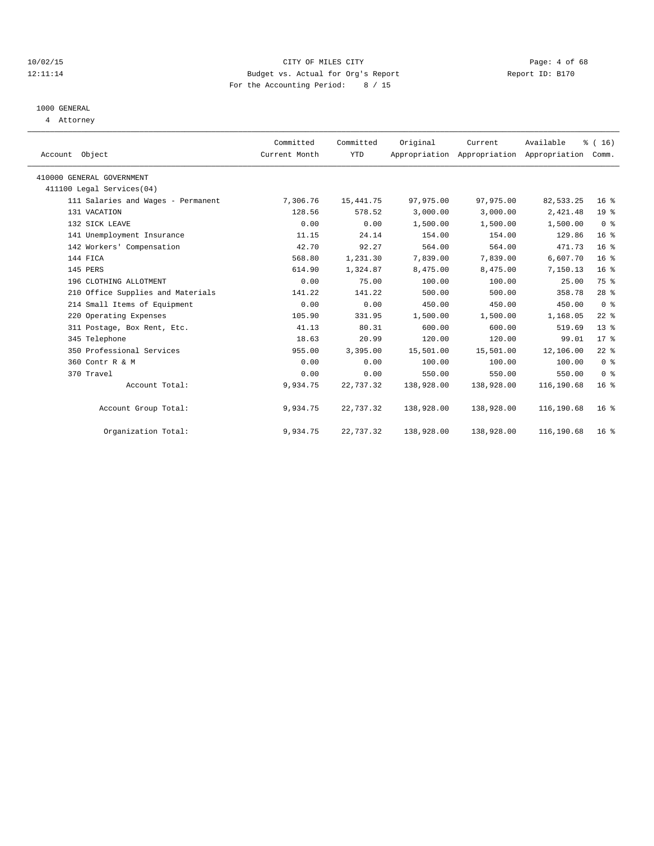## 10/02/15 CITY OF MILES CITY Page: 4 of 68 12:11:14 Budget vs. Actual for Org's Report Report ID: B170 For the Accounting Period: 8 / 15

## 1000 GENERAL

4 Attorney

| Account Object                     | Committed<br>Current Month | Committed<br><b>YTD</b> | Original   | Current<br>Appropriation Appropriation Appropriation | Available  | $\frac{1}{6}$ ( 16 )<br>Comm. |
|------------------------------------|----------------------------|-------------------------|------------|------------------------------------------------------|------------|-------------------------------|
| 410000 GENERAL GOVERNMENT          |                            |                         |            |                                                      |            |                               |
| 411100 Legal Services(04)          |                            |                         |            |                                                      |            |                               |
| 111 Salaries and Wages - Permanent | 7,306.76                   | 15, 441.75              | 97,975.00  | 97,975.00                                            | 82, 533.25 | 16 <sup>8</sup>               |
| 131 VACATION                       | 128.56                     | 578.52                  | 3,000.00   | 3,000.00                                             | 2,421.48   | 19 <sup>°</sup>               |
| 132 SICK LEAVE                     | 0.00                       | 0.00                    | 1,500.00   | 1,500.00                                             | 1,500.00   | 0 <sup>8</sup>                |
| 141 Unemployment Insurance         | 11.15                      | 24.14                   | 154.00     | 154.00                                               | 129.86     | 16 <sup>°</sup>               |
| 142 Workers' Compensation          | 42.70                      | 92.27                   | 564.00     | 564.00                                               | 471.73     | 16 <sup>°</sup>               |
| 144 FICA                           | 568.80                     | 1,231.30                | 7,839.00   | 7,839.00                                             | 6,607.70   | 16 <sup>8</sup>               |
| 145 PERS                           | 614.90                     | 1,324.87                | 8,475.00   | 8,475.00                                             | 7,150.13   | 16 <sup>°</sup>               |
| 196 CLOTHING ALLOTMENT             | 0.00                       | 75.00                   | 100.00     | 100.00                                               | 25.00      | 75 %                          |
| 210 Office Supplies and Materials  | 141.22                     | 141.22                  | 500.00     | 500.00                                               | 358.78     | 28 <sup>8</sup>               |
| 214 Small Items of Equipment       | 0.00                       | 0.00                    | 450.00     | 450.00                                               | 450.00     | 0 <sup>8</sup>                |
| 220 Operating Expenses             | 105.90                     | 331.95                  | 1,500.00   | 1,500.00                                             | 1,168.05   | $22$ %                        |
| 311 Postage, Box Rent, Etc.        | 41.13                      | 80.31                   | 600.00     | 600.00                                               | 519.69     | 13 <sup>°</sup>               |
| 345 Telephone                      | 18.63                      | 20.99                   | 120.00     | 120.00                                               | 99.01      | 17 <sup>8</sup>               |
| 350 Professional Services          | 955.00                     | 3,395.00                | 15,501.00  | 15,501.00                                            | 12,106.00  | $22$ %                        |
| 360 Contr R & M                    | 0.00                       | 0.00                    | 100.00     | 100.00                                               | 100.00     | 0 <sup>8</sup>                |
| 370 Travel                         | 0.00                       | 0.00                    | 550.00     | 550.00                                               | 550.00     | 0 <sup>8</sup>                |
| Account Total:                     | 9,934.75                   | 22,737.32               | 138,928.00 | 138,928.00                                           | 116,190.68 | 16 <sup>8</sup>               |
| Account Group Total:               | 9,934.75                   | 22,737.32               | 138,928.00 | 138,928.00                                           | 116,190.68 | 16 <sup>8</sup>               |
| Organization Total:                | 9,934.75                   | 22,737.32               | 138,928.00 | 138,928.00                                           | 116,190.68 | 16 <sup>8</sup>               |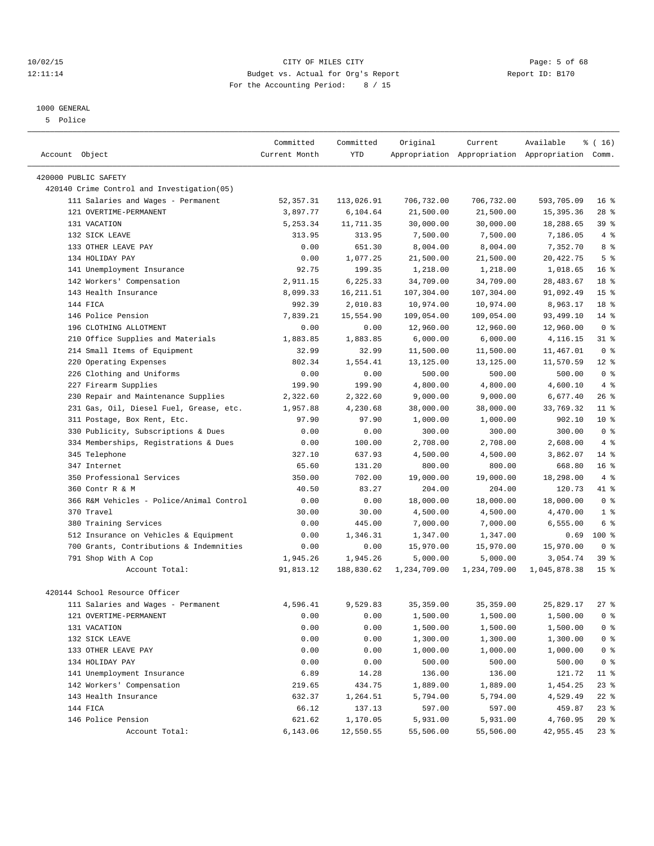## 10/02/15 CITY OF MILES CITY Page: 5 of 68 12:11:14 Budget vs. Actual for Org's Report Report ID: B170 For the Accounting Period: 8 / 15

————————————————————————————————————————————————————————————————————————————————————————————————————————————————————————————————————

## 1000 GENERAL

5 Police

|                                                                              | Committed     | Committed         | Original     | Current      | Available                                       | ៖ ( 16)         |
|------------------------------------------------------------------------------|---------------|-------------------|--------------|--------------|-------------------------------------------------|-----------------|
| Account Object                                                               | Current Month | YTD               |              |              | Appropriation Appropriation Appropriation Comm. |                 |
| 420000 PUBLIC SAFETY                                                         |               |                   |              |              |                                                 |                 |
| 420140 Crime Control and Investigation(05)                                   |               |                   |              |              |                                                 |                 |
| 111 Salaries and Wages - Permanent                                           | 52, 357.31    | 113,026.91        | 706,732.00   | 706,732.00   | 593,705.09                                      | 16 <sup>8</sup> |
| 121 OVERTIME-PERMANENT                                                       | 3,897.77      | 6,104.64          | 21,500.00    | 21,500.00    | 15, 395.36                                      | $28$ %          |
| 131 VACATION                                                                 | 5,253.34      | 11,711.35         | 30,000.00    | 30,000.00    | 18,288.65                                       | 39%             |
| 132 SICK LEAVE                                                               | 313.95        | 313.95            | 7,500.00     | 7,500.00     | 7,186.05                                        | 4%              |
| 133 OTHER LEAVE PAY                                                          | 0.00          | 651.30            | 8,004.00     | 8,004.00     | 7,352.70                                        | 8 %             |
| 134 HOLIDAY PAY                                                              | 0.00          | 1,077.25          | 21,500.00    | 21,500.00    | 20, 422.75                                      | 5 <sup>8</sup>  |
| 141 Unemployment Insurance                                                   | 92.75         | 199.35            | 1,218.00     | 1,218.00     | 1,018.65                                        | $16*$           |
| 142 Workers' Compensation                                                    | 2,911.15      | 6,225.33          | 34,709.00    | 34,709.00    | 28, 483.67                                      | 18 %            |
| 143 Health Insurance                                                         | 8,099.33      | 16, 211.51        | 107,304.00   | 107,304.00   | 91,092.49                                       | 15 <sup>°</sup> |
| 144 FICA                                                                     | 992.39        | 2,010.83          | 10,974.00    | 10,974.00    | 8,963.17                                        | 18 %            |
| 146 Police Pension                                                           | 7,839.21      | 15,554.90         | 109,054.00   | 109,054.00   | 93,499.10                                       | $14*$           |
| 196 CLOTHING ALLOTMENT                                                       | 0.00          | 0.00              | 12,960.00    | 12,960.00    | 12,960.00                                       | 0 <sup>8</sup>  |
| 210 Office Supplies and Materials                                            | 1,883.85      | 1,883.85          | 6,000.00     | 6,000.00     | 4,116.15                                        | $31$ %          |
| 214 Small Items of Equipment                                                 | 32.99         | 32.99             | 11,500.00    | 11,500.00    | 11,467.01                                       | 0 <sup>8</sup>  |
| 220 Operating Expenses                                                       | 802.34        | 1,554.41          | 13,125.00    | 13,125.00    | 11,570.59                                       | $12*$           |
| 226 Clothing and Uniforms                                                    | 0.00          | 0.00              | 500.00       | 500.00       | 500.00                                          | 0 <sup>8</sup>  |
| 227 Firearm Supplies                                                         | 199.90        | 199.90            | 4,800.00     | 4,800.00     | 4,600.10                                        | 4%              |
| 230 Repair and Maintenance Supplies                                          |               |                   |              | 9,000.00     |                                                 | $26$ %          |
|                                                                              | 2,322.60      | 2,322.60          | 9,000.00     |              | 6,677.40                                        | $11$ %          |
| 231 Gas, Oil, Diesel Fuel, Grease, etc.                                      | 1,957.88      | 4,230.68<br>97.90 | 38,000.00    | 38,000.00    | 33,769.32<br>902.10                             | $10*$           |
| 311 Postage, Box Rent, Etc.                                                  | 97.90         |                   | 1,000.00     | 1,000.00     |                                                 | 0 <sup>8</sup>  |
| 330 Publicity, Subscriptions & Dues<br>334 Memberships, Registrations & Dues | 0.00          | 0.00              | 300.00       | 300.00       | 300.00                                          | 4%              |
|                                                                              | 0.00          | 100.00            | 2,708.00     | 2,708.00     | 2,608.00                                        |                 |
| 345 Telephone                                                                | 327.10        | 637.93            | 4,500.00     | 4,500.00     | 3,862.07                                        | $14*$           |
| 347 Internet                                                                 | 65.60         | 131.20            | 800.00       | 800.00       | 668.80                                          | 16 <sup>8</sup> |
| 350 Professional Services                                                    | 350.00        | 702.00            | 19,000.00    | 19,000.00    | 18,298.00                                       | 4%              |
| 360 Contr R & M                                                              | 40.50         | 83.27             | 204.00       | 204.00       | 120.73                                          | 41 %            |
| 366 R&M Vehicles - Police/Animal Control                                     | 0.00          | 0.00              | 18,000.00    | 18,000.00    | 18,000.00                                       | 0 <sup>8</sup>  |
| 370 Travel                                                                   | 30.00         | 30.00             | 4,500.00     | 4,500.00     | 4,470.00                                        | 1 <sup>°</sup>  |
| 380 Training Services                                                        | 0.00          | 445.00            | 7,000.00     | 7,000.00     | 6,555.00                                        | 6 %             |
| 512 Insurance on Vehicles & Equipment                                        | 0.00          | 1,346.31          | 1,347.00     | 1,347.00     | 0.69                                            | $100$ %         |
| 700 Grants, Contributions & Indemnities                                      | 0.00          | 0.00              | 15,970.00    | 15,970.00    | 15,970.00                                       | 0 <sup>8</sup>  |
| 791 Shop With A Cop                                                          | 1,945.26      | 1,945.26          | 5,000.00     | 5,000.00     | 3,054.74                                        | 39 %            |
| Account Total:                                                               | 91,813.12     | 188,830.62        | 1,234,709.00 | 1,234,709.00 | 1,045,878.38                                    | 15 <sup>°</sup> |
| 420144 School Resource Officer                                               |               |                   |              |              |                                                 |                 |
| 111 Salaries and Wages - Permanent                                           | 4,596.41      | 9,529.83          | 35, 359.00   | 35, 359.00   | 25,829.17                                       | $27$ %          |
| 121 OVERTIME-PERMANENT                                                       | 0.00          | 0.00              | 1,500.00     | 1,500.00     | $1,500.00$ 0 %                                  |                 |
| 131 VACATION                                                                 | 0.00          | 0.00              | 1,500.00     | 1,500.00     | 1,500.00                                        | 0 <sup>8</sup>  |
| 132 SICK LEAVE                                                               | 0.00          | 0.00              | 1,300.00     | 1,300.00     | 1,300.00                                        | $0$ %           |
| 133 OTHER LEAVE PAY                                                          | 0.00          | 0.00              | 1,000.00     | 1,000.00     | 1,000.00                                        | $0$ %           |
| 134 HOLIDAY PAY                                                              | 0.00          | 0.00              | 500.00       | 500.00       | 500.00                                          | 0 <sup>8</sup>  |
| 141 Unemployment Insurance                                                   | 6.89          | 14.28             | 136.00       | 136.00       | 121.72                                          | 11 %            |
| 142 Workers' Compensation                                                    | 219.65        | 434.75            | 1,889.00     | 1,889.00     | 1,454.25                                        | $23$ $%$        |
| 143 Health Insurance                                                         | 632.37        | 1,264.51          | 5,794.00     | 5,794.00     | 4,529.49                                        | 22 %            |
| 144 FICA                                                                     | 66.12         | 137.13            | 597.00       | 597.00       | 459.87                                          | $23$ $%$        |
| 146 Police Pension                                                           | 621.62        | 1,170.05          | 5,931.00     | 5,931.00     | 4,760.95                                        | $20*$           |
| Account Total:                                                               | 6,143.06      | 12,550.55         | 55,506.00    | 55,506.00    | 42,955.45                                       | $23$ %          |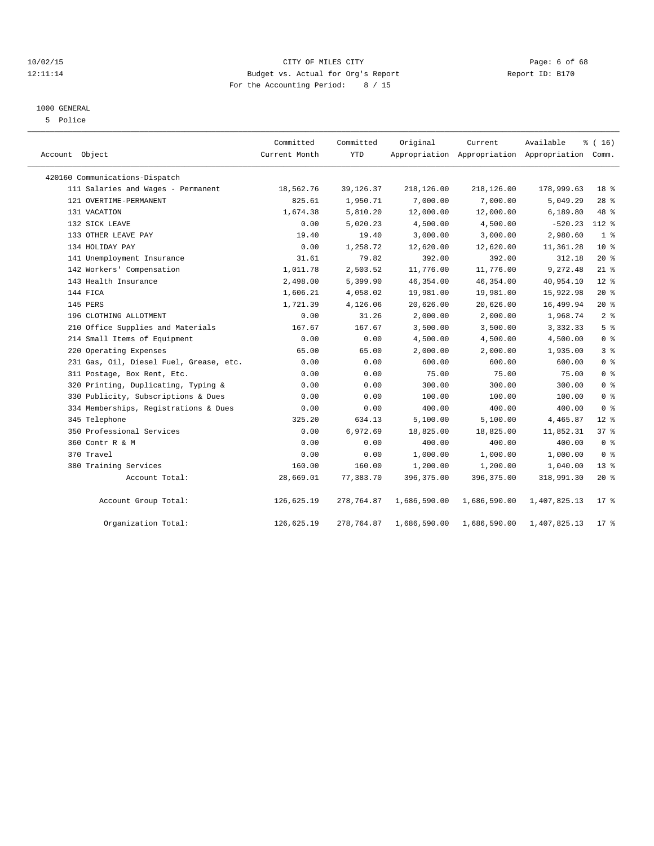## 10/02/15 CITY OF MILES CITY Page: 6 of 68 12:11:14 Budget vs. Actual for Org's Report Report ID: B170 For the Accounting Period: 8 / 15

## 1000 GENERAL

5 Police

| Account Object                          | Committed<br>Current Month | Committed<br><b>YTD</b> | Original     | Current      | Available<br>Appropriation Appropriation Appropriation Comm. | % (16)          |
|-----------------------------------------|----------------------------|-------------------------|--------------|--------------|--------------------------------------------------------------|-----------------|
| 420160 Communications-Dispatch          |                            |                         |              |              |                                                              |                 |
| 111 Salaries and Wages - Permanent      | 18,562.76                  | 39, 126.37              | 218,126.00   | 218,126.00   | 178,999.63                                                   | 18 <sup>8</sup> |
| 121 OVERTIME-PERMANENT                  | 825.61                     | 1,950.71                | 7,000.00     | 7,000.00     | 5,049.29                                                     | 28 <sup>8</sup> |
| 131 VACATION                            | 1,674.38                   | 5,810.20                | 12,000.00    | 12,000.00    | 6,189.80                                                     | 48 %            |
| 132 SICK LEAVE                          | 0.00                       | 5,020.23                | 4,500.00     | 4,500.00     | $-520.23$                                                    | 112 %           |
| 133 OTHER LEAVE PAY                     | 19.40                      | 19.40                   | 3,000.00     | 3,000.00     | 2,980.60                                                     | 1 <sup>8</sup>  |
| 134 HOLIDAY PAY                         | 0.00                       | 1,258.72                | 12,620.00    | 12,620.00    | 11,361.28                                                    | $10*$           |
| 141 Unemployment Insurance              | 31.61                      | 79.82                   | 392.00       | 392.00       | 312.18                                                       | $20*$           |
| 142 Workers' Compensation               | 1,011.78                   | 2,503.52                | 11,776.00    | 11,776.00    | 9,272.48                                                     | $21$ %          |
| 143 Health Insurance                    | 2,498.00                   | 5,399.90                | 46, 354.00   | 46, 354.00   | 40,954.10                                                    | $12*$           |
| 144 FICA                                | 1,606.21                   | 4,058.02                | 19,981.00    | 19,981.00    | 15,922.98                                                    | $20*$           |
| 145 PERS                                | 1,721.39                   | 4,126.06                | 20,626.00    | 20,626.00    | 16,499.94                                                    | $20*$           |
| 196 CLOTHING ALLOTMENT                  | 0.00                       | 31.26                   | 2,000.00     | 2,000.00     | 1,968.74                                                     | 2 <sup>°</sup>  |
| 210 Office Supplies and Materials       | 167.67                     | 167.67                  | 3,500.00     | 3,500.00     | 3,332.33                                                     | 5 <sup>8</sup>  |
| 214 Small Items of Equipment            | 0.00                       | 0.00                    | 4,500.00     | 4,500.00     | 4,500.00                                                     | 0 <sup>8</sup>  |
| 220 Operating Expenses                  | 65.00                      | 65.00                   | 2,000.00     | 2,000.00     | 1,935.00                                                     | 3%              |
| 231 Gas, Oil, Diesel Fuel, Grease, etc. | 0.00                       | 0.00                    | 600.00       | 600.00       | 600.00                                                       | 0 <sup>8</sup>  |
| 311 Postage, Box Rent, Etc.             | 0.00                       | 0.00                    | 75.00        | 75.00        | 75.00                                                        | 0 <sup>°</sup>  |
| 320 Printing, Duplicating, Typing &     | 0.00                       | 0.00                    | 300.00       | 300.00       | 300.00                                                       | 0 <sup>8</sup>  |
| 330 Publicity, Subscriptions & Dues     | 0.00                       | 0.00                    | 100.00       | 100.00       | 100.00                                                       | 0 <sup>°</sup>  |
| 334 Memberships, Registrations & Dues   | 0.00                       | 0.00                    | 400.00       | 400.00       | 400.00                                                       | 0 <sup>8</sup>  |
| 345 Telephone                           | 325.20                     | 634.13                  | 5,100.00     | 5,100.00     | 4,465.87                                                     | $12*$           |
| 350 Professional Services               | 0.00                       | 6,972.69                | 18,825.00    | 18,825.00    | 11,852.31                                                    | 37%             |
| 360 Contr R & M                         | 0.00                       | 0.00                    | 400.00       | 400.00       | 400.00                                                       | 0 <sup>8</sup>  |
| 370 Travel                              | 0.00                       | 0.00                    | 1,000.00     | 1,000.00     | 1,000.00                                                     | 0 <sup>8</sup>  |
| 380 Training Services                   | 160.00                     | 160.00                  | 1,200.00     | 1,200.00     | 1,040.00                                                     | $13*$           |
| Account Total:                          | 28,669.01                  | 77,383.70               | 396,375.00   | 396,375.00   | 318,991.30                                                   | 20%             |
| Account Group Total:                    | 126,625.19                 | 278,764.87              | 1,686,590.00 | 1,686,590.00 | 1,407,825.13                                                 | $17$ %          |
| Organization Total:                     | 126,625.19                 | 278,764.87              | 1,686,590.00 | 1,686,590.00 | 1,407,825.13                                                 | 17.8            |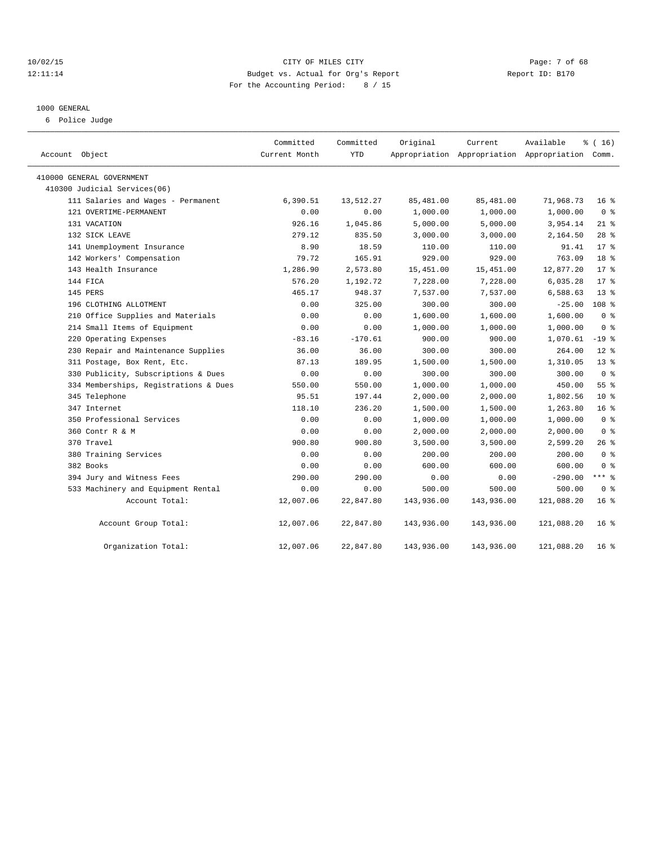## 10/02/15 CITY OF MILES CITY Page: 7 of 68 12:11:14 Budget vs. Actual for Org's Report Report ID: B170 For the Accounting Period: 8 / 15

## 1000 GENERAL

6 Police Judge

| Account Object                        | Committed<br>Current Month | Committed<br><b>YTD</b> | Original   | Current    | Available<br>Appropriation Appropriation Appropriation Comm. | % (16)           |  |
|---------------------------------------|----------------------------|-------------------------|------------|------------|--------------------------------------------------------------|------------------|--|
| 410000 GENERAL GOVERNMENT             |                            |                         |            |            |                                                              |                  |  |
| 410300 Judicial Services(06)          |                            |                         |            |            |                                                              |                  |  |
| 111 Salaries and Wages - Permanent    | 6,390.51                   | 13,512.27               | 85,481.00  | 85,481.00  | 71,968.73                                                    | 16 <sup>8</sup>  |  |
| 121 OVERTIME-PERMANENT                | 0.00                       | 0.00                    | 1,000.00   | 1,000.00   | 1,000.00                                                     | 0 <sup>8</sup>   |  |
| 131 VACATION                          | 926.16                     | 1,045.86                | 5,000.00   | 5,000.00   | 3,954.14                                                     | $21*$            |  |
| 132 SICK LEAVE                        | 279.12                     | 835.50                  | 3,000.00   | 3,000.00   | 2,164.50                                                     | 28 <sup>8</sup>  |  |
| 141 Unemployment Insurance            | 8.90                       | 18.59                   | 110.00     | 110.00     | 91.41                                                        | $17*$            |  |
| 142 Workers' Compensation             | 79.72                      | 165.91                  | 929.00     | 929.00     | 763.09                                                       | 18 <sup>°</sup>  |  |
| 143 Health Insurance                  | 1,286.90                   | 2,573.80                | 15,451.00  | 15,451.00  | 12,877.20                                                    | $17*$            |  |
| 144 FICA                              | 576.20                     | 1,192.72                | 7,228.00   | 7,228.00   | 6,035.28                                                     | $17*$            |  |
| 145 PERS                              | 465.17                     | 948.37                  | 7,537.00   | 7,537.00   | 6,588.63                                                     | 13 <sup>°</sup>  |  |
| 196 CLOTHING ALLOTMENT                | 0.00                       | 325.00                  | 300.00     | 300.00     | $-25.00$                                                     | 108 <sup>8</sup> |  |
| 210 Office Supplies and Materials     | 0.00                       | 0.00                    | 1,600.00   | 1,600.00   | 1,600.00                                                     | 0 <sup>8</sup>   |  |
| 214 Small Items of Equipment          | 0.00                       | 0.00                    | 1,000.00   | 1,000.00   | 1,000.00                                                     | 0 <sup>8</sup>   |  |
| 220 Operating Expenses                | $-83.16$                   | $-170.61$               | 900.00     | 900.00     | 1,070.61                                                     | $-19$ %          |  |
| 230 Repair and Maintenance Supplies   | 36.00                      | 36.00                   | 300.00     | 300.00     | 264.00                                                       | $12$ %           |  |
| 311 Postage, Box Rent, Etc.           | 87.13                      | 189.95                  | 1,500.00   | 1,500.00   | 1,310.05                                                     | $13*$            |  |
| 330 Publicity, Subscriptions & Dues   | 0.00                       | 0.00                    | 300.00     | 300.00     | 300.00                                                       | 0 <sup>8</sup>   |  |
| 334 Memberships, Registrations & Dues | 550.00                     | 550.00                  | 1,000.00   | 1,000.00   | 450.00                                                       | 55%              |  |
| 345 Telephone                         | 95.51                      | 197.44                  | 2,000.00   | 2,000.00   | 1,802.56                                                     | 10 <sup>°</sup>  |  |
| 347 Internet                          | 118.10                     | 236.20                  | 1,500.00   | 1,500.00   | 1,263.80                                                     | 16 <sup>°</sup>  |  |
| 350 Professional Services             | 0.00                       | 0.00                    | 1,000.00   | 1,000.00   | 1,000.00                                                     | 0 <sup>8</sup>   |  |
| 360 Contr R & M                       | 0.00                       | 0.00                    | 2,000.00   | 2,000.00   | 2,000.00                                                     | 0 <sup>8</sup>   |  |
| 370 Travel                            | 900.80                     | 900.80                  | 3,500.00   | 3,500.00   | 2,599.20                                                     | 26 %             |  |
| 380 Training Services                 | 0.00                       | 0.00                    | 200.00     | 200.00     | 200.00                                                       | 0 <sup>8</sup>   |  |
| 382 Books                             | 0.00                       | 0.00                    | 600.00     | 600.00     | 600.00                                                       | 0 <sup>8</sup>   |  |
| 394 Jury and Witness Fees             | 290.00                     | 290.00                  | 0.00       | 0.00       | $-290.00$                                                    | $***$ $-$        |  |
| 533 Machinery and Equipment Rental    | 0.00                       | 0.00                    | 500.00     | 500.00     | 500.00                                                       | 0 <sup>8</sup>   |  |
| Account Total:                        | 12,007.06                  | 22,847.80               | 143,936.00 | 143,936.00 | 121,088.20                                                   | 16 <sup>8</sup>  |  |
| Account Group Total:                  | 12,007.06                  | 22,847.80               | 143,936.00 | 143,936.00 | 121,088.20                                                   | 16 <sup>8</sup>  |  |
| Organization Total:                   | 12,007.06                  | 22,847.80               | 143,936.00 | 143,936.00 | 121,088.20                                                   | 16 <sup>8</sup>  |  |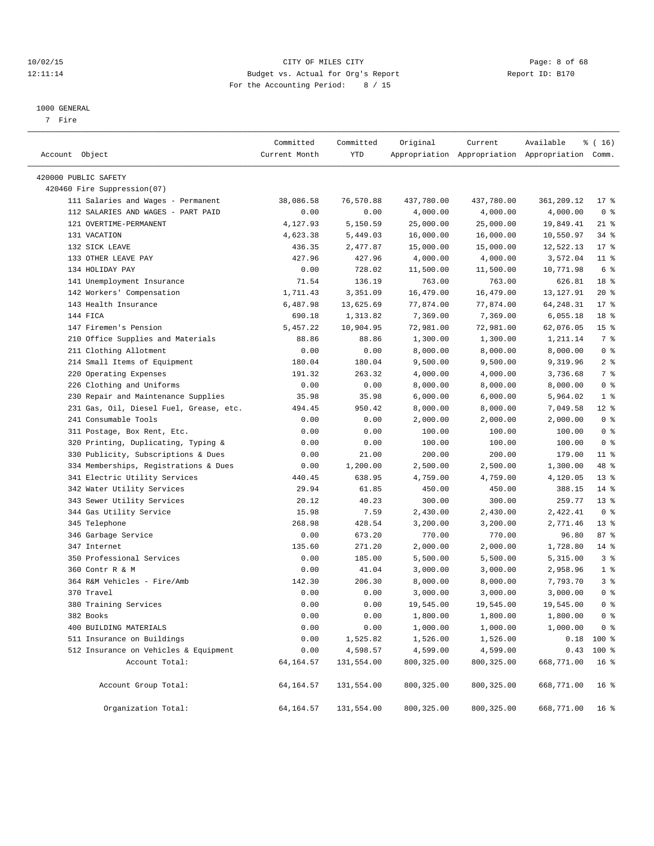## 10/02/15 CITY OF MILES CITY Page: 8 of 68 12:11:14 Budget vs. Actual for Org's Report Report ID: B170 For the Accounting Period: 8 / 15

————————————————————————————————————————————————————————————————————————————————————————————————————————————————————————————————————

#### 1000 GENERAL

7 Fire

|                                                      | Committed       | Committed              | Original             | Current              | Available                                       | ៖ ( 16)                |
|------------------------------------------------------|-----------------|------------------------|----------------------|----------------------|-------------------------------------------------|------------------------|
| Account Object                                       | Current Month   | YTD                    |                      |                      | Appropriation Appropriation Appropriation Comm. |                        |
| 420000 PUBLIC SAFETY                                 |                 |                        |                      |                      |                                                 |                        |
| 420460 Fire Suppression(07)                          |                 |                        |                      |                      |                                                 |                        |
| 111 Salaries and Wages - Permanent                   | 38,086.58       | 76,570.88              | 437,780.00           | 437,780.00           | 361,209.12                                      | $17*$                  |
| 112 SALARIES AND WAGES - PART PAID                   | 0.00            | 0.00                   | 4,000.00             | 4,000.00             | 4,000.00                                        | 0 <sup>8</sup>         |
| 121 OVERTIME-PERMANENT                               | 4,127.93        | 5,150.59               | 25,000.00            | 25,000.00            | 19,849.41                                       | $21$ %                 |
| 131 VACATION                                         | 4,623.38        | 5,449.03               | 16,000.00            | 16,000.00            | 10,550.97                                       | $34$ $%$               |
| 132 SICK LEAVE                                       | 436.35          | 2,477.87               | 15,000.00            | 15,000.00            | 12,522.13                                       | $17*$                  |
| 133 OTHER LEAVE PAY                                  | 427.96          | 427.96                 | 4,000.00             | 4,000.00             | 3,572.04                                        | $11$ %                 |
| 134 HOLIDAY PAY                                      | 0.00            | 728.02                 | 11,500.00            | 11,500.00            | 10,771.98                                       | 6 %                    |
| 141 Unemployment Insurance                           | 71.54           | 136.19                 | 763.00               | 763.00               | 626.81                                          | 18 <sup>8</sup>        |
| 142 Workers' Compensation                            | 1,711.43        | 3,351.09               | 16,479.00            | 16,479.00            | 13, 127. 91                                     | $20*$                  |
| 143 Health Insurance                                 | 6,487.98        | 13,625.69              | 77,874.00            | 77,874.00            | 64,248.31                                       | $17*$                  |
| 144 FICA                                             | 690.18          | 1,313.82               | 7,369.00             | 7,369.00             | 6,055.18                                        | 18 <sup>8</sup>        |
| 147 Firemen's Pension                                | 5,457.22        | 10,904.95              | 72,981.00            | 72,981.00            | 62,076.05                                       | 15 <sup>°</sup>        |
| 210 Office Supplies and Materials                    | 88.86           | 88.86                  | 1,300.00             | 1,300.00             | 1,211.14                                        | 7 %                    |
| 211 Clothing Allotment                               | 0.00            | 0.00                   | 8,000.00             | 8,000.00             | 8,000.00                                        | 0 <sup>8</sup>         |
| 214 Small Items of Equipment                         | 180.04          | 180.04                 | 9,500.00             | 9,500.00             | 9,319.96                                        | 2 <sub>8</sub>         |
| 220 Operating Expenses                               | 191.32          | 263.32                 | 4,000.00             | 4,000.00             | 3,736.68                                        | 7 %                    |
| 226 Clothing and Uniforms                            | 0.00            | 0.00                   | 8,000.00             | 8,000.00             | 8,000.00                                        | 0 <sup>8</sup>         |
| 230 Repair and Maintenance Supplies                  | 35.98           | 35.98                  | 6,000.00             | 6,000.00             | 5,964.02                                        | 1 <sup>°</sup>         |
| 231 Gas, Oil, Diesel Fuel, Grease, etc.              | 494.45          | 950.42                 |                      | 8,000.00             | 7,049.58                                        | $12$ %                 |
| 241 Consumable Tools                                 | 0.00            | 0.00                   | 8,000.00<br>2,000.00 | 2,000.00             | 2,000.00                                        | 0 <sup>8</sup>         |
| 311 Postage, Box Rent, Etc.                          | 0.00            | 0.00                   | 100.00               | 100.00               | 100.00                                          | 0 <sup>8</sup>         |
| 320 Printing, Duplicating, Typing &                  | 0.00            | 0.00                   | 100.00               | 100.00               | 100.00                                          | 0 <sup>8</sup>         |
|                                                      |                 |                        |                      |                      |                                                 |                        |
| 330 Publicity, Subscriptions & Dues                  | 0.00            | 21.00                  | 200.00               | 200.00               | 179.00                                          | $11$ %                 |
| 334 Memberships, Registrations & Dues                | 0.00            | 1,200.00               | 2,500.00             | 2,500.00             | 1,300.00                                        | 48 %<br>$13*$          |
| 341 Electric Utility Services                        | 440.45<br>29.94 | 638.95                 | 4,759.00             | 4,759.00             | 4,120.05<br>388.15                              | $14*$                  |
| 342 Water Utility Services                           |                 | 61.85                  | 450.00               | 450.00               |                                                 | $13*$                  |
| 343 Sewer Utility Services                           | 20.12           | 40.23                  | 300.00               | 300.00               | 259.77                                          | 0 <sup>8</sup>         |
| 344 Gas Utility Service                              | 15.98           | 7.59                   | 2,430.00             | 2,430.00             | 2,422.41                                        |                        |
| 345 Telephone<br>346 Garbage Service                 | 268.98<br>0.00  | 428.54<br>673.20       | 3,200.00<br>770.00   | 3,200.00<br>770.00   | 2,771.46<br>96.80                               | 13 <sup>8</sup><br>87% |
| 347 Internet                                         |                 | 271.20                 |                      | 2,000.00             | 1,728.80                                        | $14*$                  |
| 350 Professional Services                            | 135.60          | 185.00                 | 2,000.00             |                      |                                                 | 3%                     |
| 360 Contr R & M                                      | 0.00            |                        | 5,500.00             | 5,500.00<br>3,000.00 | 5,315.00                                        | 1 <sup>°</sup>         |
|                                                      | 0.00            | 41.04                  | 3,000.00             |                      | 2,958.96                                        | 3%                     |
| 364 R&M Vehicles - Fire/Amb<br>370 Travel            | 142.30<br>0.00  | 206.30<br>0.00         | 8,000.00             | 8,000.00             | 7,793.70                                        | 0 <sup>8</sup>         |
| 380 Training Services                                | 0.00            | 0.00                   | 3,000.00             | 3,000.00             | 3,000.00                                        | 0 <sup>8</sup>         |
| 382 Books                                            |                 |                        | 19,545.00            | 19,545.00            | 19,545.00                                       |                        |
|                                                      | 0.00            | 0.00                   | 1,800.00             | 1,800.00             | 1,800.00                                        | 0 <sup>8</sup>         |
| 400 BUILDING MATERIALS<br>511 Insurance on Buildings | 0.00            | 0.00                   | 1,000.00<br>1,526.00 | 1,000.00             | 1,000.00                                        | 0 <sup>8</sup>         |
|                                                      | 0.00            | 1,525.82               |                      | 1,526.00             |                                                 | $0.18$ 100 %           |
| 512 Insurance on Vehicles & Equipment                | 0.00            | 4,598.57<br>131,554.00 | 4,599.00             | 4,599.00             |                                                 | $0.43$ 100 %           |
| Account Total:                                       | 64, 164. 57     |                        | 800, 325.00          | 800, 325.00          | 668,771.00                                      | 16 <sup>8</sup>        |
| Account Group Total:                                 | 64, 164.57      | 131,554.00             | 800, 325.00          | 800,325.00           | 668,771.00                                      | 16 <sup>°</sup>        |
| Organization Total:                                  | 64, 164.57      | 131,554.00             | 800, 325.00          | 800, 325.00          | 668,771.00                                      | 16 <sup>8</sup>        |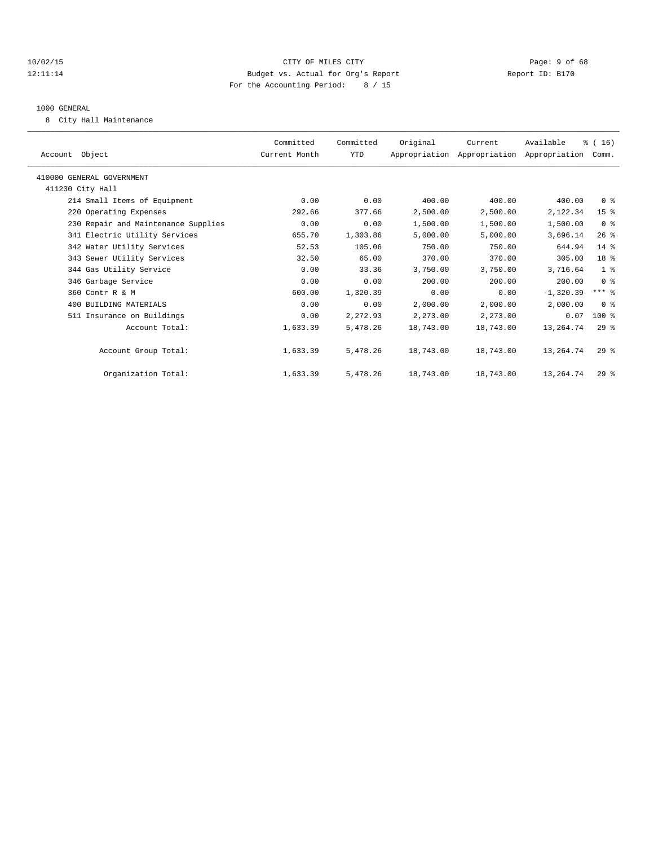## 10/02/15 CITY OF MILES CITY Page: 9 of 68 12:11:14 Budget vs. Actual for Org's Report Report ID: B170 For the Accounting Period: 8 / 15

#### 1000 GENERAL

8 City Hall Maintenance

| Account Object                      | Committed<br>Current Month | Committed<br>YTD | Original  | Current<br>Appropriation Appropriation Appropriation Comm. | Available   | % (16)          |  |
|-------------------------------------|----------------------------|------------------|-----------|------------------------------------------------------------|-------------|-----------------|--|
| 410000 GENERAL GOVERNMENT           |                            |                  |           |                                                            |             |                 |  |
| 411230 City Hall                    |                            |                  |           |                                                            |             |                 |  |
| 214 Small Items of Equipment        | 0.00                       | 0.00             | 400.00    | 400.00                                                     | 400.00      | 0 <sup>8</sup>  |  |
| 220 Operating Expenses              | 292.66                     | 377.66           | 2,500.00  | 2,500.00                                                   | 2,122.34    | 15 <sup>°</sup> |  |
| 230 Repair and Maintenance Supplies | 0.00                       | 0.00             | 1,500.00  | 1,500.00                                                   | 1,500.00    | 0 <sup>8</sup>  |  |
| 341 Electric Utility Services       | 655.70                     | 1,303.86         | 5,000.00  | 5,000.00                                                   | 3,696.14    | $26$ %          |  |
| 342 Water Utility Services          | 52.53                      | 105.06           | 750.00    | 750.00                                                     | 644.94      | $14*$           |  |
| 343 Sewer Utility Services          | 32.50                      | 65.00            | 370.00    | 370.00                                                     | 305.00      | 18 <sup>8</sup> |  |
| 344 Gas Utility Service             | 0.00                       | 33.36            | 3,750.00  | 3,750.00                                                   | 3,716.64    | 1 <sup>8</sup>  |  |
| 346 Garbage Service                 | 0.00                       | 0.00             | 200.00    | 200.00                                                     | 200.00      | 0 <sup>8</sup>  |  |
| 360 Contr R & M                     | 600.00                     | 1,320.39         | 0.00      | 0.00                                                       | $-1,320.39$ | $***$ $%$       |  |
| 400 BUILDING MATERIALS              | 0.00                       | 0.00             | 2,000.00  | 2,000.00                                                   | 2,000.00    | 0 <sup>8</sup>  |  |
| 511 Insurance on Buildings          | 0.00                       | 2,272.93         | 2,273.00  | 2,273.00                                                   | 0.07        | $100*$          |  |
| Account Total:                      | 1,633.39                   | 5,478.26         | 18,743.00 | 18,743.00                                                  | 13, 264. 74 | $29*$           |  |
| Account Group Total:                | 1,633.39                   | 5,478.26         | 18,743.00 | 18,743.00                                                  | 13,264.74   | $29*$           |  |
| Organization Total:                 | 1,633.39                   | 5,478.26         | 18,743.00 | 18,743.00                                                  | 13,264.74   | $29*$           |  |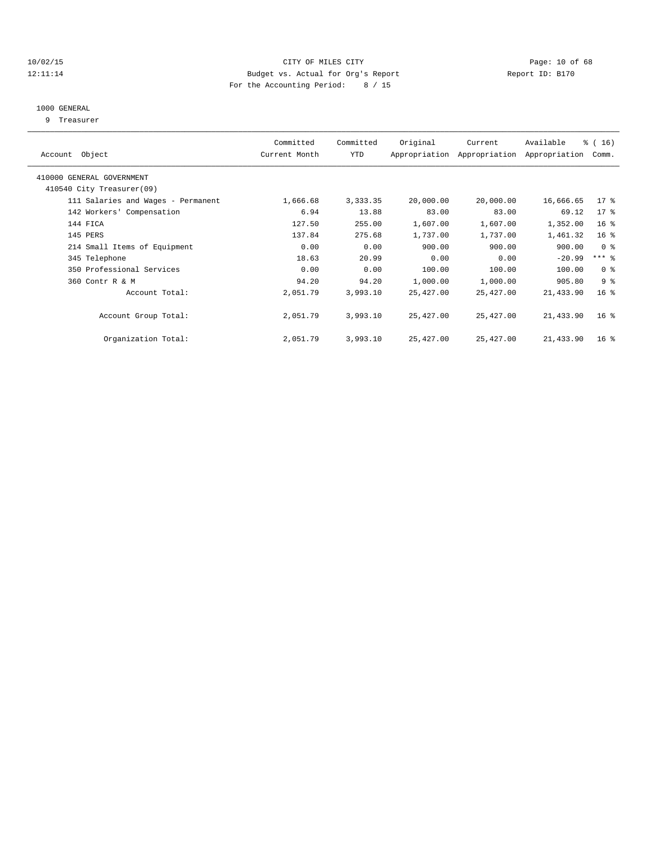## 10/02/15 **Page: 10 of 68** CITY OF MILES CITY **Page: 10 of 68** Page: 10 of 68 12:11:14 Budget vs. Actual for Org's Report Report ID: B170 For the Accounting Period: 8 / 15

## 1000 GENERAL

9 Treasurer

| Account Object                     | Committed<br>Current Month | Committed<br>YTD | Original  | Current<br>Appropriation Appropriation | Available<br>Appropriation | % (16)<br>Comm. |  |
|------------------------------------|----------------------------|------------------|-----------|----------------------------------------|----------------------------|-----------------|--|
| 410000 GENERAL GOVERNMENT          |                            |                  |           |                                        |                            |                 |  |
| 410540 City Treasurer(09)          |                            |                  |           |                                        |                            |                 |  |
| 111 Salaries and Wages - Permanent | 1,666.68                   | 3,333.35         | 20,000.00 | 20,000.00                              | 16,666.65                  | $17*$           |  |
| 142 Workers' Compensation          | 6.94                       | 13.88            | 83.00     | 83.00                                  | 69.12                      | 17 <sub>8</sub> |  |
| 144 FICA                           | 127.50                     | 255.00           | 1,607.00  | 1,607.00                               | 1,352.00                   | 16 <sup>8</sup> |  |
| 145 PERS                           | 137.84                     | 275.68           | 1,737.00  | 1,737.00                               | 1,461.32                   | 16 <sup>8</sup> |  |
| 214 Small Items of Equipment       | 0.00                       | 0.00             | 900.00    | 900.00                                 | 900.00                     | 0 <sup>8</sup>  |  |
| 345 Telephone                      | 18.63                      | 20.99            | 0.00      | 0.00                                   | $-20.99$                   | $***$ $%$       |  |
| 350 Professional Services          | 0.00                       | 0.00             | 100.00    | 100.00                                 | 100.00                     | 0 <sup>8</sup>  |  |
| 360 Contr R & M                    | 94.20                      | 94.20            | 1,000.00  | 1,000.00                               | 905.80                     | 9 <sup>8</sup>  |  |
| Account Total:                     | 2,051.79                   | 3,993.10         | 25,427.00 | 25,427.00                              | 21,433.90                  | 16 <sup>°</sup> |  |
| Account Group Total:               | 2,051.79                   | 3,993.10         | 25,427.00 | 25,427.00                              | 21,433.90                  | 16 <sup>8</sup> |  |
| Organization Total:                | 2,051.79                   | 3,993.10         | 25,427.00 | 25,427.00                              | 21,433.90                  | 16 <sup>8</sup> |  |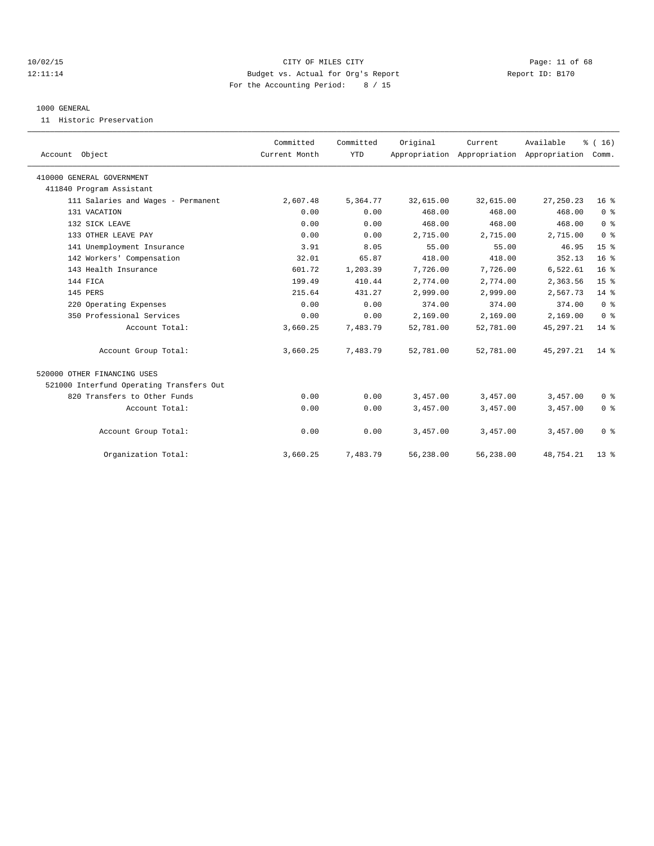## 10/02/15 **Page: 11 of 68** CITY OF MILES CITY **Page: 11 of 68** 12:11:14 Budget vs. Actual for Org's Report Report ID: B170 For the Accounting Period: 8 / 15

#### 1000 GENERAL

11 Historic Preservation

| Account Object                           | Committed<br>Current Month | Committed<br><b>YTD</b> | Original  | Current   | Available<br>Appropriation Appropriation Appropriation | % (16)<br>Comm. |  |
|------------------------------------------|----------------------------|-------------------------|-----------|-----------|--------------------------------------------------------|-----------------|--|
| 410000 GENERAL GOVERNMENT                |                            |                         |           |           |                                                        |                 |  |
| 411840 Program Assistant                 |                            |                         |           |           |                                                        |                 |  |
| 111 Salaries and Wages - Permanent       | 2,607.48                   | 5,364.77                | 32,615.00 | 32,615.00 | 27, 250. 23                                            | 16 <sup>°</sup> |  |
| 131 VACATION                             | 0.00                       | 0.00                    | 468.00    | 468.00    | 468.00                                                 | 0 <sup>8</sup>  |  |
| 132 SICK LEAVE                           | 0.00                       | 0.00                    | 468.00    | 468.00    | 468.00                                                 | 0 <sup>8</sup>  |  |
| 133 OTHER LEAVE PAY                      | 0.00                       | 0.00                    | 2,715.00  | 2,715.00  | 2,715.00                                               | 0 <sup>8</sup>  |  |
| 141 Unemployment Insurance               | 3.91                       | 8.05                    | 55.00     | 55.00     | 46.95                                                  | 15 <sup>8</sup> |  |
| 142 Workers' Compensation                | 32.01                      | 65.87                   | 418.00    | 418.00    | 352.13                                                 | 16 <sup>8</sup> |  |
| 143 Health Insurance                     | 601.72                     | 1,203.39                | 7,726.00  | 7,726.00  | 6,522.61                                               | 16 <sup>8</sup> |  |
| 144 FICA                                 | 199.49                     | 410.44                  | 2,774.00  | 2,774.00  | 2,363.56                                               | 15 <sup>8</sup> |  |
| 145 PERS                                 | 215.64                     | 431.27                  | 2,999.00  | 2,999.00  | 2.567.73                                               | $14*$           |  |
| 220 Operating Expenses                   | 0.00                       | 0.00                    | 374.00    | 374.00    | 374.00                                                 | 0 <sup>8</sup>  |  |
| 350 Professional Services                | 0.00                       | 0.00                    | 2,169.00  | 2,169.00  | 2,169.00                                               | 0 <sup>8</sup>  |  |
| Account Total:                           | 3,660.25                   | 7,483.79                | 52,781.00 | 52,781.00 | 45,297.21                                              | $14*$           |  |
| Account Group Total:                     | 3,660.25                   | 7,483.79                | 52,781.00 | 52,781.00 | 45, 297. 21                                            | $14*$           |  |
| 520000 OTHER FINANCING USES              |                            |                         |           |           |                                                        |                 |  |
| 521000 Interfund Operating Transfers Out |                            |                         |           |           |                                                        |                 |  |
| 820 Transfers to Other Funds             | 0.00                       | 0.00                    | 3,457.00  | 3,457.00  | 3,457.00                                               | 0 <sup>8</sup>  |  |
| Account Total:                           | 0.00                       | 0.00                    | 3,457.00  | 3,457.00  | 3,457.00                                               | 0 <sup>8</sup>  |  |
| Account Group Total:                     | 0.00                       | 0.00                    | 3,457.00  | 3,457.00  | 3,457.00                                               | 0 <sup>8</sup>  |  |
| Organization Total:                      | 3,660.25                   | 7,483.79                | 56,238.00 | 56,238.00 | 48,754.21                                              | 13 <sup>8</sup> |  |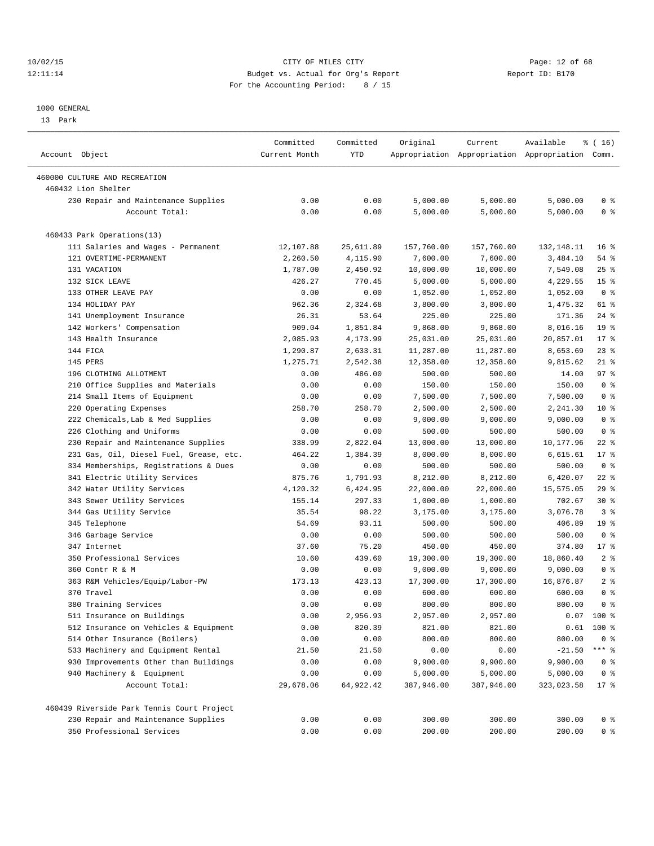## 10/02/15 **Page: 12 of 68** CITY OF MILES CITY **Page: 12 of 68** 12:11:14 Budget vs. Actual for Org's Report Report ID: B170 For the Accounting Period: 8 / 15

————————————————————————————————————————————————————————————————————————————————————————————————————————————————————————————————————

#### 1000 GENERAL

13 Park

|                                            | Committed     | Committed  | Original   | Current    | Available                                       | $\frac{16}{16}$ |
|--------------------------------------------|---------------|------------|------------|------------|-------------------------------------------------|-----------------|
| Account Object                             | Current Month | <b>YTD</b> |            |            | Appropriation Appropriation Appropriation Comm. |                 |
| 460000 CULTURE AND RECREATION              |               |            |            |            |                                                 |                 |
| 460432 Lion Shelter                        |               |            |            |            |                                                 |                 |
| 230 Repair and Maintenance Supplies        | 0.00          | 0.00       | 5,000.00   | 5,000.00   | 5,000.00                                        | 0 <sup>8</sup>  |
| Account Total:                             | 0.00          | 0.00       | 5,000.00   | 5,000.00   | 5,000.00                                        | 0 <sup>8</sup>  |
|                                            |               |            |            |            |                                                 |                 |
| 460433 Park Operations(13)                 |               |            |            |            |                                                 |                 |
| 111 Salaries and Wages - Permanent         | 12,107.88     | 25,611.89  | 157,760.00 | 157,760.00 | 132,148.11                                      | 16 <sup>8</sup> |
| 121 OVERTIME-PERMANENT                     | 2,260.50      | 4,115.90   | 7,600.00   | 7,600.00   | 3,484.10                                        | 54 %            |
| 131 VACATION                               | 1,787.00      | 2,450.92   | 10,000.00  | 10,000.00  | 7,549.08                                        | $25$ $%$        |
| 132 SICK LEAVE                             | 426.27        | 770.45     | 5,000.00   | 5,000.00   | 4,229.55                                        | 15 <sup>8</sup> |
| 133 OTHER LEAVE PAY                        | 0.00          | 0.00       | 1,052.00   | 1,052.00   | 1,052.00                                        | 0 <sup>8</sup>  |
| 134 HOLIDAY PAY                            | 962.36        | 2,324.68   | 3,800.00   | 3,800.00   | 1,475.32                                        | 61 %            |
| 141 Unemployment Insurance                 | 26.31         | 53.64      | 225.00     | 225.00     | 171.36                                          | $24$ %          |
| 142 Workers' Compensation                  | 909.04        | 1,851.84   | 9,868.00   | 9,868.00   | 8,016.16                                        | 19 <sup>°</sup> |
| 143 Health Insurance                       | 2,085.93      | 4,173.99   | 25,031.00  | 25,031.00  | 20,857.01                                       | $17*$           |
| 144 FICA                                   | 1,290.87      | 2,633.31   | 11,287.00  | 11,287.00  | 8,653.69                                        | $23$ %          |
| 145 PERS                                   | 1,275.71      | 2,542.38   | 12,358.00  | 12,358.00  | 9,815.62                                        | $21$ %          |
| 196 CLOTHING ALLOTMENT                     | 0.00          | 486.00     | 500.00     | 500.00     | 14.00                                           | 97%             |
| 210 Office Supplies and Materials          | 0.00          | 0.00       | 150.00     | 150.00     | 150.00                                          | 0 <sup>8</sup>  |
| 214 Small Items of Equipment               | 0.00          | 0.00       | 7,500.00   | 7,500.00   | 7,500.00                                        | 0 <sup>8</sup>  |
| 220 Operating Expenses                     | 258.70        | 258.70     | 2,500.00   | 2,500.00   | 2,241.30                                        | 10 <sub>8</sub> |
| 222 Chemicals, Lab & Med Supplies          | 0.00          | 0.00       | 9,000.00   | 9,000.00   | 9,000.00                                        | 0 <sup>8</sup>  |
| 226 Clothing and Uniforms                  | 0.00          | 0.00       | 500.00     | 500.00     | 500.00                                          | 0 <sup>8</sup>  |
| 230 Repair and Maintenance Supplies        | 338.99        | 2,822.04   | 13,000.00  | 13,000.00  | 10,177.96                                       | $22$ %          |
| 231 Gas, Oil, Diesel Fuel, Grease, etc.    | 464.22        | 1,384.39   | 8,000.00   | 8,000.00   | 6,615.61                                        | $17*$           |
| 334 Memberships, Registrations & Dues      | 0.00          | 0.00       | 500.00     | 500.00     | 500.00                                          | 0 <sup>8</sup>  |
| 341 Electric Utility Services              | 875.76        | 1,791.93   | 8,212.00   | 8,212.00   | 6,420.07                                        | $22$ %          |
| 342 Water Utility Services                 | 4,120.32      | 6,424.95   | 22,000.00  | 22,000.00  | 15,575.05                                       | 29%             |
| 343 Sewer Utility Services                 | 155.14        | 297.33     | 1,000.00   | 1,000.00   | 702.67                                          | $30*$           |
| 344 Gas Utility Service                    | 35.54         | 98.22      | 3,175.00   | 3,175.00   | 3,076.78                                        | 3 <sup>8</sup>  |
| 345 Telephone                              | 54.69         | 93.11      | 500.00     | 500.00     | 406.89                                          | 19 <sup>°</sup> |
| 346 Garbage Service                        | 0.00          | 0.00       | 500.00     | 500.00     | 500.00                                          | 0 <sup>8</sup>  |
| 347 Internet                               | 37.60         | 75.20      | 450.00     | 450.00     | 374.80                                          | $17$ %          |
| 350 Professional Services                  | 10.60         | 439.60     | 19,300.00  | 19,300.00  | 18,860.40                                       | 2 <sub>8</sub>  |
| 360 Contr R & M                            | 0.00          | 0.00       | 9,000.00   | 9,000.00   | 9,000.00                                        | 0 <sup>8</sup>  |
| 363 R&M Vehicles/Equip/Labor-PW            | 173.13        | 423.13     | 17,300.00  | 17,300.00  | 16,876.87                                       | 2 <sub>8</sub>  |
| 370 Travel                                 | 0.00          | 0.00       | 600.00     | 600.00     | 600.00                                          | 0 <sup>8</sup>  |
| 380 Training Services                      | 0.00          | 0.00       | 800.00     | 800.00     | 800.00                                          | 0 <sup>8</sup>  |
| 511 Insurance on Buildings                 | 0.00          | 2,956.93   | 2,957.00   | 2,957.00   |                                                 | $0.07$ 100 %    |
| 512 Insurance on Vehicles & Equipment      | 0.00          | 820.39     | 821.00     | 821.00     |                                                 | $0.61$ 100 %    |
| 514 Other Insurance (Boilers)              | 0.00          | 0.00       | 800.00     | 800.00     | 800.00                                          | $0$ %           |
| 533 Machinery and Equipment Rental         | 21.50         | 21.50      | 0.00       | 0.00       | $-21.50$                                        | *** 응           |
| 930 Improvements Other than Buildings      | 0.00          | 0.00       | 9,900.00   | 9,900.00   | 9,900.00                                        | $0$ %           |
| 940 Machinery & Equipment                  | 0.00          | 0.00       | 5,000.00   | 5,000.00   | 5,000.00                                        | 0 <sup>8</sup>  |
| Account Total:                             | 29,678.06     | 64,922.42  | 387,946.00 | 387,946.00 | 323,023.58                                      | $17*$           |
|                                            |               |            |            |            |                                                 |                 |
| 460439 Riverside Park Tennis Court Project |               |            |            |            |                                                 |                 |
| 230 Repair and Maintenance Supplies        | 0.00          | 0.00       | 300.00     | 300.00     | 300.00                                          | 0 %             |
| 350 Professional Services                  | 0.00          | 0.00       | 200.00     | 200.00     | 200.00                                          | $0$ %           |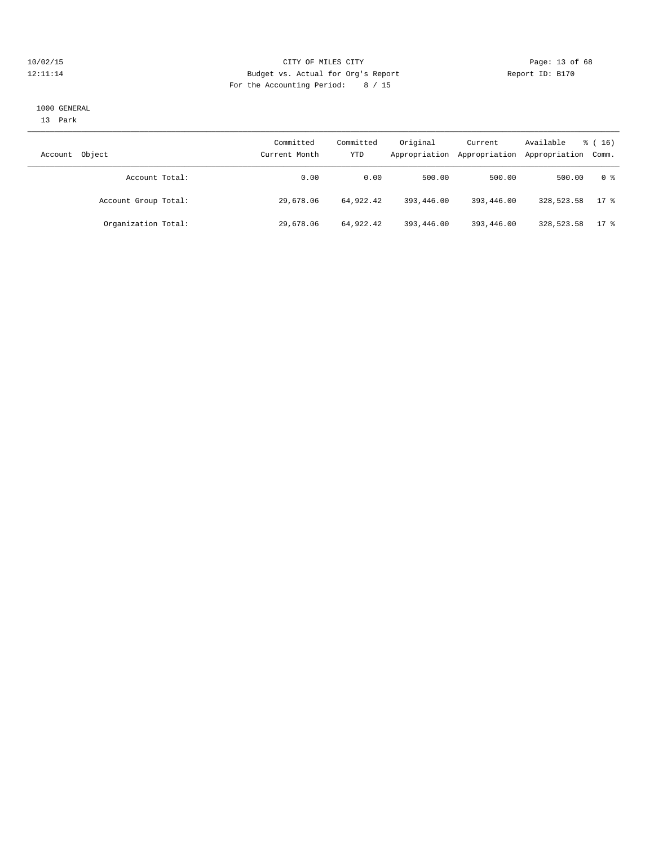## 10/02/15 **Page: 13 of 68** CITY OF MILES CITY **CITY Page: 13 of 68** 12:11:14 Budget vs. Actual for Org's Report Report ID: B170 For the Accounting Period: 8 / 15

#### 1000 GENERAL

13 Park

| Object<br>Account    | Committed<br>Current Month | Committed<br>YTD | Original<br>Appropriation | Current<br>Appropriation | Available<br>Appropriation Comm. | $\frac{3}{6}$ ( 16 ) |
|----------------------|----------------------------|------------------|---------------------------|--------------------------|----------------------------------|----------------------|
| Account Total:       | 0.00                       | 0.00             | 500.00                    | 500.00                   | 500.00                           | 0 %                  |
| Account Group Total: | 29,678.06                  | 64,922.42        | 393,446.00                | 393,446.00               | 328,523.58                       | $17$ %               |
| Organization Total:  | 29,678.06                  | 64,922.42        | 393,446.00                | 393,446.00               | 328,523.58                       | $17$ %               |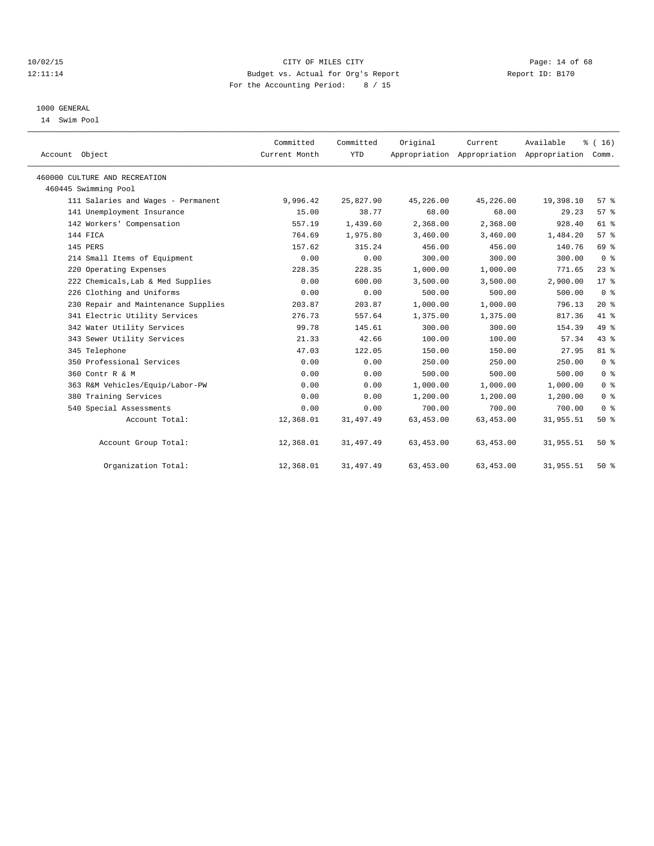## 10/02/15 **Page: 14 of 68** CITY OF MILES CITY **Page: 14 of 68** 12:11:14 Budget vs. Actual for Org's Report Report ID: B170 For the Accounting Period: 8 / 15

## 1000 GENERAL

14 Swim Pool

| Account Object                      | Committed<br>Current Month | Committed<br><b>YTD</b> | Original   | Current    | Available<br>Appropriation Appropriation Appropriation Comm. | % (16)          |
|-------------------------------------|----------------------------|-------------------------|------------|------------|--------------------------------------------------------------|-----------------|
| 460000 CULTURE AND RECREATION       |                            |                         |            |            |                                                              |                 |
| 460445 Swimming Pool                |                            |                         |            |            |                                                              |                 |
| 111 Salaries and Wages - Permanent  | 9,996.42                   | 25,827.90               | 45,226.00  | 45,226.00  | 19,398.10                                                    | 57 <sup>8</sup> |
| 141 Unemployment Insurance          | 15.00                      | 38.77                   | 68.00      | 68.00      | 29.23                                                        | 57%             |
| 142 Workers' Compensation           | 557.19                     | 1,439.60                | 2,368.00   | 2,368.00   | 928.40                                                       | 61 %            |
| 144 FICA                            | 764.69                     | 1,975.80                | 3,460.00   | 3,460.00   | 1,484.20                                                     | 57 <sup>8</sup> |
| 145 PERS                            | 157.62                     | 315.24                  | 456.00     | 456.00     | 140.76                                                       | 69 %            |
| 214 Small Items of Equipment        | 0.00                       | 0.00                    | 300.00     | 300.00     | 300.00                                                       | 0 <sup>8</sup>  |
| 220 Operating Expenses              | 228.35                     | 228.35                  | 1,000.00   | 1,000.00   | 771.65                                                       | $23$ $%$        |
| 222 Chemicals, Lab & Med Supplies   | 0.00                       | 600.00                  | 3,500.00   | 3.500.00   | 2,900.00                                                     | 17 <sup>8</sup> |
| 226 Clothing and Uniforms           | 0.00                       | 0.00                    | 500.00     | 500.00     | 500.00                                                       | 0 <sup>8</sup>  |
| 230 Repair and Maintenance Supplies | 203.87                     | 203.87                  | 1,000.00   | 1,000.00   | 796.13                                                       | $20*$           |
| 341 Electric Utility Services       | 276.73                     | 557.64                  | 1,375.00   | 1,375.00   | 817.36                                                       | 41 %            |
| 342 Water Utility Services          | 99.78                      | 145.61                  | 300.00     | 300.00     | 154.39                                                       | 49 %            |
| 343 Sewer Utility Services          | 21.33                      | 42.66                   | 100.00     | 100.00     | 57.34                                                        | 43 %            |
| 345 Telephone                       | 47.03                      | 122.05                  | 150.00     | 150.00     | 27.95                                                        | 81 %            |
| 350 Professional Services           | 0.00                       | 0.00                    | 250.00     | 250.00     | 250.00                                                       | 0 <sup>8</sup>  |
| 360 Contr R & M                     | 0.00                       | 0.00                    | 500.00     | 500.00     | 500.00                                                       | 0 <sup>8</sup>  |
| 363 R&M Vehicles/Equip/Labor-PW     | 0.00                       | 0.00                    | 1,000.00   | 1,000.00   | 1,000.00                                                     | 0 <sup>8</sup>  |
| 380 Training Services               | 0.00                       | 0.00                    | 1,200.00   | 1,200.00   | 1,200.00                                                     | 0 <sup>8</sup>  |
| 540 Special Assessments             | 0.00                       | 0.00                    | 700.00     | 700.00     | 700.00                                                       | 0 <sup>8</sup>  |
| Account Total:                      | 12,368.01                  | 31,497.49               | 63, 453.00 | 63,453.00  | 31,955.51                                                    | 50%             |
| Account Group Total:                | 12,368.01                  | 31,497.49               | 63,453.00  | 63,453.00  | 31,955.51                                                    | $50*$           |
| Organization Total:                 | 12,368.01                  | 31, 497.49              | 63, 453.00 | 63, 453.00 | 31,955.51                                                    | 50%             |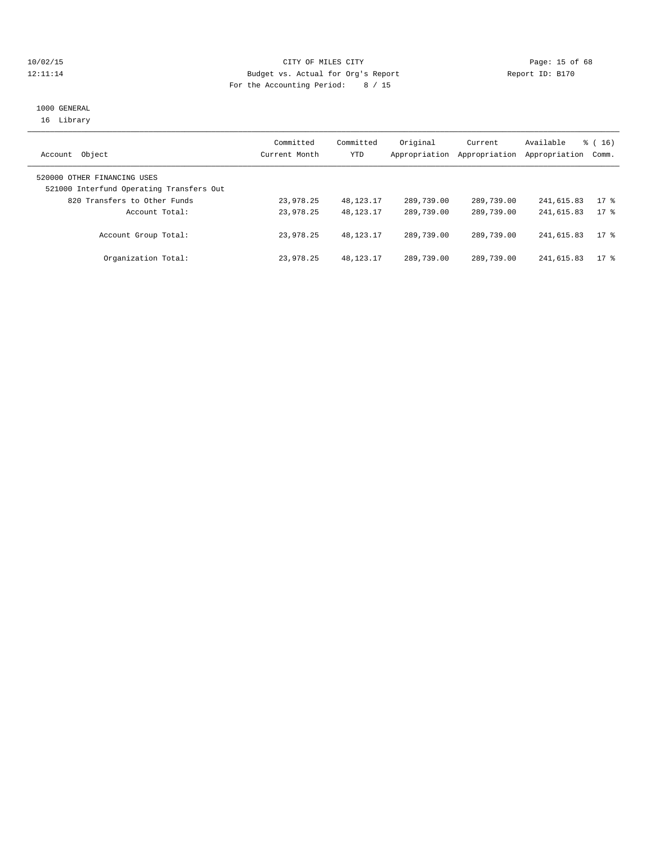## 10/02/15 **Page: 15 of 68** CITY OF MILES CITY **CITY** Page: 15 of 68 12:11:14 Budget vs. Actual for Org's Report Report ID: B170 For the Accounting Period: 8 / 15

## 1000 GENERAL 16 Library

| Object<br>Account                                                       | Committed<br>Current Month | Committed<br>YTD | Original<br>Appropriation | Current<br>Appropriation | Available<br>Appropriation | $\frac{1}{6}$ ( 16 )<br>Comm. |
|-------------------------------------------------------------------------|----------------------------|------------------|---------------------------|--------------------------|----------------------------|-------------------------------|
| 520000 OTHER FINANCING USES<br>521000 Interfund Operating Transfers Out |                            |                  |                           |                          |                            |                               |
| 820 Transfers to Other Funds                                            | 23,978.25                  | 48,123.17        | 289,739.00                | 289,739.00               | 241,615.83                 | 17 <sup>°</sup>               |
| Account Total:                                                          | 23,978.25                  | 48, 123, 17      | 289,739.00                | 289,739.00               | 241,615.83                 | 17 <sub>8</sub>               |
| Account Group Total:                                                    | 23,978.25                  | 48, 123, 17      | 289,739.00                | 289,739.00               | 241,615.83                 | 17 <sup>8</sup>               |
| Organization Total:                                                     | 23,978.25                  | 48, 123, 17      | 289,739.00                | 289,739.00               | 241,615.83                 | $17$ %                        |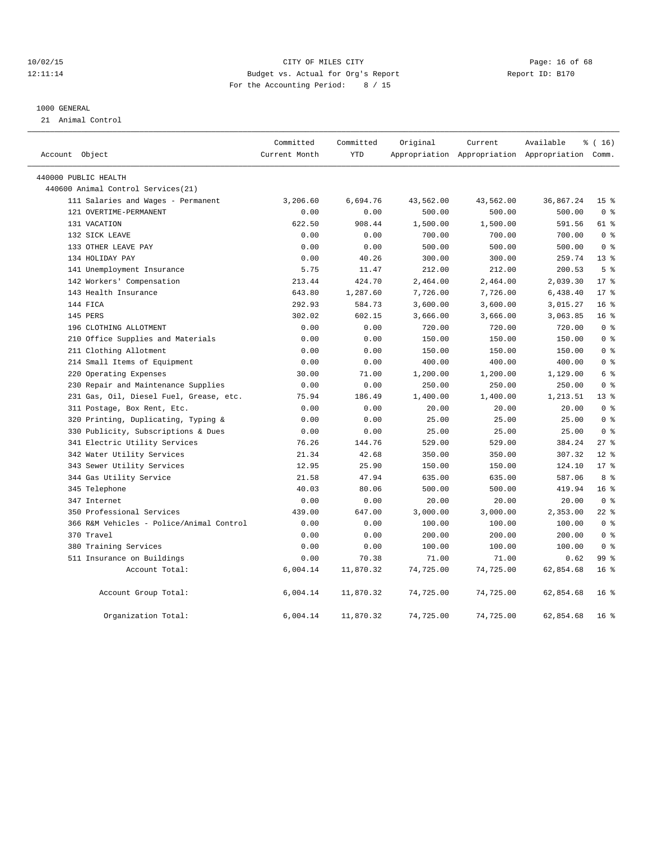## 10/02/15 **Page: 16 of 68** CITY OF MILES CITY **CITY** Page: 16 of 68 12:11:14 Budget vs. Actual for Org's Report Report ID: B170 For the Accounting Period: 8 / 15

#### 1000 GENERAL

21 Animal Control

|                |                                          | Committed     | Committed  | Original  | Current   | Available                                       | % (16)          |
|----------------|------------------------------------------|---------------|------------|-----------|-----------|-------------------------------------------------|-----------------|
| Account Object |                                          | Current Month | <b>YTD</b> |           |           | Appropriation Appropriation Appropriation Comm. |                 |
|                | 440000 PUBLIC HEALTH                     |               |            |           |           |                                                 |                 |
|                | 440600 Animal Control Services (21)      |               |            |           |           |                                                 |                 |
|                | 111 Salaries and Wages - Permanent       | 3,206.60      | 6,694.76   | 43,562.00 | 43,562.00 | 36,867.24                                       | 15 <sup>°</sup> |
|                | 121 OVERTIME-PERMANENT                   | 0.00          | 0.00       | 500.00    | 500.00    | 500.00                                          | 0 <sup>8</sup>  |
|                | 131 VACATION                             | 622.50        | 908.44     | 1,500.00  | 1,500.00  | 591.56                                          | 61 %            |
|                | 132 SICK LEAVE                           | 0.00          | 0.00       | 700.00    | 700.00    | 700.00                                          | 0 <sup>8</sup>  |
|                | 133 OTHER LEAVE PAY                      | 0.00          | 0.00       | 500.00    | 500.00    | 500.00                                          | 0 <sup>8</sup>  |
|                | 134 HOLIDAY PAY                          | 0.00          | 40.26      | 300.00    | 300.00    | 259.74                                          | $13*$           |
|                | 141 Unemployment Insurance               | 5.75          | 11.47      | 212.00    | 212.00    | 200.53                                          | 5 <sup>°</sup>  |
|                | 142 Workers' Compensation                | 213.44        | 424.70     | 2,464.00  | 2,464.00  | 2,039.30                                        | $17*$           |
|                | 143 Health Insurance                     | 643.80        | 1,287.60   | 7,726.00  | 7,726.00  | 6,438.40                                        | $17*$           |
|                | 144 FICA                                 | 292.93        | 584.73     | 3,600.00  | 3,600.00  | 3,015.27                                        | 16 <sup>°</sup> |
|                | 145 PERS                                 | 302.02        | 602.15     | 3,666.00  | 3,666.00  | 3,063.85                                        | 16 <sup>°</sup> |
|                | 196 CLOTHING ALLOTMENT                   | 0.00          | 0.00       | 720.00    | 720.00    | 720.00                                          | 0 <sup>8</sup>  |
|                | 210 Office Supplies and Materials        | 0.00          | 0.00       | 150.00    | 150.00    | 150.00                                          | 0 <sup>8</sup>  |
|                | 211 Clothing Allotment                   | 0.00          | 0.00       | 150.00    | 150.00    | 150.00                                          | 0 <sup>8</sup>  |
|                | 214 Small Items of Equipment             | 0.00          | 0.00       | 400.00    | 400.00    | 400.00                                          | 0 <sup>8</sup>  |
|                | 220 Operating Expenses                   | 30.00         | 71.00      | 1,200.00  | 1,200.00  | 1,129.00                                        | 6 %             |
|                | 230 Repair and Maintenance Supplies      | 0.00          | 0.00       | 250.00    | 250.00    | 250.00                                          | 0 <sup>8</sup>  |
|                | 231 Gas, Oil, Diesel Fuel, Grease, etc.  | 75.94         | 186.49     | 1,400.00  | 1,400.00  | 1,213.51                                        | $13*$           |
|                | 311 Postage, Box Rent, Etc.              | 0.00          | 0.00       | 20.00     | 20.00     | 20.00                                           | 0 <sup>8</sup>  |
|                | 320 Printing, Duplicating, Typing &      | 0.00          | 0.00       | 25.00     | 25.00     | 25.00                                           | 0 <sup>8</sup>  |
|                | 330 Publicity, Subscriptions & Dues      | 0.00          | 0.00       | 25.00     | 25.00     | 25.00                                           | 0 <sup>8</sup>  |
|                | 341 Electric Utility Services            | 76.26         | 144.76     | 529.00    | 529.00    | 384.24                                          | $27$ %          |
|                | 342 Water Utility Services               | 21.34         | 42.68      | 350.00    | 350.00    | 307.32                                          | $12*$           |
|                | 343 Sewer Utility Services               | 12.95         | 25.90      | 150.00    | 150.00    | 124.10                                          | $17*$           |
|                | 344 Gas Utility Service                  | 21.58         | 47.94      | 635.00    | 635.00    | 587.06                                          | 8 %             |
|                | 345 Telephone                            | 40.03         | 80.06      | 500.00    | 500.00    | 419.94                                          | 16 <sup>8</sup> |
|                | 347 Internet                             | 0.00          | 0.00       | 20.00     | 20.00     | 20.00                                           | 0 <sup>8</sup>  |
|                | 350 Professional Services                | 439.00        | 647.00     | 3,000.00  | 3,000.00  | 2,353.00                                        | $22$ %          |
|                | 366 R&M Vehicles - Police/Animal Control | 0.00          | 0.00       | 100.00    | 100.00    | 100.00                                          | 0 <sup>8</sup>  |
|                | 370 Travel                               | 0.00          | 0.00       | 200.00    | 200.00    | 200.00                                          | 0 <sup>8</sup>  |
|                | 380 Training Services                    | 0.00          | 0.00       | 100.00    | 100.00    | 100.00                                          | 0 <sup>8</sup>  |
|                | 511 Insurance on Buildings               | 0.00          | 70.38      | 71.00     | 71.00     | 0.62                                            | 99 <sub>8</sub> |
|                | Account Total:                           | 6,004.14      | 11,870.32  | 74,725.00 | 74,725.00 | 62,854.68                                       | 16 <sup>°</sup> |
|                | Account Group Total:                     | 6,004.14      | 11,870.32  | 74,725.00 | 74,725.00 | 62,854.68                                       | 16 <sup>°</sup> |
|                | Organization Total:                      | 6,004.14      | 11,870.32  | 74,725.00 | 74,725.00 | 62,854.68                                       | 16 <sup>8</sup> |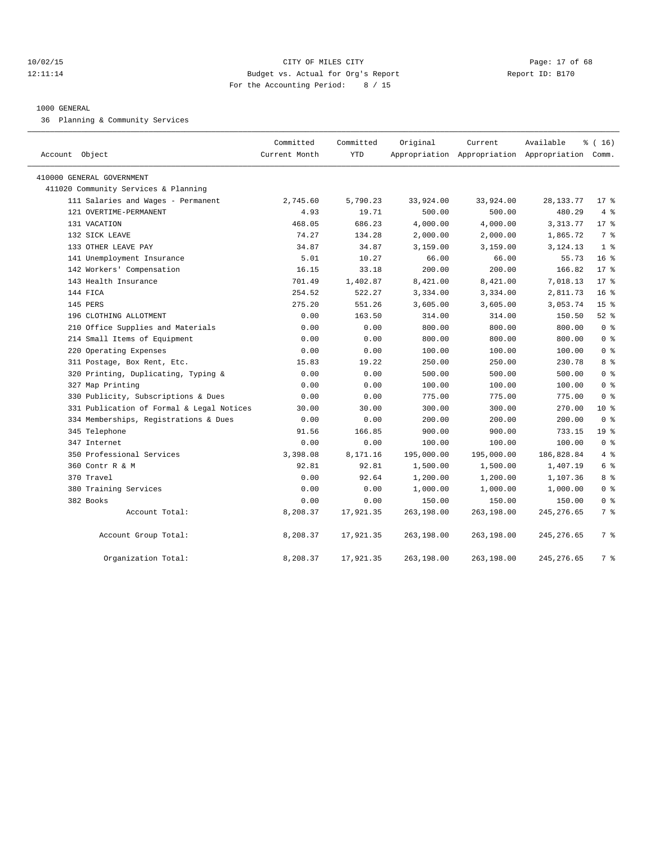## 10/02/15 **Page: 17 of 68** CITY OF MILES CITY **Page: 17 of 68** 12:11:14 Budget vs. Actual for Org's Report Report ID: B170 For the Accounting Period: 8 / 15

## 1000 GENERAL

36 Planning & Community Services

| Account Object                            | Committed<br>Current Month | Committed<br>YTD | Original   | Current    | Available<br>Appropriation Appropriation Appropriation Comm. | % (16)          |
|-------------------------------------------|----------------------------|------------------|------------|------------|--------------------------------------------------------------|-----------------|
| 410000 GENERAL GOVERNMENT                 |                            |                  |            |            |                                                              |                 |
| 411020 Community Services & Planning      |                            |                  |            |            |                                                              |                 |
| 111 Salaries and Wages - Permanent        | 2,745.60                   | 5,790.23         | 33,924.00  | 33,924.00  | 28,133.77                                                    | $17$ %          |
| 121 OVERTIME-PERMANENT                    | 4.93                       | 19.71            | 500.00     | 500.00     | 480.29                                                       | 4%              |
| 131 VACATION                              | 468.05                     | 686.23           | 4,000.00   | 4,000.00   | 3, 313.77                                                    | $17*$           |
| 132 SICK LEAVE                            | 74.27                      | 134.28           | 2,000.00   | 2,000.00   | 1,865.72                                                     | 7 <sup>8</sup>  |
| 133 OTHER LEAVE PAY                       | 34.87                      | 34.87            | 3,159.00   | 3,159.00   | 3,124.13                                                     | 1 <sup>8</sup>  |
| 141 Unemployment Insurance                | 5.01                       | 10.27            | 66.00      | 66.00      | 55.73                                                        | 16 <sup>8</sup> |
| 142 Workers' Compensation                 | 16.15                      | 33.18            | 200.00     | 200.00     | 166.82                                                       | $17*$           |
| 143 Health Insurance                      | 701.49                     | 1,402.87         | 8,421.00   | 8,421.00   | 7,018.13                                                     | $17*$           |
| 144 FICA                                  | 254.52                     | 522.27           | 3,334.00   | 3,334.00   | 2,811.73                                                     | 16 <sup>8</sup> |
| 145 PERS                                  | 275.20                     | 551.26           | 3,605.00   | 3,605.00   | 3,053.74                                                     | 15 <sup>°</sup> |
| 196 CLOTHING ALLOTMENT                    | 0.00                       | 163.50           | 314.00     | 314.00     | 150.50                                                       | $52*$           |
| 210 Office Supplies and Materials         | 0.00                       | 0.00             | 800.00     | 800.00     | 800.00                                                       | 0 <sup>8</sup>  |
| 214 Small Items of Equipment              | 0.00                       | 0.00             | 800.00     | 800.00     | 800.00                                                       | 0 <sup>8</sup>  |
| 220 Operating Expenses                    | 0.00                       | 0.00             | 100.00     | 100.00     | 100.00                                                       | 0 <sup>8</sup>  |
| 311 Postage, Box Rent, Etc.               | 15.83                      | 19.22            | 250.00     | 250.00     | 230.78                                                       | 8 %             |
| 320 Printing, Duplicating, Typing &       | 0.00                       | 0.00             | 500.00     | 500.00     | 500.00                                                       | 0 <sup>8</sup>  |
| 327 Map Printing                          | 0.00                       | 0.00             | 100.00     | 100.00     | 100.00                                                       | 0 <sup>8</sup>  |
| 330 Publicity, Subscriptions & Dues       | 0.00                       | 0.00             | 775.00     | 775.00     | 775.00                                                       | 0 <sup>8</sup>  |
| 331 Publication of Formal & Legal Notices | 30.00                      | 30.00            | 300.00     | 300.00     | 270.00                                                       | $10*$           |
| 334 Memberships, Registrations & Dues     | 0.00                       | 0.00             | 200.00     | 200.00     | 200.00                                                       | 0 <sup>8</sup>  |
| 345 Telephone                             | 91.56                      | 166.85           | 900.00     | 900.00     | 733.15                                                       | 19 <sup>°</sup> |
| 347 Internet                              | 0.00                       | 0.00             | 100.00     | 100.00     | 100.00                                                       | 0 <sup>8</sup>  |
| 350 Professional Services                 | 3,398.08                   | 8,171.16         | 195,000.00 | 195,000.00 | 186,828.84                                                   | 4%              |
| 360 Contr R & M                           | 92.81                      | 92.81            | 1,500.00   | 1,500.00   | 1,407.19                                                     | 6 %             |
| 370 Travel                                | 0.00                       | 92.64            | 1,200.00   | 1,200.00   | 1,107.36                                                     | 8 %             |
| 380 Training Services                     | 0.00                       | 0.00             | 1,000.00   | 1,000.00   | 1,000.00                                                     | 0 <sup>8</sup>  |
| 382 Books                                 | 0.00                       | 0.00             | 150.00     | 150.00     | 150.00                                                       | 0 <sup>8</sup>  |
| Account Total:                            | 8,208.37                   | 17,921.35        | 263,198.00 | 263,198.00 | 245, 276.65                                                  | 7 %             |
| Account Group Total:                      | 8,208.37                   | 17,921.35        | 263,198.00 | 263,198.00 | 245, 276.65                                                  | 7 %             |
| Organization Total:                       | 8,208.37                   | 17,921.35        | 263,198.00 | 263,198.00 | 245, 276.65                                                  | 7 %             |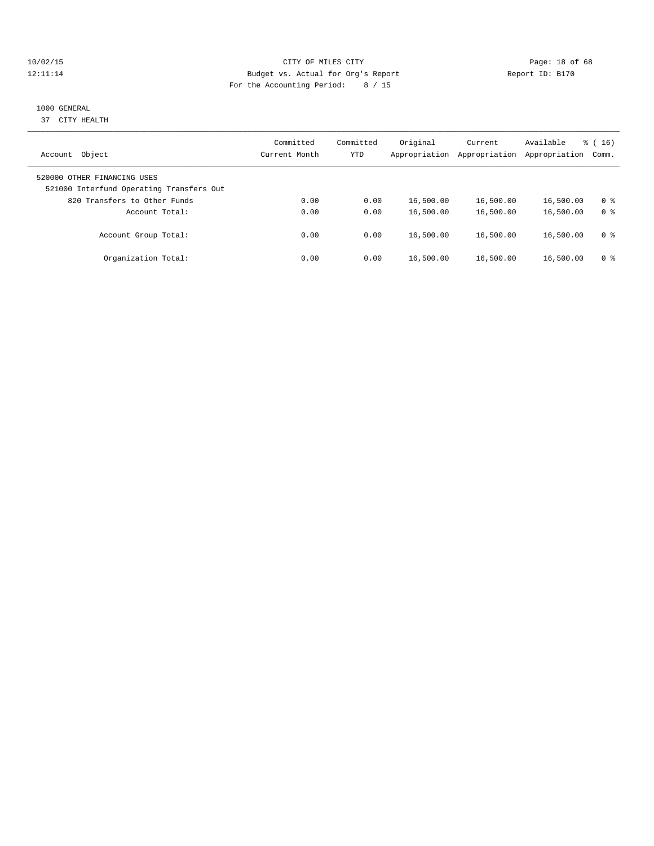## 10/02/15 **Page: 18 of 68** CITY OF MILES CITY **CITY** CITY **Page: 18 of 68** 12:11:14 Budget vs. Actual for Org's Report Report ID: B170 For the Accounting Period: 8 / 15

## 1000 GENERAL

37 CITY HEALTH

| Object<br>Account                                                       | Committed<br>Current Month | Committed<br>YTD | Original<br>Appropriation | Current<br>Appropriation | Available<br>Appropriation | $\frac{3}{6}$ ( 16 )<br>Comm. |
|-------------------------------------------------------------------------|----------------------------|------------------|---------------------------|--------------------------|----------------------------|-------------------------------|
| 520000 OTHER FINANCING USES<br>521000 Interfund Operating Transfers Out |                            |                  |                           |                          |                            |                               |
| 820 Transfers to Other Funds                                            | 0.00                       | 0.00             | 16,500.00                 | 16,500.00                | 16,500.00                  | 0 ક                           |
| Account Total:<br>Account Group Total:                                  | 0.00<br>0.00               | 0.00<br>0.00     | 16,500.00<br>16,500.00    | 16,500.00<br>16,500.00   | 16,500.00<br>16,500.00     | 0 <sup>8</sup><br>0 ક         |
| Organization Total:                                                     | 0.00                       | 0.00             | 16,500.00                 | 16,500.00                | 16,500.00                  | 0 ક                           |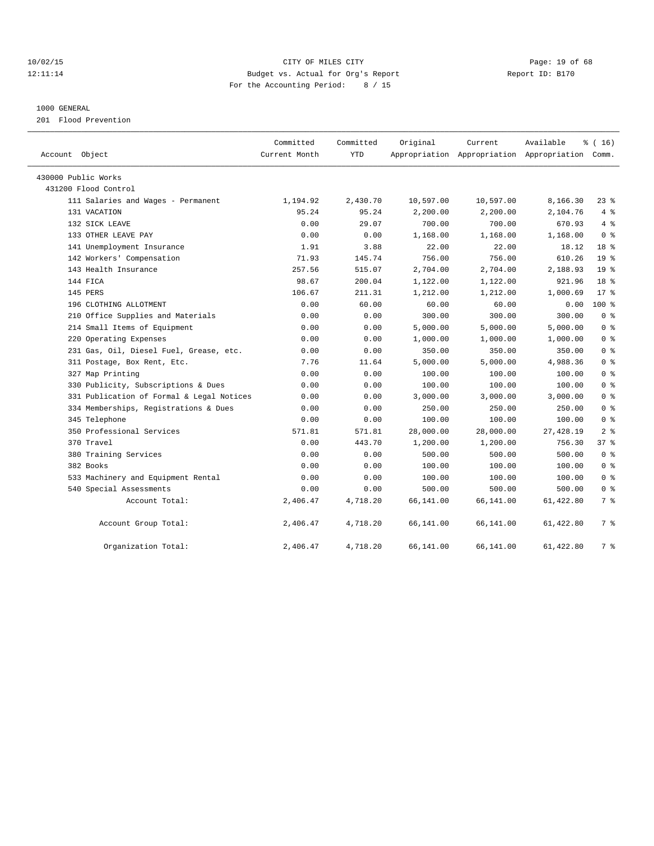## 10/02/15 **Page: 19 of 68** CITY OF MILES CITY **CITY** Page: 19 of 68 12:11:14 Budget vs. Actual for Org's Report Report ID: B170 For the Accounting Period: 8 / 15

## 1000 GENERAL

201 Flood Prevention

| Account Object                            | Committed<br>Current Month | Committed<br><b>YTD</b> | Original  | Current   | Available<br>Appropriation Appropriation Appropriation Comm. | % (16)          |
|-------------------------------------------|----------------------------|-------------------------|-----------|-----------|--------------------------------------------------------------|-----------------|
| 430000 Public Works                       |                            |                         |           |           |                                                              |                 |
| 431200 Flood Control                      |                            |                         |           |           |                                                              |                 |
| 111 Salaries and Wages - Permanent        | 1,194.92                   | 2,430.70                | 10,597.00 | 10,597.00 | 8,166.30                                                     | $23$ %          |
| 131 VACATION                              | 95.24                      | 95.24                   | 2,200.00  | 2,200.00  | 2,104.76                                                     | 4%              |
| 132 SICK LEAVE                            | 0.00                       | 29.07                   | 700.00    | 700.00    | 670.93                                                       | 4%              |
| 133 OTHER LEAVE PAY                       | 0.00                       | 0.00                    | 1,168.00  | 1,168.00  | 1,168.00                                                     | 0 <sup>8</sup>  |
| 141 Unemployment Insurance                | 1.91                       | 3.88                    | 22.00     | 22.00     | 18.12                                                        | 18 <sup>8</sup> |
| 142 Workers' Compensation                 | 71.93                      | 145.74                  | 756.00    | 756.00    | 610.26                                                       | 19 <sup>°</sup> |
| 143 Health Insurance                      | 257.56                     | 515.07                  | 2,704.00  | 2,704.00  | 2,188.93                                                     | 19 <sup>°</sup> |
| 144 FICA                                  | 98.67                      | 200.04                  | 1,122.00  | 1,122.00  | 921.96                                                       | 18 <sup>8</sup> |
| 145 PERS                                  | 106.67                     | 211.31                  | 1,212.00  | 1,212.00  | 1,000.69                                                     | $17*$           |
| 196 CLOTHING ALLOTMENT                    | 0.00                       | 60.00                   | 60.00     | 60.00     | 0.00                                                         | $100*$          |
| 210 Office Supplies and Materials         | 0.00                       | 0.00                    | 300.00    | 300.00    | 300.00                                                       | 0 <sup>8</sup>  |
| 214 Small Items of Equipment              | 0.00                       | 0.00                    | 5,000.00  | 5,000.00  | 5,000.00                                                     | 0 <sup>8</sup>  |
| 220 Operating Expenses                    | 0.00                       | 0.00                    | 1,000.00  | 1,000.00  | 1,000.00                                                     | 0 <sup>8</sup>  |
| 231 Gas, Oil, Diesel Fuel, Grease, etc.   | 0.00                       | 0.00                    | 350.00    | 350.00    | 350.00                                                       | 0 <sup>8</sup>  |
| 311 Postage, Box Rent, Etc.               | 7.76                       | 11.64                   | 5,000.00  | 5,000.00  | 4,988.36                                                     | 0 <sup>8</sup>  |
| 327 Map Printing                          | 0.00                       | 0.00                    | 100.00    | 100.00    | 100.00                                                       | 0 <sup>8</sup>  |
| 330 Publicity, Subscriptions & Dues       | 0.00                       | 0.00                    | 100.00    | 100.00    | 100.00                                                       | 0 <sup>8</sup>  |
| 331 Publication of Formal & Legal Notices | 0.00                       | 0.00                    | 3,000.00  | 3,000.00  | 3,000.00                                                     | 0 <sup>8</sup>  |
| 334 Memberships, Registrations & Dues     | 0.00                       | 0.00                    | 250.00    | 250.00    | 250.00                                                       | 0 <sup>8</sup>  |
| 345 Telephone                             | 0.00                       | 0.00                    | 100.00    | 100.00    | 100.00                                                       | 0 <sup>8</sup>  |
| 350 Professional Services                 | 571.81                     | 571.81                  | 28,000.00 | 28,000.00 | 27,428.19                                                    | 2 <sup>8</sup>  |
| 370 Travel                                | 0.00                       | 443.70                  | 1,200.00  | 1,200.00  | 756.30                                                       | 378             |
| 380 Training Services                     | 0.00                       | 0.00                    | 500.00    | 500.00    | 500.00                                                       | 0 <sup>8</sup>  |
| 382 Books                                 | 0.00                       | 0.00                    | 100.00    | 100.00    | 100.00                                                       | 0 <sup>8</sup>  |
| 533 Machinery and Equipment Rental        | 0.00                       | 0.00                    | 100.00    | 100.00    | 100.00                                                       | 0 <sup>8</sup>  |
| 540 Special Assessments                   | 0.00                       | 0.00                    | 500.00    | 500.00    | 500.00                                                       | 0 <sup>8</sup>  |
| Account Total:                            | 2,406.47                   | 4,718.20                | 66,141.00 | 66,141.00 | 61,422.80                                                    | 7 %             |
| Account Group Total:                      | 2,406.47                   | 4,718.20                | 66,141.00 | 66,141.00 | 61,422.80                                                    | 7 %             |
| Organization Total:                       | 2,406.47                   | 4,718.20                | 66,141.00 | 66,141.00 | 61,422.80                                                    | 7 %             |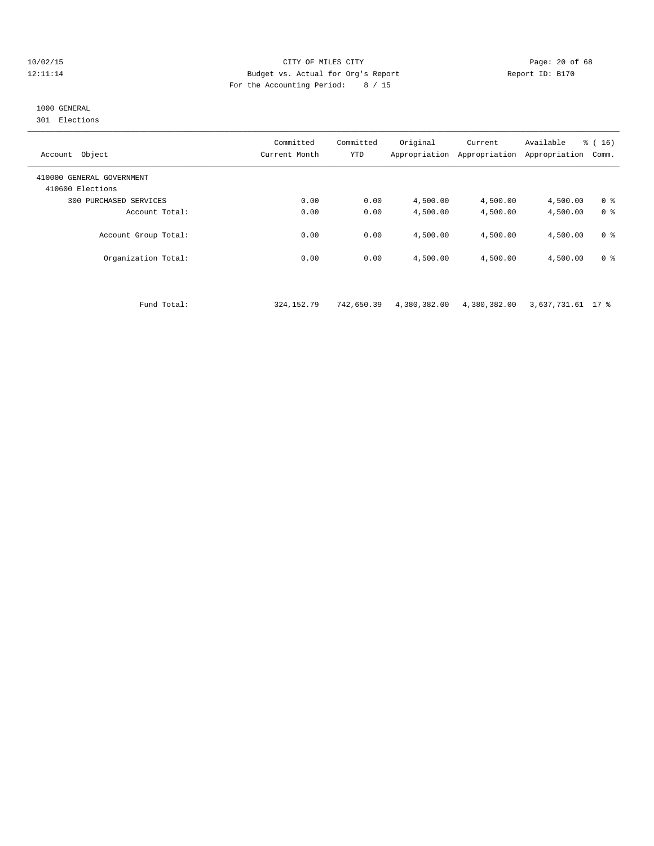## 10/02/15 **Page: 20 of 68** CITY OF MILES CITY **CITY Page: 20 of 68** 12:11:14 Budget vs. Actual for Org's Report Report ID: B170 For the Accounting Period: 8 / 15

## 1000 GENERAL

301 Elections

| Object<br>Account                             | Committed<br>Current Month | Committed<br><b>YTD</b> | Original<br>Appropriation | Current<br>Appropriation | Available<br>Appropriation | $\frac{1}{6}$ ( 16 )<br>Comm. |
|-----------------------------------------------|----------------------------|-------------------------|---------------------------|--------------------------|----------------------------|-------------------------------|
| 410000 GENERAL GOVERNMENT<br>410600 Elections |                            |                         |                           |                          |                            |                               |
| 300 PURCHASED SERVICES                        | 0.00                       | 0.00                    | 4,500.00                  | 4,500.00                 | 4,500.00                   | 0 <sup>8</sup>                |
| Account Total:                                | 0.00                       | 0.00                    | 4,500.00                  | 4,500.00                 | 4,500.00                   | 0 <sup>8</sup>                |
| Account Group Total:                          | 0.00                       | 0.00                    | 4,500.00                  | 4,500.00                 | 4,500.00                   | 0 <sup>8</sup>                |
| Organization Total:                           | 0.00                       | 0.00                    | 4,500.00                  | 4,500.00                 | 4,500.00                   | 0 <sup>8</sup>                |
|                                               |                            |                         |                           |                          |                            |                               |

Fund Total: 324,152.79 742,650.39 4,380,382.00 4,380,382.00 3,637,731.61 17 %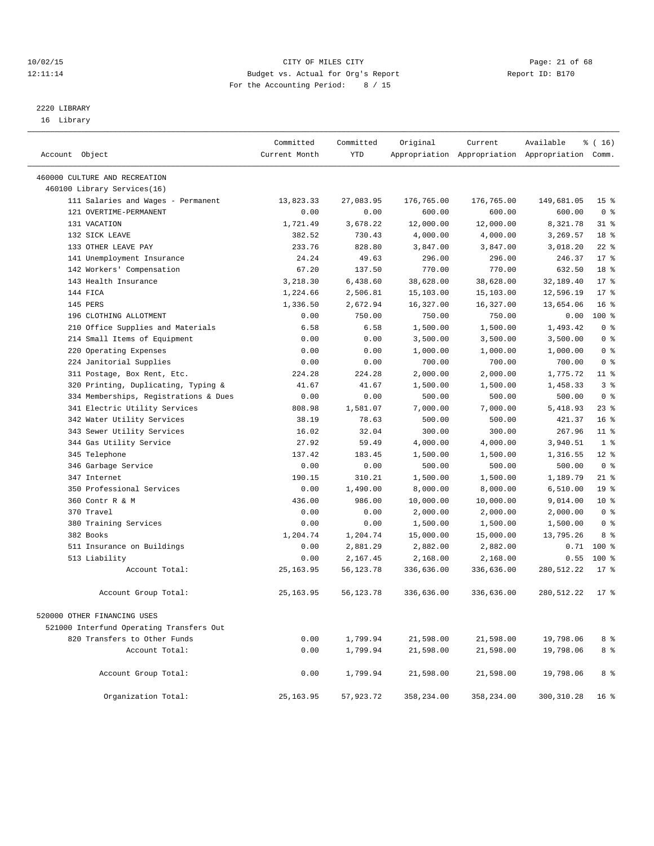## 10/02/15 **Page: 21 of 68** CITY OF MILES CITY **CITY** Page: 21 of 68 12:11:14 Budget vs. Actual for Org's Report Report ID: B170 For the Accounting Period: 8 / 15

————————————————————————————————————————————————————————————————————————————————————————————————————————————————————————————————————

## 2220 LIBRARY

16 Library

|                                          | Committed     | Committed  | Original   | Current    | Available                                       | $\frac{3}{6}$ ( 16 ) |
|------------------------------------------|---------------|------------|------------|------------|-------------------------------------------------|----------------------|
| Account Object                           | Current Month | <b>YTD</b> |            |            | Appropriation Appropriation Appropriation Comm. |                      |
| 460000 CULTURE AND RECREATION            |               |            |            |            |                                                 |                      |
| 460100 Library Services(16)              |               |            |            |            |                                                 |                      |
| 111 Salaries and Wages - Permanent       | 13,823.33     | 27,083.95  | 176,765.00 | 176,765.00 | 149,681.05                                      | 15 <sub>8</sub>      |
| 121 OVERTIME-PERMANENT                   | 0.00          | 0.00       | 600.00     | 600.00     | 600.00                                          | 0 <sup>8</sup>       |
| 131 VACATION                             | 1,721.49      | 3,678.22   | 12,000.00  | 12,000.00  | 8,321.78                                        | 31.8                 |
| 132 SICK LEAVE                           | 382.52        | 730.43     | 4,000.00   | 4,000.00   | 3,269.57                                        | 18 <sup>8</sup>      |
| 133 OTHER LEAVE PAY                      | 233.76        | 828.80     | 3,847.00   | 3,847.00   | 3,018.20                                        | $22$ %               |
| 141 Unemployment Insurance               | 24.24         | 49.63      | 296.00     | 296.00     | 246.37                                          | $17*$                |
| 142 Workers' Compensation                | 67.20         | 137.50     | 770.00     | 770.00     | 632.50                                          | 18 <sup>8</sup>      |
| 143 Health Insurance                     | 3,218.30      | 6,438.60   | 38,628.00  | 38,628.00  | 32,189.40                                       | $17*$                |
| 144 FICA                                 | 1,224.66      | 2,506.81   | 15,103.00  | 15,103.00  | 12,596.19                                       | $17*$                |
| 145 PERS                                 | 1,336.50      | 2,672.94   | 16,327.00  | 16,327.00  | 13,654.06                                       | 16 <sup>8</sup>      |
| 196 CLOTHING ALLOTMENT                   | 0.00          | 750.00     | 750.00     | 750.00     | 0.00                                            | $100$ %              |
| 210 Office Supplies and Materials        | 6.58          | 6.58       | 1,500.00   | 1,500.00   | 1,493.42                                        | 0 <sup>8</sup>       |
| 214 Small Items of Equipment             | 0.00          | 0.00       | 3,500.00   | 3,500.00   | 3,500.00                                        | 0 <sup>8</sup>       |
| 220 Operating Expenses                   | 0.00          | 0.00       | 1,000.00   | 1,000.00   | 1,000.00                                        | 0 <sup>8</sup>       |
| 224 Janitorial Supplies                  | 0.00          | 0.00       | 700.00     | 700.00     | 700.00                                          | 0 <sup>8</sup>       |
| 311 Postage, Box Rent, Etc.              | 224.28        | 224.28     | 2,000.00   | 2,000.00   | 1,775.72                                        | $11$ %               |
| 320 Printing, Duplicating, Typing &      | 41.67         | 41.67      | 1,500.00   | 1,500.00   | 1,458.33                                        | 3 <sup>°</sup>       |
| 334 Memberships, Registrations & Dues    | 0.00          | 0.00       | 500.00     | 500.00     | 500.00                                          | 0 <sup>8</sup>       |
| 341 Electric Utility Services            | 808.98        | 1,581.07   | 7,000.00   | 7,000.00   | 5,418.93                                        | $23$ %               |
| 342 Water Utility Services               | 38.19         | 78.63      | 500.00     | 500.00     | 421.37                                          | 16 <sup>8</sup>      |
| 343 Sewer Utility Services               | 16.02         | 32.04      | 300.00     | 300.00     | 267.96                                          | $11$ %               |
| 344 Gas Utility Service                  | 27.92         | 59.49      | 4,000.00   | 4,000.00   | 3,940.51                                        | 1 <sup>8</sup>       |
| 345 Telephone                            | 137.42        | 183.45     | 1,500.00   | 1,500.00   | 1,316.55                                        | $12*$                |
| 346 Garbage Service                      | 0.00          | 0.00       | 500.00     | 500.00     | 500.00                                          | 0 <sup>8</sup>       |
| 347 Internet                             | 190.15        | 310.21     | 1,500.00   | 1,500.00   | 1,189.79                                        | $21$ %               |
| 350 Professional Services                | 0.00          | 1,490.00   | 8,000.00   | 8,000.00   | 6,510.00                                        | 19 <sup>°</sup>      |
| 360 Contr R & M                          | 436.00        | 986.00     | 10,000.00  | 10,000.00  | 9,014.00                                        | $10*$                |
| 370 Travel                               | 0.00          | 0.00       | 2,000.00   | 2,000.00   | 2,000.00                                        | 0 <sup>8</sup>       |
| 380 Training Services                    | 0.00          | 0.00       | 1,500.00   | 1,500.00   | 1,500.00                                        | 0 <sup>8</sup>       |
| 382 Books                                | 1,204.74      | 1,204.74   | 15,000.00  | 15,000.00  | 13,795.26                                       | 8 %                  |
| 511 Insurance on Buildings               | 0.00          | 2,881.29   | 2,882.00   | 2,882.00   | 0.71                                            | $100$ %              |
| 513 Liability                            | 0.00          | 2,167.45   | 2,168.00   | 2,168.00   | 0.55                                            | 100 %                |
| Account Total:                           | 25, 163.95    | 56,123.78  | 336,636.00 | 336,636.00 | 280,512.22                                      | $17$ %               |
| Account Group Total:                     | 25, 163.95    | 56,123.78  | 336,636.00 | 336,636.00 | 280,512.22                                      | 17 <sub>8</sub>      |
| 520000 OTHER FINANCING USES              |               |            |            |            |                                                 |                      |
| 521000 Interfund Operating Transfers Out |               |            |            |            |                                                 |                      |
| 820 Transfers to Other Funds             | 0.00          | 1,799.94   | 21,598.00  | 21,598.00  | 19,798.06                                       | 8 %                  |
| Account Total:                           | 0.00          | 1,799.94   | 21,598.00  | 21,598.00  | 19,798.06                                       | 8 %                  |
| Account Group Total:                     | 0.00          | 1,799.94   | 21,598.00  | 21,598.00  | 19,798.06                                       | 8%                   |
| Organization Total:                      | 25, 163.95    | 57,923.72  | 358,234.00 | 358,234.00 | 300, 310.28                                     | 16 %                 |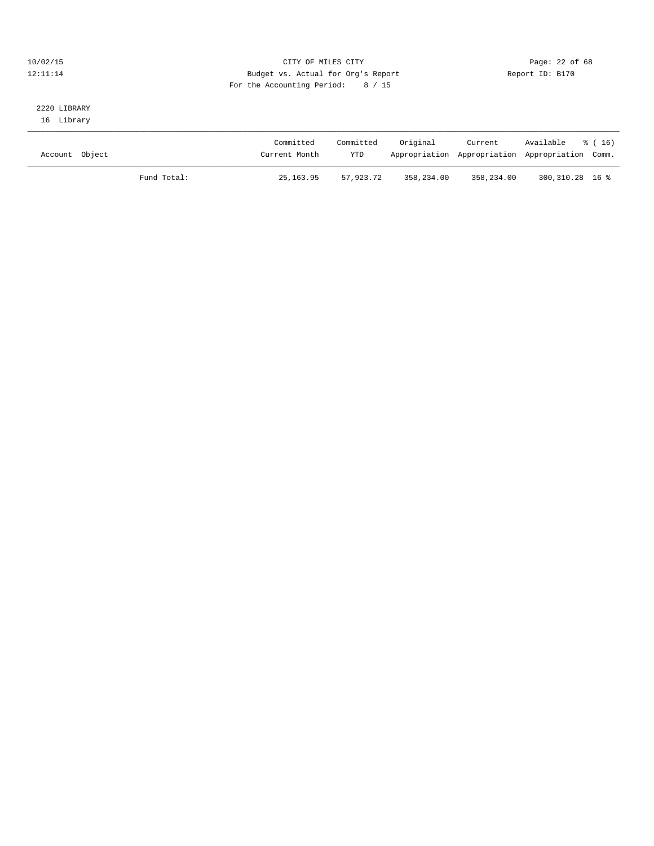## 10/02/15 **Page: 22 of 68** CITY OF MILES CITY **Page: 22 of 68** 12:11:14 Budget vs. Actual for Org's Report Report ID: B170 For the Accounting Period: 8 / 15

## 2220 LIBRARY 16 Library

| Account Object |             | Committed<br>Current Month | Committed<br><b>YTD</b> | Original   | Current    | Available<br>Appropriation Appropriation Appropriation Comm. | * (16) |
|----------------|-------------|----------------------------|-------------------------|------------|------------|--------------------------------------------------------------|--------|
|                | Fund Total: | 25,163.95                  | 57,923.72               | 358,234.00 | 358,234.00 | 300,310.28 16 %                                              |        |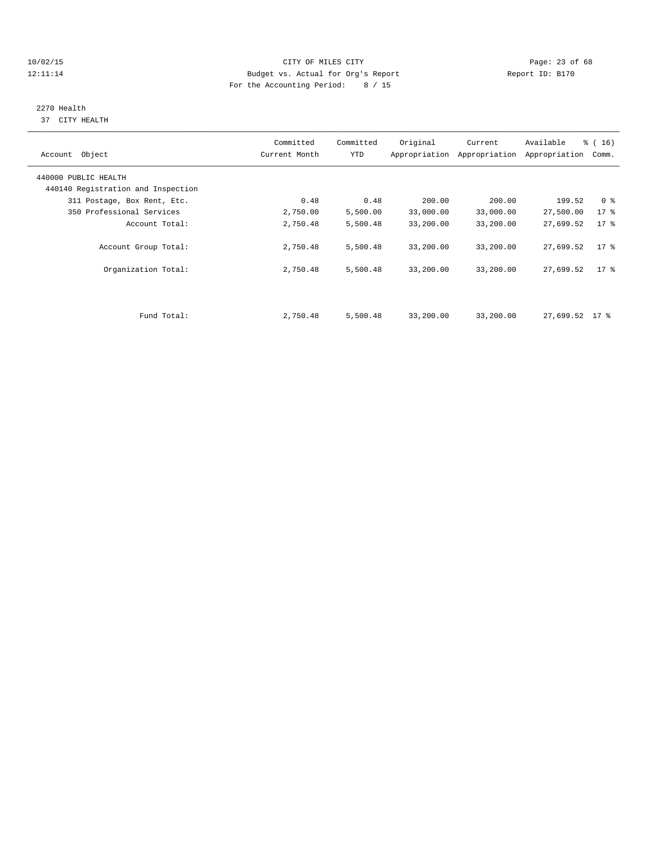## 10/02/15 **Page: 23 of 68** CITY OF MILES CITY **CITY** CITY **Page: 23 of 68** 12:11:14 Budget vs. Actual for Org's Report Report ID: B170 For the Accounting Period: 8 / 15

# 2270 Health

37 CITY HEALTH

| Account Object                     | Committed<br>Current Month | Committed<br>YTD | Original  | Current<br>Appropriation Appropriation | Available<br>Appropriation | $\frac{3}{6}$ ( 16 )<br>Comm. |
|------------------------------------|----------------------------|------------------|-----------|----------------------------------------|----------------------------|-------------------------------|
| 440000 PUBLIC HEALTH               |                            |                  |           |                                        |                            |                               |
| 440140 Registration and Inspection |                            |                  |           |                                        |                            |                               |
| 311 Postage, Box Rent, Etc.        | 0.48                       | 0.48             | 200.00    | 200.00                                 | 199.52                     | 0 <sup>8</sup>                |
| 350 Professional Services          | 2,750.00                   | 5,500.00         | 33,000.00 | 33,000.00                              | 27,500.00                  | $17*$                         |
| Account Total:                     | 2,750.48                   | 5,500.48         | 33,200.00 | 33,200.00                              | 27,699.52                  | 17 <sup>°</sup>               |
| Account Group Total:               | 2,750.48                   | 5,500.48         | 33,200.00 | 33,200.00                              | 27,699.52                  | $17$ %                        |
| Organization Total:                | 2,750.48                   | 5,500.48         | 33,200.00 | 33,200.00                              | 27,699.52                  | $17$ %                        |
|                                    |                            |                  |           |                                        |                            |                               |
| Fund Total:                        | 2,750.48                   | 5,500.48         | 33,200.00 | 33,200.00                              | $27,699.52$ 17 %           |                               |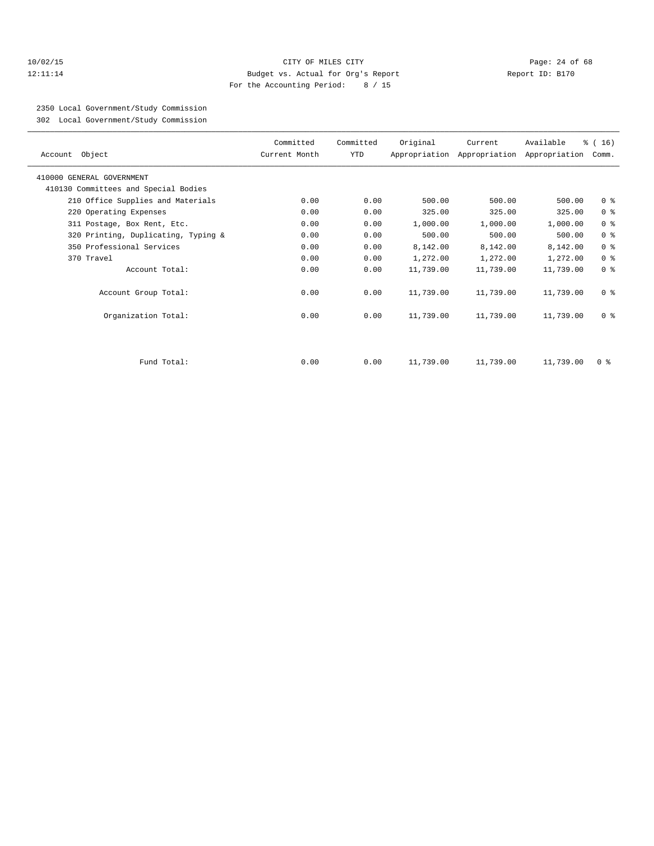## 10/02/15 **Page: 24 of 68** CITY OF MILES CITY **CITY Page: 24 of 68** 12:11:14 Budget vs. Actual for Org's Report Report ID: B170 For the Accounting Period: 8 / 15

2350 Local Government/Study Commission

302 Local Government/Study Commission

| Account Object                       | Committed<br>Current Month | Committed<br>YTD | Original  | Current   | Available<br>Appropriation Appropriation Appropriation | % (16)<br>Comm. |
|--------------------------------------|----------------------------|------------------|-----------|-----------|--------------------------------------------------------|-----------------|
| 410000 GENERAL GOVERNMENT            |                            |                  |           |           |                                                        |                 |
| 410130 Committees and Special Bodies |                            |                  |           |           |                                                        |                 |
| 210 Office Supplies and Materials    | 0.00                       | 0.00             | 500.00    | 500.00    | 500.00                                                 | 0 <sup>8</sup>  |
| 220 Operating Expenses               | 0.00                       | 0.00             | 325.00    | 325.00    | 325.00                                                 | 0 <sup>°</sup>  |
| 311 Postage, Box Rent, Etc.          | 0.00                       | 0.00             | 1,000.00  | 1,000.00  | 1,000.00                                               | 0 <sup>8</sup>  |
| 320 Printing, Duplicating, Typing &  | 0.00                       | 0.00             | 500.00    | 500.00    | 500.00                                                 | 0 <sup>8</sup>  |
| 350 Professional Services            | 0.00                       | 0.00             | 8,142.00  | 8,142.00  | 8,142.00                                               | 0 <sup>8</sup>  |
| 370 Travel                           | 0.00                       | 0.00             | 1,272.00  | 1,272.00  | 1,272.00                                               | 0 <sup>8</sup>  |
| Account Total:                       | 0.00                       | 0.00             | 11,739.00 | 11,739.00 | 11,739.00                                              | 0 <sup>8</sup>  |
| Account Group Total:                 | 0.00                       | 0.00             | 11,739.00 | 11,739.00 | 11,739.00                                              | 0 <sup>8</sup>  |
| Organization Total:                  | 0.00                       | 0.00             | 11,739.00 | 11,739.00 | 11,739.00                                              | 0 <sup>8</sup>  |
|                                      |                            |                  |           |           |                                                        |                 |
| Fund Total:                          | 0.00                       | 0.00             | 11,739.00 | 11,739.00 | 11,739.00                                              | 0 <sup>8</sup>  |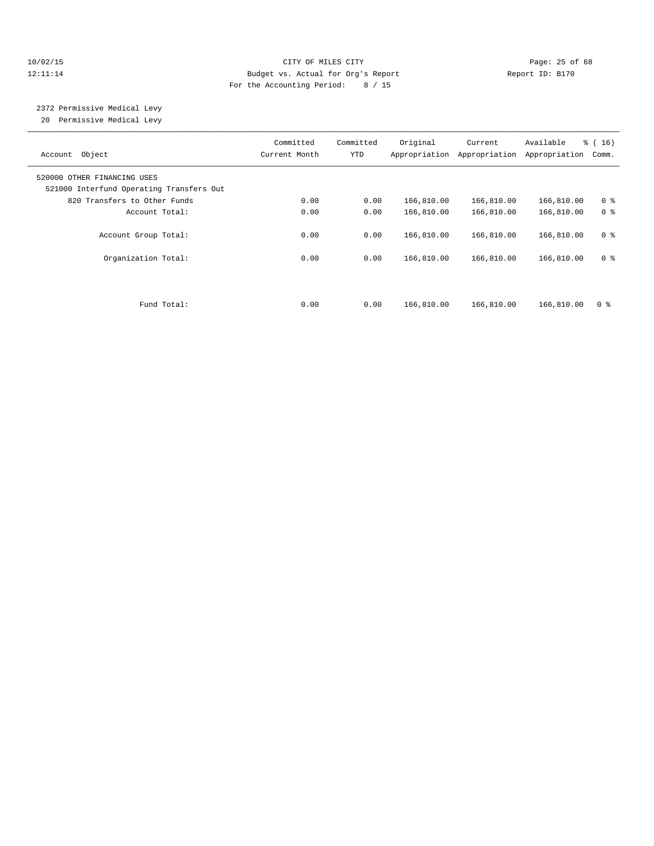## 10/02/15 **Page: 25 of 68** CITY OF MILES CITY **CITY Page: 25 of 68** 12:11:14 Budget vs. Actual for Org's Report Report ID: B170 For the Accounting Period: 8 / 15

 2372 Permissive Medical Levy 20 Permissive Medical Levy

| Object<br>Account                                                       | Committed<br>Current Month | Committed<br>YTD | Original<br>Appropriation | Current<br>Appropriation | Available<br>Appropriation | % (16)<br>Comm. |
|-------------------------------------------------------------------------|----------------------------|------------------|---------------------------|--------------------------|----------------------------|-----------------|
| 520000 OTHER FINANCING USES<br>521000 Interfund Operating Transfers Out |                            |                  |                           |                          |                            |                 |
| 820 Transfers to Other Funds                                            | 0.00                       | 0.00             | 166,810.00                | 166,810.00               | 166,810.00                 | 0 <sup>8</sup>  |
| Account Total:                                                          | 0.00                       | 0.00             | 166,810.00                | 166,810.00               | 166,810.00                 | 0 <sup>8</sup>  |
| Account Group Total:                                                    | 0.00                       | 0.00             | 166,810.00                | 166,810.00               | 166,810.00                 | 0 <sup>8</sup>  |
| Organization Total:                                                     | 0.00                       | 0.00             | 166,810.00                | 166,810.00               | 166,810.00                 | 0 <sup>8</sup>  |
| Fund Total:                                                             | 0.00                       | 0.00             | 166,810.00                | 166,810.00               | 166,810.00                 | 0 <sup>8</sup>  |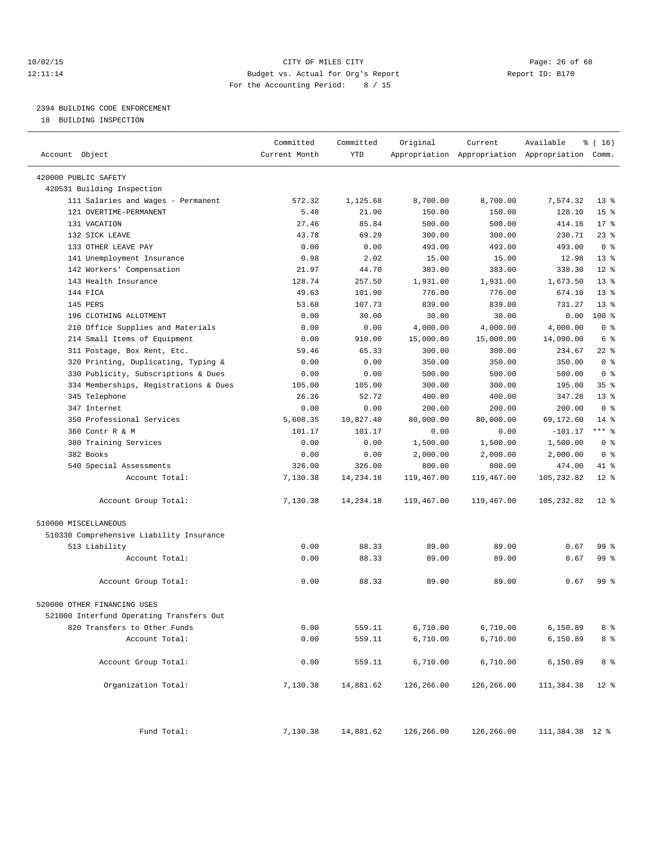## 10/02/15 **Page: 26 of 68** CITY OF MILES CITY **CITY Page: 26 of 68** 12:11:14 Budget vs. Actual for Org's Report Report ID: B170 For the Accounting Period: 8 / 15

————————————————————————————————————————————————————————————————————————————————————————————————————————————————————————————————————

## 2394 BUILDING CODE ENFORCEMENT

18 BUILDING INSPECTION

|                                          | Committed     | Committed  | Original   | Current    | Available                                       | $\frac{1}{6}$ ( 16 ) |
|------------------------------------------|---------------|------------|------------|------------|-------------------------------------------------|----------------------|
| Account Object                           | Current Month | <b>YTD</b> |            |            | Appropriation Appropriation Appropriation Comm. |                      |
| 420000 PUBLIC SAFETY                     |               |            |            |            |                                                 |                      |
| 420531 Building Inspection               |               |            |            |            |                                                 |                      |
| 111 Salaries and Wages - Permanent       | 572.32        | 1,125.68   | 8,700.00   | 8,700.00   | 7,574.32                                        | 13 <sup>°</sup>      |
| 121 OVERTIME-PERMANENT                   | 5.48          | 21.90      | 150.00     | 150.00     | 128.10                                          | 15 <sup>8</sup>      |
| 131 VACATION                             | 27.46         | 85.84      | 500.00     | 500.00     | 414.16                                          | $17*$                |
| 132 SICK LEAVE                           | 43.78         | 69.29      | 300.00     | 300.00     | 230.71                                          | $23$ $%$             |
| 133 OTHER LEAVE PAY                      | 0.00          | 0.00       | 493.00     | 493.00     | 493.00                                          | 0 <sup>8</sup>       |
| 141 Unemployment Insurance               | 0.98          | 2.02       | 15.00      | 15.00      | 12.98                                           | $13*$                |
| 142 Workers' Compensation                | 21.97         | 44.70      | 383.00     | 383.00     | 338.30                                          | $12*$                |
| 143 Health Insurance                     | 128.74        | 257.50     | 1,931.00   | 1,931.00   | 1,673.50                                        | $13*$                |
| 144 FICA                                 | 49.63         | 101.90     | 776.00     | 776.00     | 674.10                                          | $13*$                |
| 145 PERS                                 | 53.68         | 107.73     | 839.00     | 839.00     | 731.27                                          | $13*$                |
| 196 CLOTHING ALLOTMENT                   | 0.00          | 30.00      | 30.00      | 30.00      | 0.00                                            | 100 %                |
| 210 Office Supplies and Materials        | 0.00          | 0.00       | 4,000.00   | 4,000.00   | 4,000.00                                        | 0 <sup>8</sup>       |
| 214 Small Items of Equipment             | 0.00          | 910.00     | 15,000.00  | 15,000.00  | 14,090.00                                       | 6 %                  |
| 311 Postage, Box Rent, Etc.              | 59.46         | 65.33      | 300.00     | 300.00     | 234.67                                          | $22$ %               |
| 320 Printing, Duplicating, Typing &      | 0.00          | 0.00       | 350.00     | 350.00     | 350.00                                          | 0 <sup>8</sup>       |
| 330 Publicity, Subscriptions & Dues      | 0.00          | 0.00       | 500.00     | 500.00     | 500.00                                          | 0 <sup>8</sup>       |
| 334 Memberships, Registrations & Dues    | 105.00        | 105.00     | 300.00     | 300.00     | 195.00                                          | 35%                  |
| 345 Telephone                            | 26.36         | 52.72      | 400.00     | 400.00     | 347.28                                          | $13*$                |
| 347 Internet                             | 0.00          | 0.00       | 200.00     | 200.00     | 200.00                                          | 0 <sup>8</sup>       |
| 350 Professional Services                | 5,608.35      | 10,827.40  | 80,000.00  | 80,000.00  | 69,172.60                                       | $14$ %               |
| 360 Contr R & M                          | 101.17        | 101.17     | 0.00       | 0.00       | $-101.17$                                       | $***$ $_{8}$         |
| 380 Training Services                    | 0.00          | 0.00       | 1,500.00   | 1,500.00   | 1,500.00                                        | 0 <sup>8</sup>       |
| 382 Books                                | 0.00          | 0.00       | 2,000.00   | 2,000.00   | 2,000.00                                        | 0 <sup>8</sup>       |
| 540 Special Assessments                  | 326.00        | 326.00     | 800.00     | 800.00     | 474.00                                          | 41 %                 |
| Account Total:                           | 7,130.38      | 14,234.18  | 119,467.00 | 119,467.00 | 105,232.82                                      | $12*$                |
| Account Group Total:                     | 7,130.38      | 14,234.18  | 119,467.00 | 119,467.00 | 105,232.82                                      | $12$ %               |
| 510000 MISCELLANEOUS                     |               |            |            |            |                                                 |                      |
| 510330 Comprehensive Liability Insurance |               |            |            |            |                                                 |                      |
| 513 Liability                            | 0.00          | 88.33      | 89.00      | 89.00      | 0.67                                            | 99 %                 |
| Account Total:                           | 0.00          | 88.33      | 89.00      | 89.00      | 0.67                                            | 99 %                 |
|                                          |               |            |            |            |                                                 |                      |
| Account Group Total:                     | 0.00          | 88.33      | 89.00      | 89.00      | 0.67                                            | 99 %                 |
| 520000 OTHER FINANCING USES              |               |            |            |            |                                                 |                      |
| 521000 Interfund Operating Transfers Out |               |            |            |            |                                                 |                      |
| 820 Transfers to Other Funds             | 0.00          | 559.11     | 6,710.00   | 6,710.00   | 6,150.89                                        | 8 %                  |
| Account Total:                           | 0.00          | 559.11     | 6,710.00   | 6,710.00   | 6,150.89                                        | 8 %                  |
| Account Group Total:                     | 0.00          | 559.11     | 6,710.00   | 6,710.00   | 6,150.89                                        | 8 %                  |
| Organization Total:                      | 7,130.38      | 14,881.62  | 126,266.00 | 126,266.00 | 111,384.38                                      | $12*$                |
| Fund Total:                              | 7,130.38      | 14,881.62  | 126,266.00 | 126,266.00 | 111,384.38 12 %                                 |                      |
|                                          |               |            |            |            |                                                 |                      |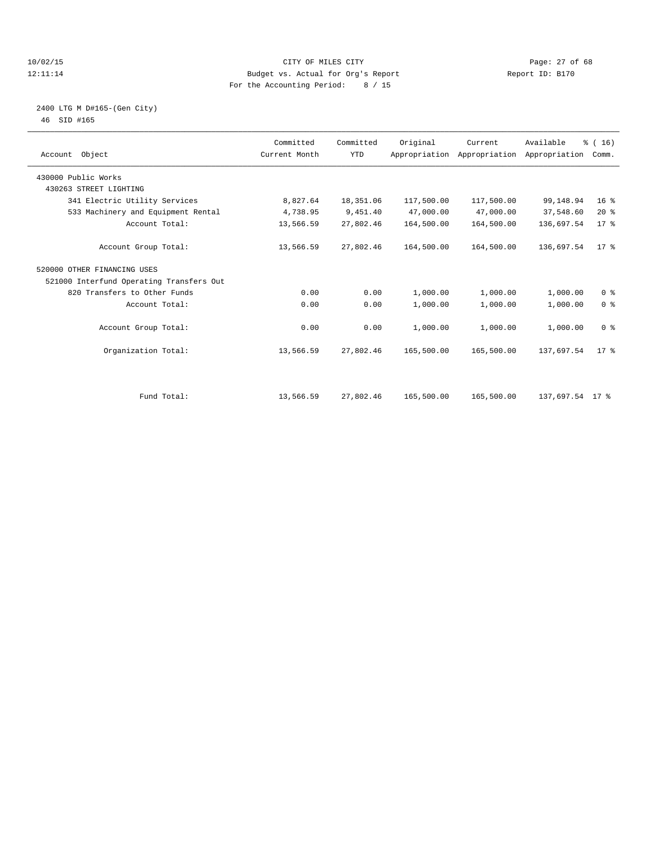## 10/02/15 **Page: 27 of 68** CITY OF MILES CITY **Page: 27 of 68** 12:11:14 Budget vs. Actual for Org's Report Report ID: B170 For the Accounting Period: 8 / 15

## 2400 LTG M D#165-(Gen City) 46 SID #165

|                                          | Committed     | Committed  |            |                                                      |                 |                 |  |
|------------------------------------------|---------------|------------|------------|------------------------------------------------------|-----------------|-----------------|--|
| Account Object                           | Current Month | <b>YTD</b> | Original   | Current<br>Appropriation Appropriation Appropriation | Available       | % (16)<br>Comm. |  |
|                                          |               |            |            |                                                      |                 |                 |  |
| 430000 Public Works                      |               |            |            |                                                      |                 |                 |  |
| 430263 STREET LIGHTING                   |               |            |            |                                                      |                 |                 |  |
| 341 Electric Utility Services            | 8,827.64      | 18,351.06  | 117,500.00 | 117,500.00                                           | 99,148.94       | 16 <sup>8</sup> |  |
| 533 Machinery and Equipment Rental       | 4,738.95      | 9,451.40   | 47,000.00  | 47,000.00                                            | 37,548.60       | 20%             |  |
| Account Total:                           | 13,566.59     | 27,802.46  | 164,500.00 | 164,500.00                                           | 136,697.54      | 17.8            |  |
| Account Group Total:                     | 13,566.59     | 27,802.46  | 164,500.00 | 164,500.00                                           | 136,697.54      | $17*$           |  |
| 520000 OTHER FINANCING USES              |               |            |            |                                                      |                 |                 |  |
| 521000 Interfund Operating Transfers Out |               |            |            |                                                      |                 |                 |  |
| 820 Transfers to Other Funds             | 0.00          | 0.00       | 1,000.00   | 1,000.00                                             | 1,000.00        | 0 <sup>8</sup>  |  |
| Account Total:                           | 0.00          | 0.00       | 1,000.00   | 1,000.00                                             | 1,000.00        | 0 <sup>8</sup>  |  |
| Account Group Total:                     | 0.00          | 0.00       | 1,000.00   | 1,000.00                                             | 1,000.00        | 0 <sup>8</sup>  |  |
| Organization Total:                      | 13,566.59     | 27,802.46  | 165,500.00 | 165,500.00                                           | 137,697.54      | $17*$           |  |
|                                          |               |            |            |                                                      |                 |                 |  |
| Fund Total:                              | 13,566.59     | 27,802.46  | 165,500.00 | 165,500.00                                           | 137,697.54 17 % |                 |  |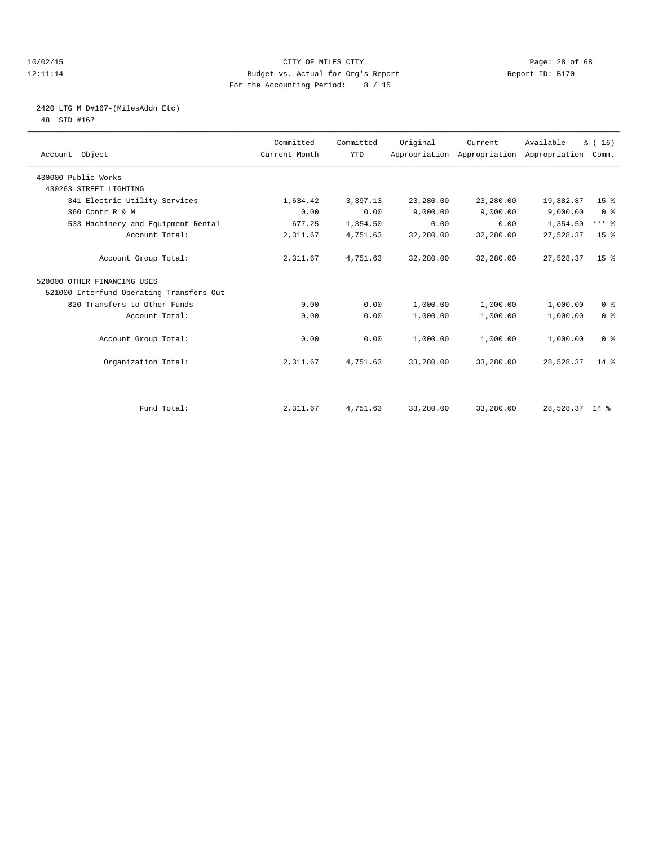## 10/02/15 **Page: 28 of 68** CITY OF MILES CITY **CITY Page: 28 of 68** 12:11:14 Budget vs. Actual for Org's Report Report ID: B170 For the Accounting Period: 8 / 15

## 2420 LTG M D#167-(MilesAddn Etc)

48 SID #167

| Account Object                           | Committed<br>Current Month | Committed<br><b>YTD</b> | Original  | Current<br>Appropriation Appropriation Appropriation Comm. | Available      | % (16)          |  |
|------------------------------------------|----------------------------|-------------------------|-----------|------------------------------------------------------------|----------------|-----------------|--|
| 430000 Public Works                      |                            |                         |           |                                                            |                |                 |  |
| 430263 STREET LIGHTING                   |                            |                         |           |                                                            |                |                 |  |
| 341 Electric Utility Services            | 1,634.42                   | 3,397.13                | 23,280.00 | 23,280.00                                                  | 19,882.87      | 15 <sup>°</sup> |  |
| 360 Contr R & M                          | 0.00                       | 0.00                    | 9.000.00  | 9,000.00                                                   | 9,000.00       | 0 <sup>8</sup>  |  |
| 533 Machinery and Equipment Rental       | 677.25                     | 1,354.50                | 0.00      | 0.00                                                       | $-1, 354.50$   | $***$ $-$       |  |
| Account Total:                           | 2,311.67                   | 4,751.63                | 32,280.00 | 32,280.00                                                  | 27,528.37      | 15 <sup>8</sup> |  |
| Account Group Total:                     | 2,311.67                   | 4,751.63                | 32,280.00 | 32,280.00                                                  | 27,528.37      | 15 <sup>8</sup> |  |
| 520000 OTHER FINANCING USES              |                            |                         |           |                                                            |                |                 |  |
| 521000 Interfund Operating Transfers Out |                            |                         |           |                                                            |                |                 |  |
| 820 Transfers to Other Funds             | 0.00                       | 0.00                    | 1,000.00  | 1,000.00                                                   | 1,000.00       | 0 <sup>8</sup>  |  |
| Account Total:                           | 0.00                       | 0.00                    | 1,000.00  | 1,000.00                                                   | 1,000.00       | 0 <sup>8</sup>  |  |
| Account Group Total:                     | 0.00                       | 0.00                    | 1,000.00  | 1,000.00                                                   | 1,000.00       | 0 <sup>8</sup>  |  |
| Organization Total:                      | 2,311.67                   | 4,751.63                | 33,280.00 | 33,280.00                                                  | 28,528.37      | $14*$           |  |
|                                          |                            |                         |           |                                                            |                |                 |  |
| Fund Total:                              | 2,311.67                   | 4,751.63                | 33,280.00 | 33,280.00                                                  | 28,528.37 14 % |                 |  |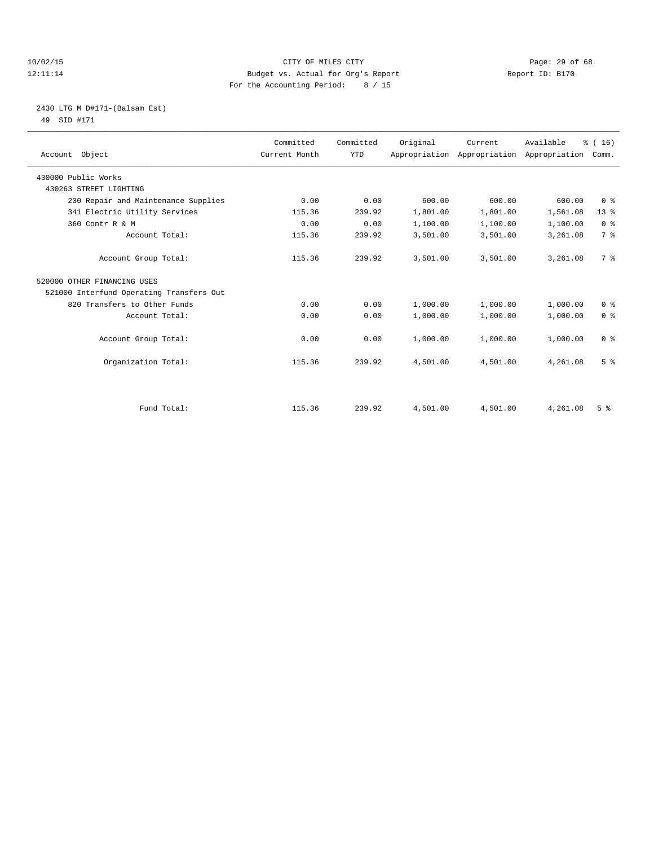## 10/02/15 **Page: 29 of 68** CITY OF MILES CITY **CITY Page: 29 of 68** 12:11:14 Budget vs. Actual for Org's Report Report ID: B170 For the Accounting Period: 8 / 15

## 2430 LTG M D#171-(Balsam Est) 49 SID #171

| Account Object                           | Committed<br>Current Month | Committed<br><b>YTD</b> | Original | Current  | Available<br>Appropriation Appropriation Appropriation | % (16)<br>Comm. |
|------------------------------------------|----------------------------|-------------------------|----------|----------|--------------------------------------------------------|-----------------|
| 430000 Public Works                      |                            |                         |          |          |                                                        |                 |
| 430263 STREET LIGHTING                   |                            |                         |          |          |                                                        |                 |
| 230 Repair and Maintenance Supplies      | 0.00                       | 0.00                    | 600.00   | 600.00   | 600.00                                                 | 0 <sup>8</sup>  |
| 341 Electric Utility Services            | 115.36                     | 239.92                  | 1,801.00 | 1,801.00 | 1,561.08                                               | 13 <sup>8</sup> |
| 360 Contr R & M                          | 0.00                       | 0.00                    | 1,100.00 | 1,100.00 | 1,100.00                                               | 0 <sup>8</sup>  |
| Account Total:                           | 115.36                     | 239.92                  | 3,501.00 | 3,501.00 | 3,261.08                                               | 7 <sup>°</sup>  |
| Account Group Total:                     | 115.36                     | 239.92                  | 3,501.00 | 3,501.00 | 3,261.08                                               | 7 <sup>°</sup>  |
| 520000 OTHER FINANCING USES              |                            |                         |          |          |                                                        |                 |
| 521000 Interfund Operating Transfers Out |                            |                         |          |          |                                                        |                 |
| 820 Transfers to Other Funds             | 0.00                       | 0.00                    | 1,000.00 | 1,000.00 | 1,000.00                                               | 0 <sup>8</sup>  |
| Account Total:                           | 0.00                       | 0.00                    | 1,000.00 | 1,000.00 | 1,000.00                                               | 0 <sup>8</sup>  |
| Account Group Total:                     | 0.00                       | 0.00                    | 1,000.00 | 1,000.00 | 1,000.00                                               | 0 <sup>8</sup>  |
| Organization Total:                      | 115.36                     | 239.92                  | 4,501.00 | 4,501.00 | 4,261.08                                               | 5 <sup>8</sup>  |
|                                          |                            |                         |          |          |                                                        |                 |
| Fund Total:                              | 115.36                     | 239.92                  | 4,501.00 | 4,501.00 | 4,261.08                                               | 5 <sup>8</sup>  |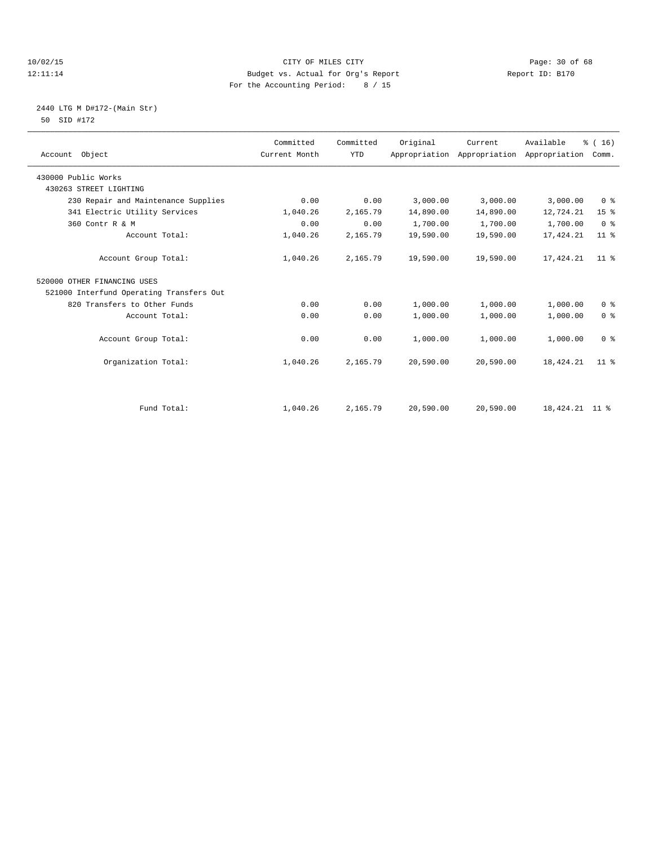## 10/02/15 **Page: 30 of 68** CITY OF MILES CITY **CITY** Page: 30 of 68 12:11:14 Budget vs. Actual for Org's Report Report ID: B170 For the Accounting Period: 8 / 15

## 2440 LTG M D#172-(Main Str) 50 SID #172

| Account Object                           | Committed<br>Current Month | Committed<br><b>YTD</b> | Original  | Current<br>Appropriation Appropriation | Available<br>Appropriation | % (16)<br>Comm. |
|------------------------------------------|----------------------------|-------------------------|-----------|----------------------------------------|----------------------------|-----------------|
| 430000 Public Works                      |                            |                         |           |                                        |                            |                 |
| 430263 STREET LIGHTING                   |                            |                         |           |                                        |                            |                 |
| 230 Repair and Maintenance Supplies      | 0.00                       | 0.00                    | 3,000.00  | 3,000.00                               | 3,000.00                   | 0 <sup>8</sup>  |
| 341 Electric Utility Services            | 1,040.26                   | 2,165.79                | 14,890.00 | 14,890.00                              | 12,724.21                  | 15 <sup>°</sup> |
| 360 Contr R & M                          | 0.00                       | 0.00                    | 1,700.00  | 1,700.00                               | 1,700.00                   | 0 <sup>8</sup>  |
| Account Total:                           | 1,040.26                   | 2,165.79                | 19,590.00 | 19,590.00                              | 17, 424.21                 | $11$ %          |
| Account Group Total:                     | 1,040.26                   | 2,165.79                | 19,590.00 | 19,590.00                              | 17, 424.21                 | 11 <sup>8</sup> |
| 520000 OTHER FINANCING USES              |                            |                         |           |                                        |                            |                 |
| 521000 Interfund Operating Transfers Out |                            |                         |           |                                        |                            |                 |
| 820 Transfers to Other Funds             | 0.00                       | 0.00                    | 1,000.00  | 1,000.00                               | 1,000.00                   | 0 <sup>8</sup>  |
| Account Total:                           | 0.00                       | 0.00                    | 1,000.00  | 1,000.00                               | 1,000.00                   | 0 <sup>8</sup>  |
| Account Group Total:                     | 0.00                       | 0.00                    | 1,000.00  | 1,000.00                               | 1,000.00                   | 0 <sup>8</sup>  |
| Organization Total:                      | 1,040.26                   | 2,165.79                | 20,590.00 | 20,590.00                              | 18, 424. 21                | 11 <sup>8</sup> |
|                                          |                            |                         |           |                                        |                            |                 |
| Fund Total:                              | 1,040.26                   | 2,165.79                | 20,590.00 | 20,590.00                              | 18, 424. 21 11 %           |                 |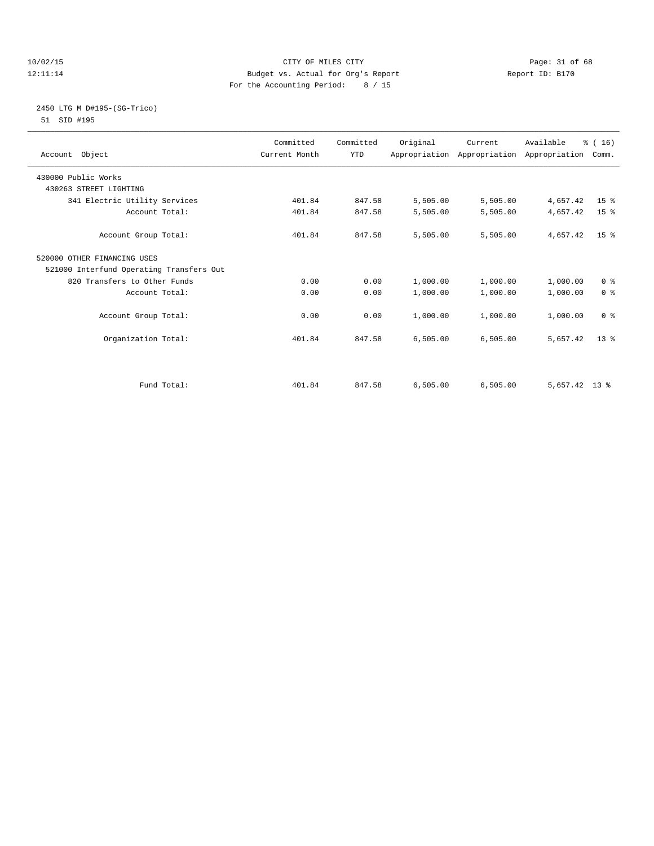## 10/02/15 **Page: 31 of 68** CITY OF MILES CITY **CITY** Page: 31 of 68 12:11:14 Budget vs. Actual for Org's Report Report ID: B170 For the Accounting Period: 8 / 15

## 2450 LTG M D#195-(SG-Trico) 51 SID #195

| Account Object                           | Committed<br>Current Month | Committed<br><b>YTD</b> | Original | Current<br>Appropriation Appropriation Appropriation | Available       | % (16)<br>Comm. |
|------------------------------------------|----------------------------|-------------------------|----------|------------------------------------------------------|-----------------|-----------------|
| 430000 Public Works                      |                            |                         |          |                                                      |                 |                 |
| 430263 STREET LIGHTING                   |                            |                         |          |                                                      |                 |                 |
| 341 Electric Utility Services            | 401.84                     | 847.58                  | 5,505.00 | 5,505.00                                             | 4,657.42        | 15 <sup>°</sup> |
| Account Total:                           | 401.84                     | 847.58                  | 5,505.00 | 5,505.00                                             | 4,657.42        | 15 <sup>°</sup> |
| Account Group Total:                     | 401.84                     | 847.58                  | 5,505.00 | 5,505.00                                             | 4,657.42        | 15 <sup>8</sup> |
| 520000 OTHER FINANCING USES              |                            |                         |          |                                                      |                 |                 |
| 521000 Interfund Operating Transfers Out |                            |                         |          |                                                      |                 |                 |
| 820 Transfers to Other Funds             | 0.00                       | 0.00                    | 1,000.00 | 1,000.00                                             | 1,000.00        | 0 <sup>8</sup>  |
| Account Total:                           | 0.00                       | 0.00                    | 1,000.00 | 1,000.00                                             | 1,000.00        | 0 <sup>8</sup>  |
| Account Group Total:                     | 0.00                       | 0.00                    | 1,000.00 | 1,000.00                                             | 1,000.00        | 0 <sup>8</sup>  |
| Organization Total:                      | 401.84                     | 847.58                  | 6,505.00 | 6,505.00                                             | 5,657.42        | $13*$           |
| Fund Total:                              | 401.84                     | 847.58                  | 6,505.00 | 6,505.00                                             | $5,657.42$ 13 % |                 |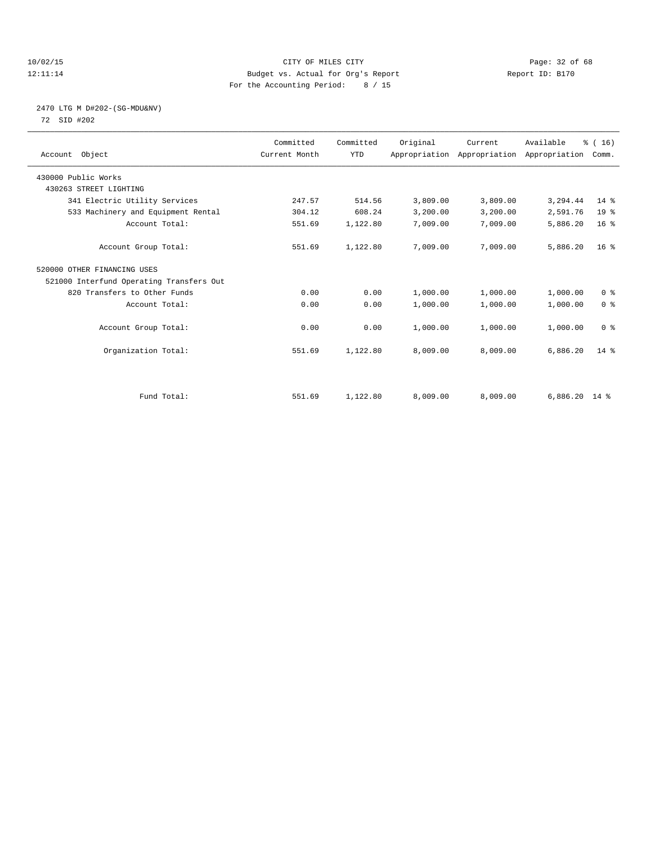## 10/02/15 **Page: 32 of 68** CITY OF MILES CITY **CITY** Page: 32 of 68 12:11:14 Budget vs. Actual for Org's Report Report ID: B170 For the Accounting Period: 8 / 15

# 2470 LTG M D#202-(SG-MDU&NV)

72 SID #202

| Account Object                           | Committed<br>Current Month | Committed<br><b>YTD</b> | Original | Current<br>Appropriation Appropriation Appropriation | Available       | % (16)<br>Comm. |  |
|------------------------------------------|----------------------------|-------------------------|----------|------------------------------------------------------|-----------------|-----------------|--|
| 430000 Public Works                      |                            |                         |          |                                                      |                 |                 |  |
| 430263 STREET LIGHTING                   |                            |                         |          |                                                      |                 |                 |  |
| 341 Electric Utility Services            | 247.57                     | 514.56                  | 3,809.00 | 3,809.00                                             | 3,294.44        | $14*$           |  |
| 533 Machinery and Equipment Rental       | 304.12                     | 608.24                  | 3,200.00 | 3,200.00                                             | 2,591.76        | 19 <sup>°</sup> |  |
| Account Total:                           | 551.69                     | 1,122.80                | 7,009.00 | 7,009.00                                             | 5,886.20        | 16 <sup>8</sup> |  |
| Account Group Total:                     | 551.69                     | 1,122.80                | 7,009.00 | 7,009.00                                             | 5,886.20        | 16 <sup>8</sup> |  |
| 520000 OTHER FINANCING USES              |                            |                         |          |                                                      |                 |                 |  |
| 521000 Interfund Operating Transfers Out |                            |                         |          |                                                      |                 |                 |  |
| 820 Transfers to Other Funds             | 0.00                       | 0.00                    | 1,000.00 | 1,000.00                                             | 1,000.00        | 0 <sup>8</sup>  |  |
| Account Total:                           | 0.00                       | 0.00                    | 1,000.00 | 1,000.00                                             | 1,000.00        | 0 <sup>8</sup>  |  |
| Account Group Total:                     | 0.00                       | 0.00                    | 1,000.00 | 1,000.00                                             | 1,000.00        | 0 <sup>8</sup>  |  |
| Organization Total:                      | 551.69                     | 1,122.80                | 8,009.00 | 8,009.00                                             | 6,886.20        | $14*$           |  |
|                                          |                            |                         |          |                                                      |                 |                 |  |
| Fund Total:                              | 551.69                     | 1,122.80                | 8,009.00 | 8,009.00                                             | $6,886.20$ 14 % |                 |  |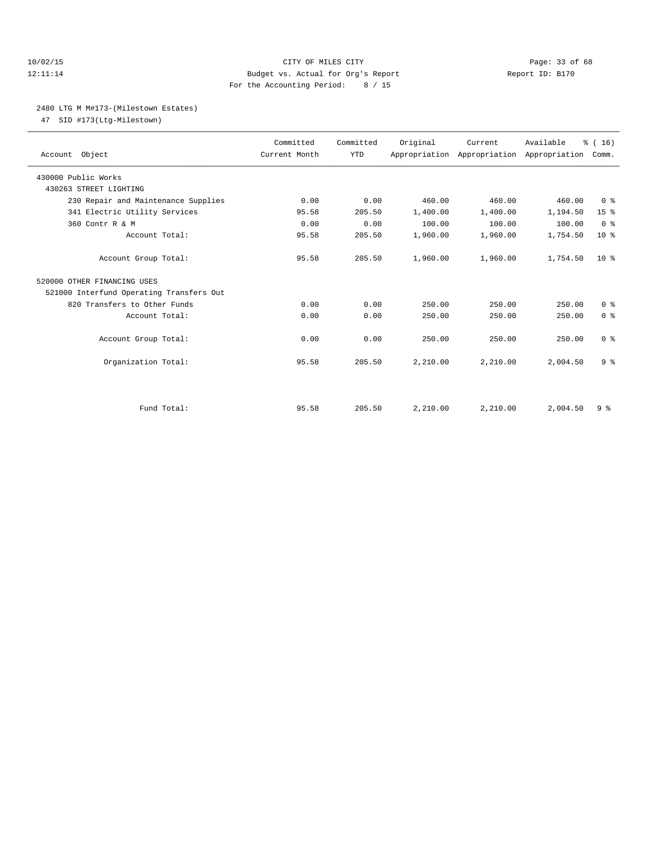## 10/02/15 **Page: 33 of 68** CITY OF MILES CITY **CITY** Page: 33 of 68 12:11:14 Budget vs. Actual for Org's Report Report ID: B170 For the Accounting Period: 8 / 15

## 2480 LTG M M#173-(Milestown Estates)

47 SID #173(Ltg-Milestown)

| Account Object                           | Committed<br>Current Month | Committed<br><b>YTD</b> | Original | Current  | Available<br>Appropriation Appropriation Appropriation | % (16)<br>Comm. |
|------------------------------------------|----------------------------|-------------------------|----------|----------|--------------------------------------------------------|-----------------|
| 430000 Public Works                      |                            |                         |          |          |                                                        |                 |
| 430263 STREET LIGHTING                   |                            |                         |          |          |                                                        |                 |
| 230 Repair and Maintenance Supplies      | 0.00                       | 0.00                    | 460.00   | 460.00   | 460.00                                                 | 0 <sup>8</sup>  |
| 341 Electric Utility Services            | 95.58                      | 205.50                  | 1,400.00 | 1,400.00 | 1,194.50                                               | 15 <sup>°</sup> |
| 360 Contr R & M                          | 0.00                       | 0.00                    | 100.00   | 100.00   | 100.00                                                 | 0 <sup>8</sup>  |
| Account Total:                           | 95.58                      | 205.50                  | 1,960.00 | 1,960.00 | 1,754.50                                               | $10*$           |
| Account Group Total:                     | 95.58                      | 205.50                  | 1,960.00 | 1,960.00 | 1,754.50                                               | $10*$           |
| 520000 OTHER FINANCING USES              |                            |                         |          |          |                                                        |                 |
| 521000 Interfund Operating Transfers Out |                            |                         |          |          |                                                        |                 |
| 820 Transfers to Other Funds             | 0.00                       | 0.00                    | 250.00   | 250.00   | 250.00                                                 | 0 <sup>8</sup>  |
| Account Total:                           | 0.00                       | 0.00                    | 250.00   | 250.00   | 250.00                                                 | 0 <sup>8</sup>  |
| Account Group Total:                     | 0.00                       | 0.00                    | 250.00   | 250.00   | 250.00                                                 | 0 <sup>8</sup>  |
| Organization Total:                      | 95.58                      | 205.50                  | 2,210.00 | 2,210.00 | 2,004.50                                               | 9 <sup>°</sup>  |
|                                          |                            |                         |          |          |                                                        |                 |
| Fund Total:                              | 95.58                      | 205.50                  | 2,210.00 | 2.210.00 | 2,004.50                                               | 9 <sup>°</sup>  |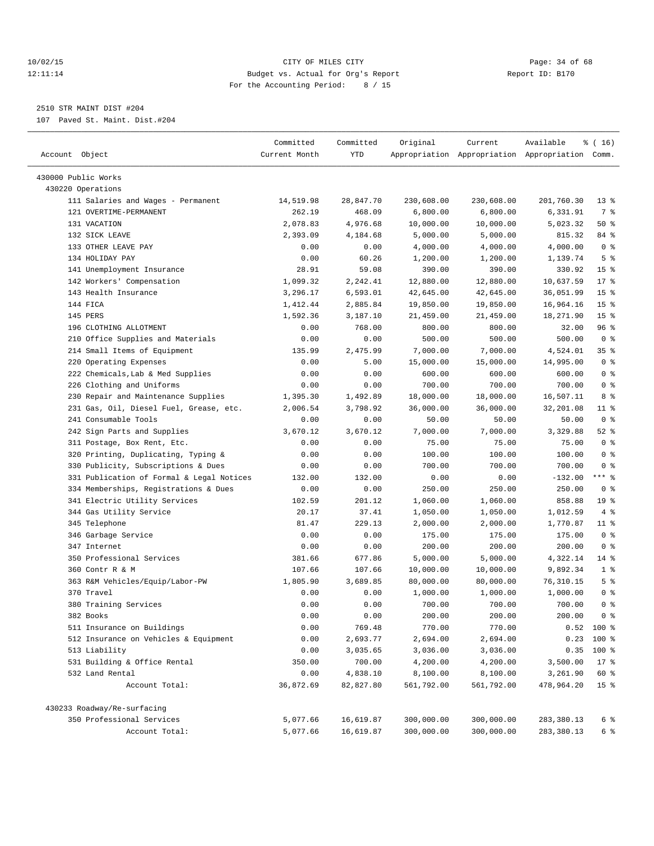## 10/02/15 **Page: 34 of 68** CITY OF MILES CITY **CITY** Page: 34 of 68 12:11:14 Budget vs. Actual for Org's Report Report ID: B170 For the Accounting Period: 8 / 15

————————————————————————————————————————————————————————————————————————————————————————————————————————————————————————————————————

## 2510 STR MAINT DIST #204

107 Paved St. Maint. Dist.#204

|                                           | Committed     | Committed | Original   | Current            | Available                                       | ៖ ( 16)         |
|-------------------------------------------|---------------|-----------|------------|--------------------|-------------------------------------------------|-----------------|
| Account Object                            | Current Month | YTD       |            |                    | Appropriation Appropriation Appropriation Comm. |                 |
| 430000 Public Works                       |               |           |            |                    |                                                 |                 |
| 430220 Operations                         |               |           |            |                    |                                                 |                 |
| 111 Salaries and Wages - Permanent        | 14,519.98     | 28,847.70 | 230,608.00 | 230,608.00         | 201,760.30                                      | $13*$           |
| 121 OVERTIME-PERMANENT                    | 262.19        | 468.09    | 6,800.00   | 6,800.00           | 6,331.91                                        | 7 %             |
| 131 VACATION                              | 2,078.83      | 4,976.68  | 10,000.00  | 10,000.00          | 5,023.32                                        | 50%             |
| 132 SICK LEAVE                            | 2,393.09      | 4,184.68  | 5,000.00   | 5,000.00           | 815.32                                          | 84 %            |
| 133 OTHER LEAVE PAY                       | 0.00          | 0.00      | 4,000.00   | 4,000.00           | 4,000.00                                        | 0 <sup>8</sup>  |
| 134 HOLIDAY PAY                           | 0.00          | 60.26     | 1,200.00   |                    | 1,139.74                                        | 5 <sup>°</sup>  |
| 141 Unemployment Insurance                | 28.91         | 59.08     | 390.00     | 1,200.00<br>390.00 | 330.92                                          | 15 <sup>°</sup> |
| 142 Workers' Compensation                 | 1,099.32      | 2,242.41  | 12,880.00  | 12,880.00          | 10,637.59                                       | $17*$           |
| 143 Health Insurance                      |               |           |            |                    |                                                 | 15 <sup>°</sup> |
| 144 FICA                                  | 3,296.17      | 6,593.01  | 42,645.00  | 42,645.00          | 36,051.99                                       | 15 <sup>°</sup> |
| 145 PERS                                  | 1,412.44      | 2,885.84  | 19,850.00  | 19,850.00          | 16,964.16                                       | 15 <sup>°</sup> |
|                                           | 1,592.36      | 3,187.10  | 21,459.00  | 21,459.00          | 18,271.90                                       |                 |
| 196 CLOTHING ALLOTMENT                    | 0.00          | 768.00    | 800.00     | 800.00             | 32.00                                           | 96 %            |
| 210 Office Supplies and Materials         | 0.00          | 0.00      | 500.00     | 500.00             | 500.00                                          | 0 <sup>8</sup>  |
| 214 Small Items of Equipment              | 135.99        | 2,475.99  | 7,000.00   | 7,000.00           | 4,524.01                                        | 35 <sup>8</sup> |
| 220 Operating Expenses                    | 0.00          | 5.00      | 15,000.00  | 15,000.00          | 14,995.00                                       | 0 <sup>8</sup>  |
| 222 Chemicals, Lab & Med Supplies         | 0.00          | 0.00      | 600.00     | 600.00             | 600.00                                          | 0 <sup>8</sup>  |
| 226 Clothing and Uniforms                 | 0.00          | 0.00      | 700.00     | 700.00             | 700.00                                          | 0 <sup>8</sup>  |
| 230 Repair and Maintenance Supplies       | 1,395.30      | 1,492.89  | 18,000.00  | 18,000.00          | 16,507.11                                       | 8 %             |
| 231 Gas, Oil, Diesel Fuel, Grease, etc.   | 2,006.54      | 3,798.92  | 36,000.00  | 36,000.00          | 32,201.08                                       | $11$ %          |
| 241 Consumable Tools                      | 0.00          | 0.00      | 50.00      | 50.00              | 50.00                                           | 0 <sup>8</sup>  |
| 242 Sign Parts and Supplies               | 3,670.12      | 3,670.12  | 7,000.00   | 7,000.00           | 3,329.88                                        | $52$ $%$        |
| 311 Postage, Box Rent, Etc.               | 0.00          | 0.00      | 75.00      | 75.00              | 75.00                                           | 0 <sup>8</sup>  |
| 320 Printing, Duplicating, Typing &       | 0.00          | 0.00      | 100.00     | 100.00             | 100.00                                          | 0 <sup>8</sup>  |
| 330 Publicity, Subscriptions & Dues       | 0.00          | 0.00      | 700.00     | 700.00             | 700.00                                          | 0 <sup>8</sup>  |
| 331 Publication of Formal & Legal Notices | 132.00        | 132.00    | 0.00       | 0.00               | $-132.00$                                       | $***$ $-$       |
| 334 Memberships, Registrations & Dues     | 0.00          | 0.00      | 250.00     | 250.00             | 250.00                                          | 0 <sup>8</sup>  |
| 341 Electric Utility Services             | 102.59        | 201.12    | 1,060.00   | 1,060.00           | 858.88                                          | 19 <sup>°</sup> |
| 344 Gas Utility Service                   | 20.17         | 37.41     | 1,050.00   | 1,050.00           | 1,012.59                                        | 4%              |
| 345 Telephone                             | 81.47         | 229.13    | 2,000.00   | 2,000.00           | 1,770.87                                        | $11$ %          |
| 346 Garbage Service                       | 0.00          | 0.00      | 175.00     | 175.00             | 175.00                                          | 0 <sup>8</sup>  |
| 347 Internet                              | 0.00          | 0.00      | 200.00     | 200.00             | 200.00                                          | 0 <sup>8</sup>  |
| 350 Professional Services                 | 381.66        | 677.86    | 5,000.00   | 5,000.00           | 4,322.14                                        | $14$ %          |
| 360 Contr R & M                           | 107.66        | 107.66    | 10,000.00  | 10,000.00          | 9,892.34                                        | 1 <sup>°</sup>  |
| 363 R&M Vehicles/Equip/Labor-PW           | 1,805.90      | 3,689.85  | 80,000.00  | 80,000.00          | 76,310.15                                       | 5 <sup>°</sup>  |
| 370 Travel                                | 0.00          | 0.00      | 1,000.00   | 1,000.00           | 1,000.00                                        | 0 <sup>8</sup>  |
| 380 Training Services                     | 0.00          | 0.00      | 700.00     | 700.00             | 700.00                                          | 0 <sup>8</sup>  |
| 382 Books                                 | 0.00          | 0.00      | 200.00     | 200.00             | 200.00                                          | 0 <sup>8</sup>  |
| 511 Insurance on Buildings                | 0.00          | 769.48    | 770.00     | 770.00             |                                                 | $0.52$ 100 %    |
| 512 Insurance on Vehicles & Equipment     | 0.00          | 2,693.77  | 2,694.00   | 2,694.00           | 0.23                                            | 100 %           |
| 513 Liability                             | 0.00          | 3,035.65  | 3,036.00   | 3,036.00           | 0.35                                            | 100 %           |
| 531 Building & Office Rental              | 350.00        | 700.00    | 4,200.00   | 4,200.00           | 3,500.00                                        | $17*$           |
| 532 Land Rental                           | 0.00          | 4,838.10  | 8,100.00   | 8,100.00           | 3,261.90                                        | 60 %            |
| Account Total:                            | 36,872.69     | 82,827.80 | 561,792.00 | 561,792.00         | 478,964.20                                      | 15 <sup>8</sup> |
| 430233 Roadway/Re-surfacing               |               |           |            |                    |                                                 |                 |
| 350 Professional Services                 | 5,077.66      | 16,619.87 | 300,000.00 | 300,000.00         | 283,380.13                                      | 6 %             |
| Account Total:                            | 5,077.66      | 16,619.87 | 300,000.00 | 300,000.00         | 283, 380.13                                     | 6 %             |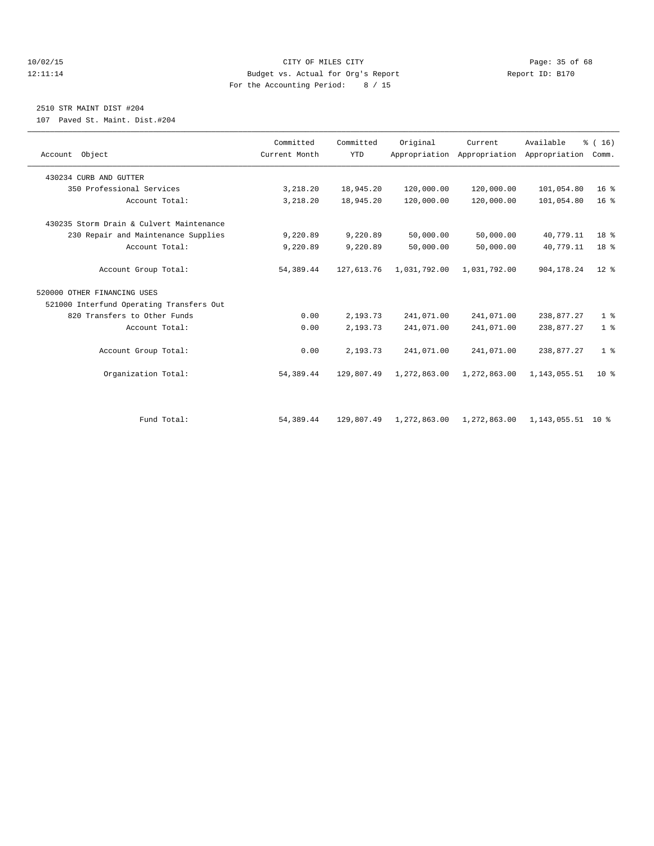## 10/02/15 **Page: 35 of 68** CITY OF MILES CITY **CITY** Page: 35 of 68 12:11:14 Budget vs. Actual for Org's Report Report ID: B170 For the Accounting Period: 8 / 15

## 2510 STR MAINT DIST #204

107 Paved St. Maint. Dist.#204

|                                          | Committed     | Committed  | Original     | Current                                   | Available           | $\frac{1}{6}$ ( 16 ) |
|------------------------------------------|---------------|------------|--------------|-------------------------------------------|---------------------|----------------------|
| Account Object                           | Current Month | <b>YTD</b> |              | Appropriation Appropriation Appropriation |                     | Comm.                |
| 430234 CURB AND GUTTER                   |               |            |              |                                           |                     |                      |
| 350 Professional Services                | 3,218.20      | 18,945.20  | 120,000.00   | 120,000.00                                | 101,054.80          | 16 <sup>8</sup>      |
| Account Total:                           | 3,218.20      | 18,945.20  | 120,000.00   | 120,000.00                                | 101,054.80          | 16 <sup>°</sup>      |
| 430235 Storm Drain & Culvert Maintenance |               |            |              |                                           |                     |                      |
| 230 Repair and Maintenance Supplies      | 9,220.89      | 9,220.89   | 50,000.00    | 50,000.00                                 | 40,779.11           | 18 %                 |
| Account Total:                           | 9,220.89      | 9,220.89   | 50,000.00    | 50,000.00                                 | 40,779.11           | 18 <sup>8</sup>      |
| Account Group Total:                     | 54,389.44     | 127,613.76 | 1,031,792.00 | 1,031,792.00                              | 904, 178. 24        | $12*$                |
| 520000 OTHER FINANCING USES              |               |            |              |                                           |                     |                      |
| 521000 Interfund Operating Transfers Out |               |            |              |                                           |                     |                      |
| 820 Transfers to Other Funds             | 0.00          | 2,193.73   | 241,071.00   | 241,071.00                                | 238,877.27          | 1 <sup>8</sup>       |
| Account Total:                           | 0.00          | 2,193.73   | 241,071.00   | 241,071.00                                | 238,877.27          | 1 <sup>°</sup>       |
| Account Group Total:                     | 0.00          | 2,193.73   | 241,071.00   | 241,071.00                                | 238,877.27          | 1 <sup>°</sup>       |
| Organization Total:                      | 54,389.44     | 129,807.49 | 1,272,863.00 | 1,272,863.00                              | 1, 143, 055.51      | $10*$                |
|                                          |               |            |              |                                           |                     |                      |
| Fund Total:                              | 54, 389.44    | 129,807.49 | 1,272,863.00 | 1,272,863.00                              | 1, 143, 055.51 10 % |                      |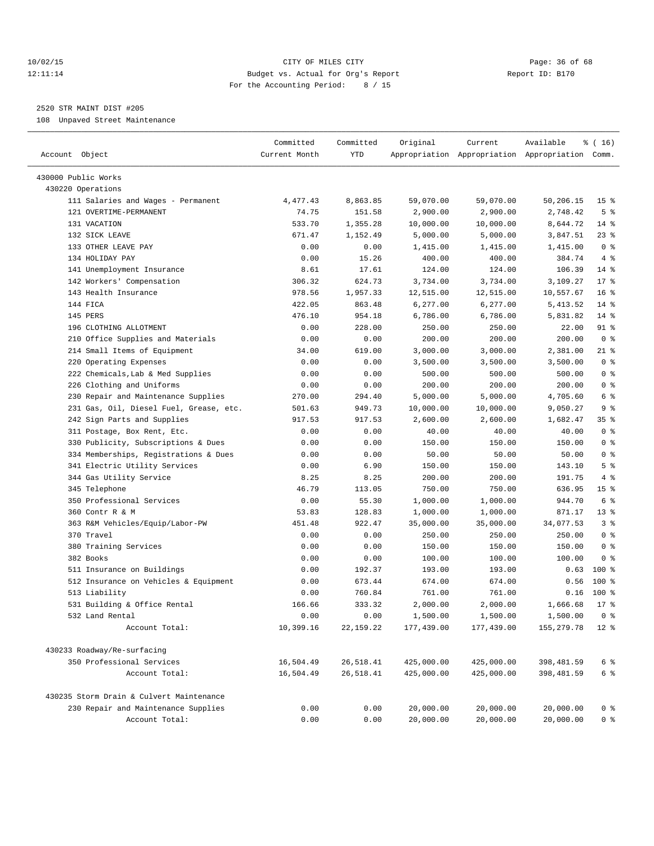## 10/02/15 **Page: 36 of 68** CITY OF MILES CITY **CITY** Page: 36 of 68 12:11:14 Budget vs. Actual for Org's Report Report ID: B170 For the Accounting Period: 8 / 15

————————————————————————————————————————————————————————————————————————————————————————————————————————————————————————————————————

## 2520 STR MAINT DIST #205

108 Unpaved Street Maintenance

|                                          | Committed     | Committed   | Original   | Current    | Available                                       | $\frac{1}{6}$ ( 16 ) |
|------------------------------------------|---------------|-------------|------------|------------|-------------------------------------------------|----------------------|
| Account Object                           | Current Month | YTD         |            |            | Appropriation Appropriation Appropriation Comm. |                      |
| 430000 Public Works                      |               |             |            |            |                                                 |                      |
| 430220 Operations                        |               |             |            |            |                                                 |                      |
| 111 Salaries and Wages - Permanent       | 4,477.43      | 8,863.85    | 59,070.00  | 59,070.00  | 50,206.15                                       | 15 <sup>8</sup>      |
| 121 OVERTIME-PERMANENT                   | 74.75         | 151.58      | 2,900.00   | 2,900.00   | 2,748.42                                        | 5 <sup>°</sup>       |
| 131 VACATION                             | 533.70        | 1,355.28    | 10,000.00  | 10,000.00  | 8,644.72                                        | $14*$                |
| 132 SICK LEAVE                           | 671.47        | 1,152.49    | 5,000.00   | 5,000.00   | 3,847.51                                        | 23 %                 |
| 133 OTHER LEAVE PAY                      | 0.00          | 0.00        | 1,415.00   | 1,415.00   | 1,415.00                                        | 0 <sup>8</sup>       |
| 134 HOLIDAY PAY                          | 0.00          | 15.26       | 400.00     | 400.00     | 384.74                                          | 4%                   |
| 141 Unemployment Insurance               | 8.61          | 17.61       | 124.00     | 124.00     | 106.39                                          | $14*$                |
| 142 Workers' Compensation                | 306.32        | 624.73      | 3,734.00   | 3,734.00   | 3,109.27                                        | $17*$                |
| 143 Health Insurance                     | 978.56        | 1,957.33    | 12,515.00  | 12,515.00  | 10,557.67                                       | $16*$                |
| 144 FICA                                 | 422.05        | 863.48      | 6,277.00   | 6,277.00   | 5,413.52                                        | $14*$                |
| 145 PERS                                 | 476.10        | 954.18      | 6,786.00   | 6,786.00   | 5,831.82                                        | $14*$                |
| 196 CLOTHING ALLOTMENT                   | 0.00          | 228.00      | 250.00     | 250.00     | 22.00                                           | 91 %                 |
| 210 Office Supplies and Materials        | 0.00          | 0.00        | 200.00     | 200.00     | 200.00                                          | 0 <sup>8</sup>       |
| 214 Small Items of Equipment             | 34.00         | 619.00      | 3,000.00   | 3,000.00   | 2,381.00                                        | 21 %                 |
| 220 Operating Expenses                   | 0.00          | 0.00        | 3,500.00   | 3,500.00   | 3,500.00                                        | 0 <sup>8</sup>       |
| 222 Chemicals, Lab & Med Supplies        | 0.00          | 0.00        | 500.00     | 500.00     | 500.00                                          | 0 <sup>8</sup>       |
| 226 Clothing and Uniforms                | 0.00          | 0.00        | 200.00     | 200.00     | 200.00                                          | 0 <sup>8</sup>       |
| 230 Repair and Maintenance Supplies      | 270.00        | 294.40      | 5,000.00   | 5,000.00   | 4,705.60                                        | 6 <sup>°</sup>       |
| 231 Gas, Oil, Diesel Fuel, Grease, etc.  | 501.63        | 949.73      | 10,000.00  | 10,000.00  | 9,050.27                                        | 9 <sub>8</sub>       |
| 242 Sign Parts and Supplies              | 917.53        | 917.53      | 2,600.00   | 2,600.00   | 1,682.47                                        | 35%                  |
| 311 Postage, Box Rent, Etc.              | 0.00          | 0.00        | 40.00      | 40.00      | 40.00                                           | 0 <sup>8</sup>       |
| 330 Publicity, Subscriptions & Dues      | 0.00          | 0.00        | 150.00     | 150.00     | 150.00                                          | 0 <sup>8</sup>       |
| 334 Memberships, Registrations & Dues    | 0.00          | 0.00        | 50.00      | 50.00      | 50.00                                           | 0 <sup>8</sup>       |
| 341 Electric Utility Services            | 0.00          | 6.90        | 150.00     | 150.00     | 143.10                                          | 5 <sup>°</sup>       |
| 344 Gas Utility Service                  | 8.25          | 8.25        | 200.00     | 200.00     | 191.75                                          | 4%                   |
| 345 Telephone                            | 46.79         | 113.05      | 750.00     | 750.00     | 636.95                                          | 15 <sup>°</sup>      |
| 350 Professional Services                | 0.00          | 55.30       | 1,000.00   | 1,000.00   | 944.70                                          | 6 %                  |
| 360 Contr R & M                          | 53.83         | 128.83      | 1,000.00   | 1,000.00   | 871.17                                          | $13*$                |
| 363 R&M Vehicles/Equip/Labor-PW          | 451.48        | 922.47      | 35,000.00  | 35,000.00  | 34,077.53                                       | 3%                   |
| 370 Travel                               | 0.00          | 0.00        | 250.00     | 250.00     | 250.00                                          | 0 <sup>8</sup>       |
| 380 Training Services                    | 0.00          | 0.00        | 150.00     | 150.00     | 150.00                                          | 0 <sup>8</sup>       |
| 382 Books                                | 0.00          | 0.00        | 100.00     | 100.00     | 100.00                                          | 0 <sup>8</sup>       |
| 511 Insurance on Buildings               | 0.00          | 192.37      | 193.00     | 193.00     | 0.63                                            | $100*$               |
| 512 Insurance on Vehicles & Equipment    | 0.00          | 673.44      | 674.00     | 674.00     | 0.56                                            | 100 %                |
| 513 Liability                            | 0.00          | 760.84      | 761.00     | 761.00     | 0.16                                            | 100 %                |
| 531 Building & Office Rental             | 166.66        | 333.32      | 2,000.00   | 2,000.00   | 1,666.68                                        | $17*$                |
| 532 Land Rental                          | 0.00          | 0.00        | 1,500.00   | 1,500.00   | $1,500.00$ 0 %                                  |                      |
| Account Total:                           | 10,399.16     | 22, 159. 22 | 177,439.00 | 177,439.00 | 155,279.78                                      | $12$ %               |
| 430233 Roadway/Re-surfacing              |               |             |            |            |                                                 |                      |
| 350 Professional Services                | 16,504.49     | 26,518.41   | 425,000.00 | 425,000.00 |                                                 | 6 %                  |
| Account Total:                           | 16,504.49     | 26,518.41   | 425,000.00 | 425,000.00 | 398,481.59<br>398, 481.59                       | 6 %                  |
|                                          |               |             |            |            |                                                 |                      |
| 430235 Storm Drain & Culvert Maintenance |               |             |            |            |                                                 |                      |
| 230 Repair and Maintenance Supplies      | 0.00          | 0.00        | 20,000.00  | 20,000.00  | 20,000.00                                       | 0 %                  |
| Account Total:                           | 0.00          | 0.00        | 20,000.00  | 20,000.00  | 20,000.00                                       | 0 <sup>8</sup>       |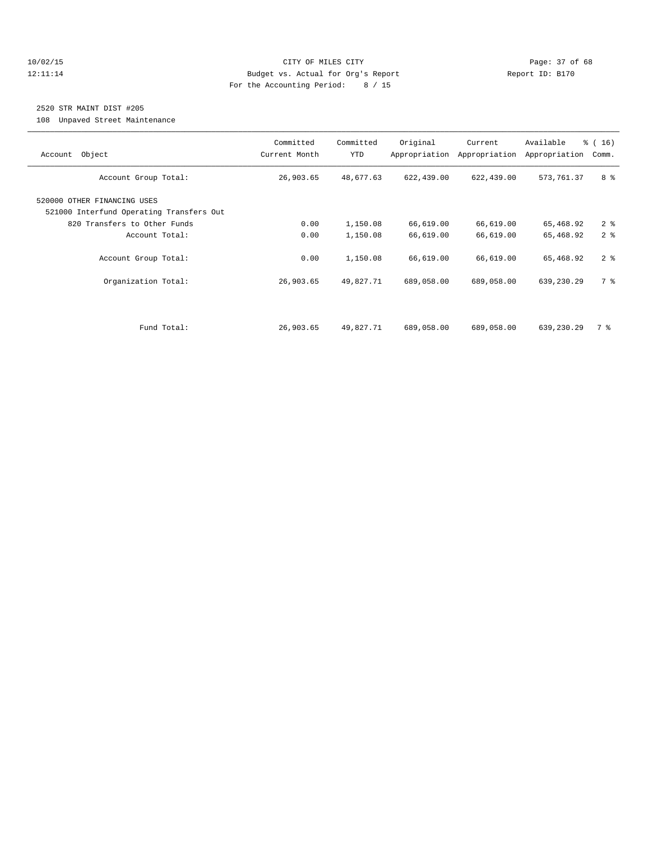## 10/02/15 **Page: 37 of 68** CITY OF MILES CITY **CITY** Page: 37 of 68 12:11:14 Budget vs. Actual for Org's Report Report ID: B170 For the Accounting Period: 8 / 15

## 2520 STR MAINT DIST #205

108 Unpaved Street Maintenance

| Account Object                                                          | Committed<br>Current Month | Committed<br><b>YTD</b> | Original<br>Appropriation | Current<br>Appropriation | Available<br>Appropriation | % (16)<br>Comm. |
|-------------------------------------------------------------------------|----------------------------|-------------------------|---------------------------|--------------------------|----------------------------|-----------------|
| Account Group Total:                                                    | 26,903.65                  | 48,677.63               | 622,439.00                | 622,439.00               | 573,761.37                 | 8 %             |
| 520000 OTHER FINANCING USES<br>521000 Interfund Operating Transfers Out |                            |                         |                           |                          |                            |                 |
| 820 Transfers to Other Funds                                            | 0.00                       | 1,150.08                | 66,619.00                 | 66,619.00                | 65,468.92                  | 2 <sup>8</sup>  |
| Account Total:                                                          | 0.00                       | 1,150.08                | 66,619.00                 | 66,619.00                | 65,468.92                  | 2 <sup>8</sup>  |
| Account Group Total:                                                    | 0.00                       | 1,150.08                | 66,619.00                 | 66,619.00                | 65,468.92                  | 2 <sub>8</sub>  |
| Organization Total:                                                     | 26,903.65                  | 49,827.71               | 689,058.00                | 689,058.00               | 639,230.29                 | 7 %             |
|                                                                         |                            |                         |                           |                          |                            |                 |
| Fund Total:                                                             | 26,903.65                  | 49,827.71               | 689,058.00                | 689,058.00               | 639,230.29                 | 7 %             |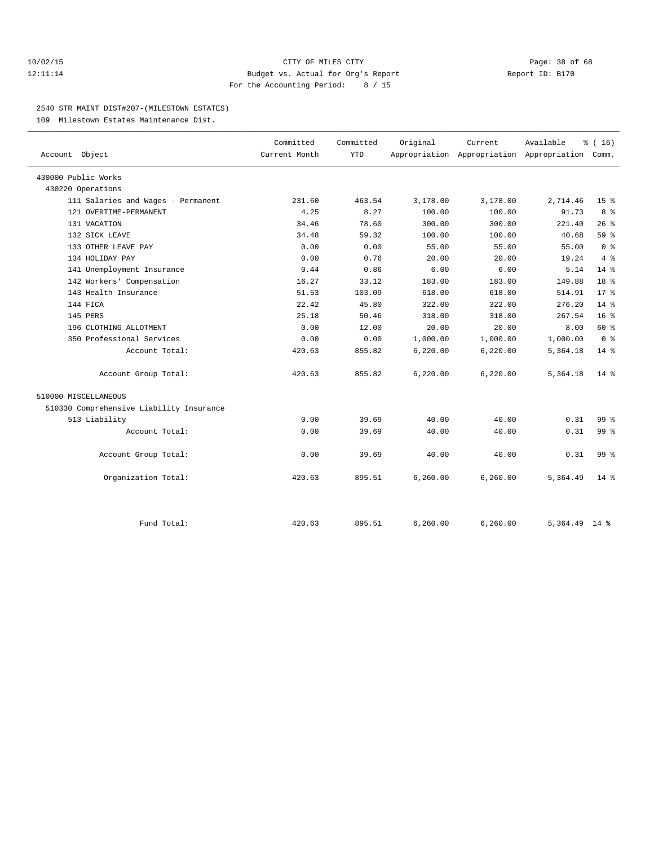## 10/02/15 **Page: 38 of 68** CITY OF MILES CITY **CITY Page: 38 of 68** 12:11:14 Budget vs. Actual for Org's Report Report ID: B170 For the Accounting Period: 8 / 15

## 2540 STR MAINT DIST#207-(MILESTOWN ESTATES)

109 Milestown Estates Maintenance Dist.

| Account Object                           | Committed<br>Current Month | Committed<br><b>YTD</b> | Original  | Current   | Available<br>Appropriation Appropriation Appropriation Comm. | % (16)          |
|------------------------------------------|----------------------------|-------------------------|-----------|-----------|--------------------------------------------------------------|-----------------|
| 430000 Public Works                      |                            |                         |           |           |                                                              |                 |
| 430220 Operations                        |                            |                         |           |           |                                                              |                 |
| 111 Salaries and Wages - Permanent       | 231.60                     | 463.54                  | 3,178.00  | 3,178.00  | 2,714.46                                                     | 15 <sup>8</sup> |
| 121 OVERTIME-PERMANENT                   | 4.25                       | 8.27                    | 100.00    | 100.00    | 91.73                                                        | 8 %             |
| 131 VACATION                             | 34.46                      | 78.60                   | 300.00    | 300.00    | 221.40                                                       | 26%             |
| 132 SICK LEAVE                           | 34.48                      | 59.32                   | 100.00    | 100.00    | 40.68                                                        | 59 %            |
| 133 OTHER LEAVE PAY                      | 0.00                       | 0.00                    | 55.00     | 55.00     | 55.00                                                        | 0 <sup>8</sup>  |
| 134 HOLIDAY PAY                          | 0.00                       | 0.76                    | 20.00     | 20.00     | 19.24                                                        | 4%              |
| 141 Unemployment Insurance               | 0.44                       | 0.86                    | 6.00      | 6.00      | 5.14                                                         | $14*$           |
| 142 Workers' Compensation                | 16.27                      | 33.12                   | 183.00    | 183.00    | 149.88                                                       | 18 <sup>8</sup> |
| 143 Health Insurance                     | 51.53                      | 103.09                  | 618.00    | 618.00    | 514.91                                                       | $17*$           |
| 144 FICA                                 | 22.42                      | 45.80                   | 322.00    | 322.00    | 276.20                                                       | 14 %            |
| 145 PERS                                 | 25.18                      | 50.46                   | 318.00    | 318.00    | 267.54                                                       | 16 <sup>°</sup> |
| 196 CLOTHING ALLOTMENT                   | 0.00                       | 12.00                   | 20.00     | 20.00     | 8.00                                                         | 60 %            |
| 350 Professional Services                | 0.00                       | 0.00                    | 1,000.00  | 1,000.00  | 1,000.00                                                     | 0 <sup>8</sup>  |
| Account Total:                           | 420.63                     | 855.82                  | 6, 220.00 | 6,220.00  | 5,364.18                                                     | 14 %            |
| Account Group Total:                     | 420.63                     | 855.82                  | 6, 220.00 | 6, 220.00 | 5,364.18                                                     | $14*$           |
| 510000 MISCELLANEOUS                     |                            |                         |           |           |                                                              |                 |
| 510330 Comprehensive Liability Insurance |                            |                         |           |           |                                                              |                 |
| 513 Liability                            | 0.00                       | 39.69                   | 40.00     | 40.00     | 0.31                                                         | $99*$           |
| Account Total:                           | 0.00                       | 39.69                   | 40.00     | 40.00     | 0.31                                                         | 99 <sub>8</sub> |
| Account Group Total:                     | 0.00                       | 39.69                   | 40.00     | 40.00     | 0.31                                                         | $99*$           |
| Organization Total:                      | 420.63                     | 895.51                  | 6, 260.00 | 6,260.00  | 5,364.49                                                     | $14*$           |
| Fund Total:                              | 420.63                     | 895.51                  | 6,260.00  | 6, 260.00 | $5,364.49$ 14 %                                              |                 |
|                                          |                            |                         |           |           |                                                              |                 |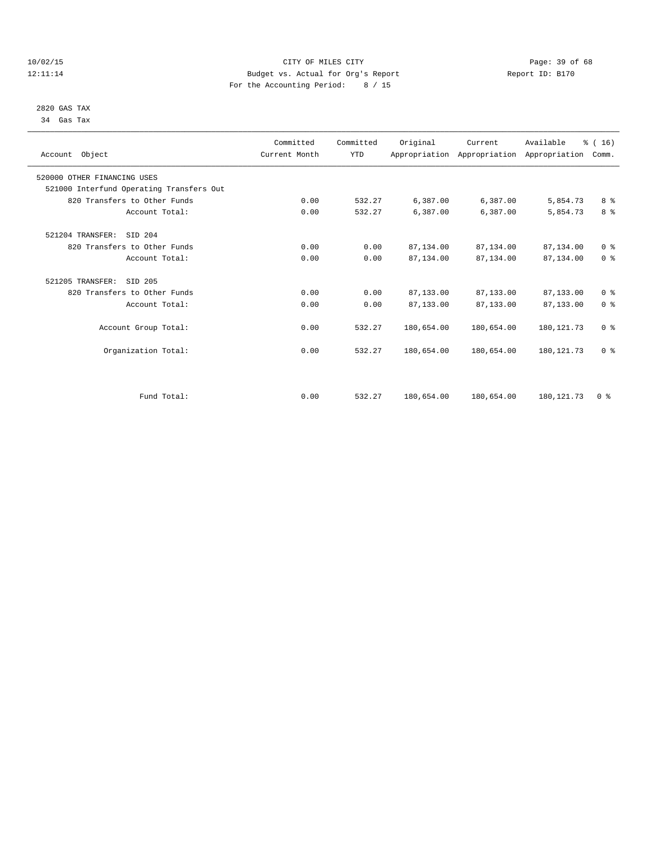## 10/02/15 **Page: 39 of 68** CITY OF MILES CITY **CITY** CITY **Page: 39 of 68** 12:11:14 Budget vs. Actual for Org's Report Report ID: B170 For the Accounting Period: 8 / 15

## 2820 GAS TAX 34 Gas Tax

| Account Object                           | Committed<br>Current Month | Committed<br><b>YTD</b> | Original   | Current<br>Appropriation Appropriation Appropriation | Available   | % (16)<br>Comm. |  |
|------------------------------------------|----------------------------|-------------------------|------------|------------------------------------------------------|-------------|-----------------|--|
| 520000 OTHER FINANCING USES              |                            |                         |            |                                                      |             |                 |  |
| 521000 Interfund Operating Transfers Out |                            |                         |            |                                                      |             |                 |  |
| 820 Transfers to Other Funds             | 0.00                       | 532.27                  | 6,387.00   | 6,387.00                                             | 5,854.73    | 8 %             |  |
| Account Total:                           | 0.00                       | 532.27                  | 6,387.00   | 6,387.00                                             | 5,854.73    | 8 %             |  |
| SID 204<br>521204 TRANSFER:              |                            |                         |            |                                                      |             |                 |  |
| 820 Transfers to Other Funds             | 0.00                       | 0.00                    | 87,134.00  | 87,134.00                                            | 87,134.00   | 0 <sup>8</sup>  |  |
| Account Total:                           | 0.00                       | 0.00                    | 87,134.00  | 87,134.00                                            | 87,134.00   | 0 <sup>8</sup>  |  |
| SID 205<br>521205 TRANSFER:              |                            |                         |            |                                                      |             |                 |  |
| 820 Transfers to Other Funds             | 0.00                       | 0.00                    | 87,133.00  | 87,133.00                                            | 87,133.00   | 0 <sup>8</sup>  |  |
| Account Total:                           | 0.00                       | 0.00                    | 87,133.00  | 87, 133, 00                                          | 87,133.00   | 0 <sup>8</sup>  |  |
| Account Group Total:                     | 0.00                       | 532.27                  | 180,654.00 | 180,654.00                                           | 180, 121.73 | 0 <sup>8</sup>  |  |
| Organization Total:                      | 0.00                       | 532.27                  | 180,654.00 | 180,654.00                                           | 180, 121.73 | 0 <sup>8</sup>  |  |
|                                          |                            |                         |            |                                                      |             |                 |  |
| Fund Total:                              | 0.00                       | 532.27                  | 180,654.00 | 180,654.00                                           | 180, 121.73 | 0 <sup>8</sup>  |  |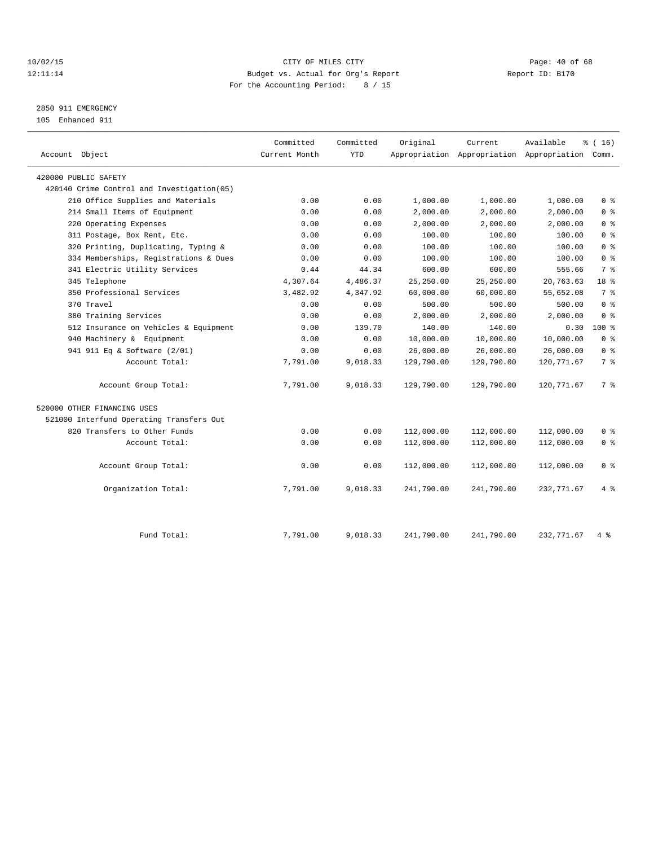## 10/02/15 **Page: 40 of 68** CITY OF MILES CITY **CITY Page: 40 of 68** 12:11:14 Budget vs. Actual for Org's Report Report ID: B170 For the Accounting Period: 8 / 15

## 2850 911 EMERGENCY

105 Enhanced 911

| Account Object                             | Committed<br>Current Month | Committed<br><b>YTD</b> | Original   | Current<br>Appropriation Appropriation Appropriation Comm. | Available   | % (16)         |
|--------------------------------------------|----------------------------|-------------------------|------------|------------------------------------------------------------|-------------|----------------|
| 420000 PUBLIC SAFETY                       |                            |                         |            |                                                            |             |                |
| 420140 Crime Control and Investigation(05) |                            |                         |            |                                                            |             |                |
| 210 Office Supplies and Materials          | 0.00                       | 0.00                    | 1,000.00   | 1,000.00                                                   | 1,000.00    | 0 <sup>8</sup> |
| 214 Small Items of Equipment               | 0.00                       | 0.00                    | 2,000.00   | 2,000.00                                                   | 2,000.00    | 0 <sup>8</sup> |
| 220 Operating Expenses                     | 0.00                       | 0.00                    | 2,000.00   | 2,000.00                                                   | 2,000.00    | 0 <sup>8</sup> |
| 311 Postage, Box Rent, Etc.                | 0.00                       | 0.00                    | 100.00     | 100.00                                                     | 100.00      | 0 <sup>8</sup> |
| 320 Printing, Duplicating, Typing &        | 0.00                       | 0.00                    | 100.00     | 100.00                                                     | 100.00      | 0 <sup>8</sup> |
| 334 Memberships, Registrations & Dues      | 0.00                       | 0.00                    | 100.00     | 100.00                                                     | 100.00      | 0 <sup>8</sup> |
| 341 Electric Utility Services              | 0.44                       | 44.34                   | 600.00     | 600.00                                                     | 555.66      | 7 %            |
| 345 Telephone                              | 4,307.64                   | 4,486.37                | 25,250.00  | 25, 250.00                                                 | 20,763.63   | 18 %           |
| 350 Professional Services                  | 3,482.92                   | 4,347.92                | 60,000.00  | 60,000.00                                                  | 55,652.08   | 7 <sup>°</sup> |
| 370 Travel                                 | 0.00                       | 0.00                    | 500.00     | 500.00                                                     | 500.00      | 0 <sup>8</sup> |
| 380 Training Services                      | 0.00                       | 0.00                    | 2,000.00   | 2,000.00                                                   | 2,000.00    | 0 <sup>8</sup> |
| 512 Insurance on Vehicles & Equipment      | 0.00                       | 139.70                  | 140.00     | 140.00                                                     | 0.30        | $100*$         |
| 940 Machinery & Equipment                  | 0.00                       | 0.00                    | 10,000.00  | 10,000.00                                                  | 10,000.00   | 0 <sup>8</sup> |
| 941 911 Eq & Software (2/01)               | 0.00                       | 0.00                    | 26,000.00  | 26,000.00                                                  | 26,000.00   | 0 <sup>8</sup> |
| Account Total:                             | 7,791.00                   | 9,018.33                | 129,790.00 | 129,790.00                                                 | 120,771.67  | 7 %            |
| Account Group Total:                       | 7,791.00                   | 9,018.33                | 129,790.00 | 129,790.00                                                 | 120,771.67  | 7 %            |
| 520000 OTHER FINANCING USES                |                            |                         |            |                                                            |             |                |
| 521000 Interfund Operating Transfers Out   |                            |                         |            |                                                            |             |                |
| 820 Transfers to Other Funds               | 0.00                       | 0.00                    | 112,000.00 | 112,000.00                                                 | 112,000.00  | 0 <sup>8</sup> |
| Account Total:                             | 0.00                       | 0.00                    | 112,000.00 | 112,000.00                                                 | 112,000.00  | 0 <sup>8</sup> |
| Account Group Total:                       | 0.00                       | 0.00                    | 112,000.00 | 112,000.00                                                 | 112,000.00  | 0 <sup>8</sup> |
| Organization Total:                        | 7,791.00                   | 9,018.33                | 241,790.00 | 241,790.00                                                 | 232,771.67  | 4%             |
| Fund Total:                                | 7,791.00                   | 9,018.33                | 241,790.00 | 241,790.00                                                 | 232, 771.67 | 4 %            |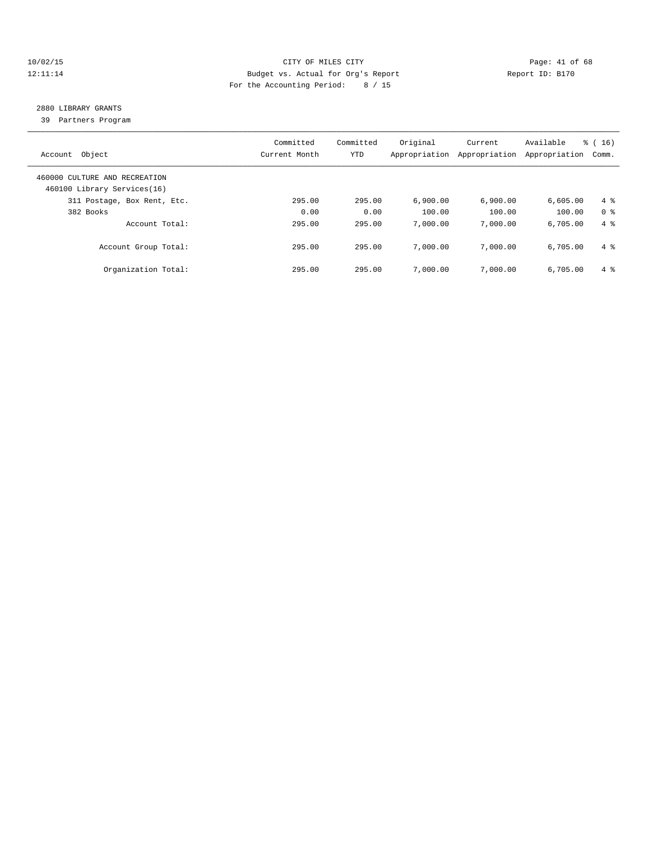## 10/02/15 **Page: 41 of 68** CITY OF MILES CITY **Page: 41 of 68** 12:11:14 Budget vs. Actual for Org's Report Report ID: B170 For the Accounting Period: 8 / 15

## 2880 LIBRARY GRANTS

39 Partners Program

| Object<br>Account                                            | Committed<br>Current Month | Committed<br><b>YTD</b> | Original<br>Appropriation | Current<br>Appropriation | Available<br>Appropriation | $\frac{3}{6}$ ( 16 )<br>Comm. |
|--------------------------------------------------------------|----------------------------|-------------------------|---------------------------|--------------------------|----------------------------|-------------------------------|
| 460000 CULTURE AND RECREATION<br>460100 Library Services(16) |                            |                         |                           |                          |                            |                               |
| 311 Postage, Box Rent, Etc.                                  | 295.00                     | 295.00                  | 6,900.00                  | 6,900.00                 | 6,605.00                   | $4\degree$                    |
| 382 Books                                                    | 0.00                       | 0.00                    | 100.00                    | 100.00                   | 100.00                     | 0 <sup>8</sup>                |
| Account Total:                                               | 295.00                     | 295.00                  | 7,000.00                  | 7,000.00                 | 6.705.00                   | $4 \text{ }$                  |
| Account Group Total:                                         | 295.00                     | 295.00                  | 7,000.00                  | 7,000.00                 | 6.705.00                   | $4 \text{ }$                  |
| Organization Total:                                          | 295.00                     | 295.00                  | 7,000.00                  | 7,000.00                 | 6.705.00                   | $4 \text{ }$                  |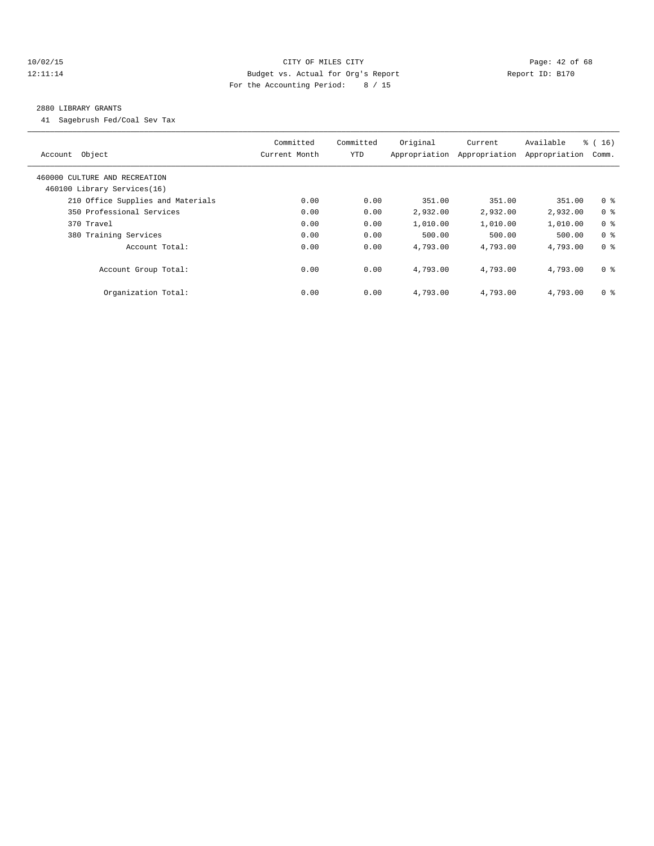## 10/02/15 **Page: 42 of 68** CITY OF MILES CITY **Page: 42 of 68** 12:11:14 Budget vs. Actual for Org's Report Report ID: B170 For the Accounting Period: 8 / 15

## 2880 LIBRARY GRANTS

41 Sagebrush Fed/Coal Sev Tax

| Account Object                                               | Committed<br>Current Month | Committed<br>YTD | Original<br>Appropriation | Current<br>Appropriation | Available<br>Appropriation | $\frac{3}{6}$ ( 16 )<br>Comm. |
|--------------------------------------------------------------|----------------------------|------------------|---------------------------|--------------------------|----------------------------|-------------------------------|
| 460000 CULTURE AND RECREATION<br>460100 Library Services(16) |                            |                  |                           |                          |                            |                               |
| 210 Office Supplies and Materials                            | 0.00                       | 0.00             | 351.00                    | 351.00                   | 351.00                     | 0 <sup>8</sup>                |
| 350 Professional Services                                    | 0.00                       | 0.00             | 2,932.00                  | 2,932.00                 | 2,932.00                   | 0 <sup>8</sup>                |
| 370 Travel                                                   | 0.00                       | 0.00             | 1,010.00                  | 1,010.00                 | 1,010.00                   | 0 <sup>8</sup>                |
| 380 Training Services                                        | 0.00                       | 0.00             | 500.00                    | 500.00                   | 500.00                     | 0 <sup>8</sup>                |
| Account Total:                                               | 0.00                       | 0.00             | 4,793.00                  | 4,793.00                 | 4,793.00                   | 0 <sup>8</sup>                |
| Account Group Total:                                         | 0.00                       | 0.00             | 4,793.00                  | 4,793.00                 | 4,793.00                   | 0 <sup>8</sup>                |
| Organization Total:                                          | 0.00                       | 0.00             | 4,793.00                  | 4,793.00                 | 4,793.00                   | 0 <sup>8</sup>                |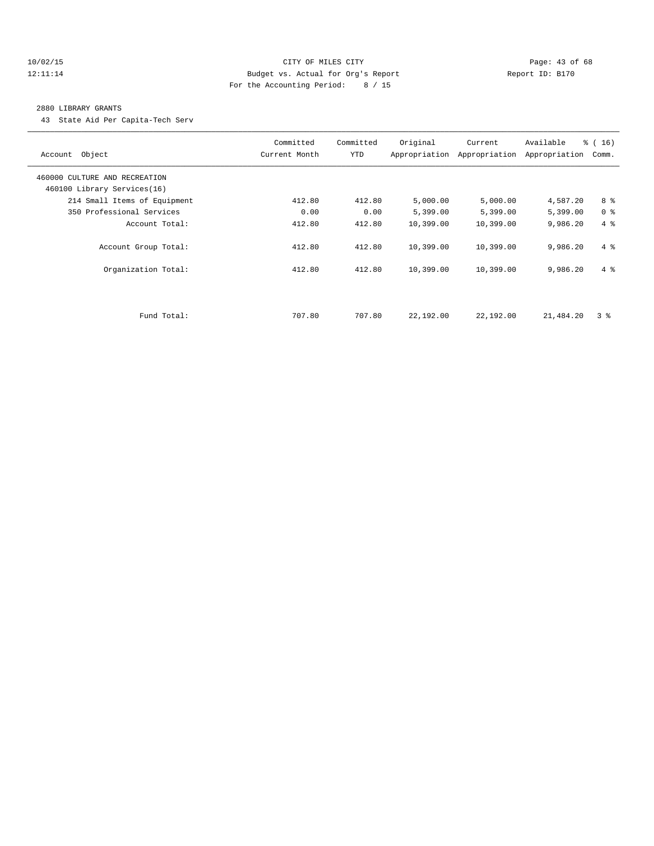## 10/02/15 **Page: 43 of 68** CITY OF MILES CITY **CITY Page: 43 of 68** 12:11:14 Budget vs. Actual for Org's Report Report ID: B170 For the Accounting Period: 8 / 15

## 2880 LIBRARY GRANTS

43 State Aid Per Capita-Tech Serv

| Account Object                | Committed<br>Current Month | Committed<br><b>YTD</b> | Original  | Current<br>Appropriation Appropriation | Available<br>Appropriation | % (16)<br>Comm. |
|-------------------------------|----------------------------|-------------------------|-----------|----------------------------------------|----------------------------|-----------------|
| 460000 CULTURE AND RECREATION |                            |                         |           |                                        |                            |                 |
| 460100 Library Services(16)   |                            |                         |           |                                        |                            |                 |
| 214 Small Items of Equipment  | 412.80                     | 412.80                  | 5,000.00  | 5,000.00                               | 4,587.20                   | 8 %             |
| 350 Professional Services     | 0.00                       | 0.00                    | 5,399.00  | 5,399.00                               | 5,399.00                   | 0 <sup>8</sup>  |
| Account Total:                | 412.80                     | 412.80                  | 10,399.00 | 10,399.00                              | 9,986.20                   | 4%              |
| Account Group Total:          | 412.80                     | 412.80                  | 10,399.00 | 10,399.00                              | 9,986.20                   | $4 \text{ }$    |
| Organization Total:           | 412.80                     | 412.80                  | 10,399.00 | 10,399.00                              | 9,986.20                   | $4 \text{ }$    |
|                               |                            |                         |           |                                        |                            |                 |
| Fund Total:                   | 707.80                     | 707.80                  | 22,192.00 | 22,192.00                              | 21,484.20                  | 3 <sup>8</sup>  |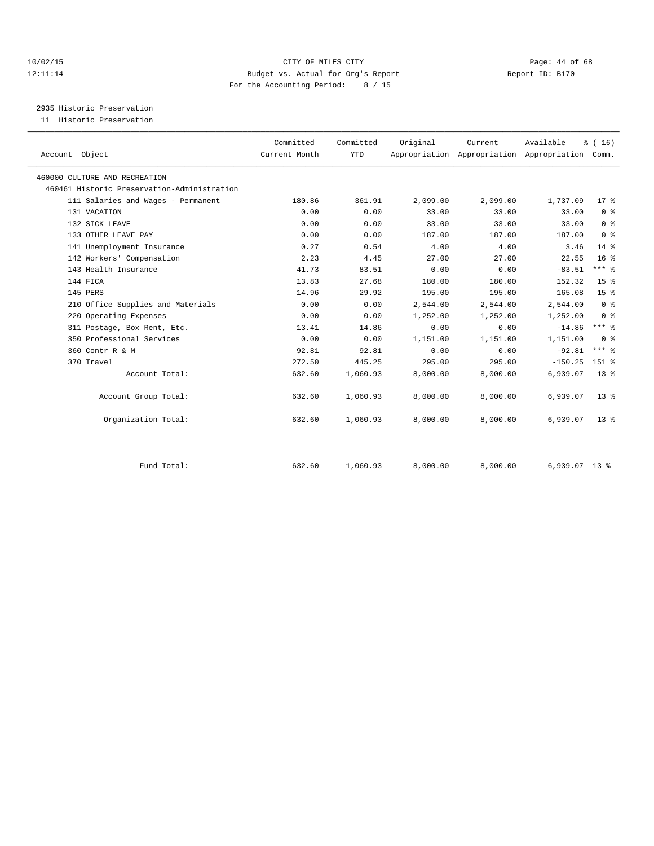## 10/02/15 **Page: 44 of 68** CITY OF MILES CITY **Page: 44 of 68** 12:11:14 Budget vs. Actual for Org's Report Report ID: B170 For the Accounting Period: 8 / 15

2935 Historic Preservation

11 Historic Preservation

| Account Object                              | Committed<br>Current Month | Committed<br><b>YTD</b> | Original | Current<br>Appropriation Appropriation Appropriation Comm. | Available       | % (16)          |  |
|---------------------------------------------|----------------------------|-------------------------|----------|------------------------------------------------------------|-----------------|-----------------|--|
| 460000 CULTURE AND RECREATION               |                            |                         |          |                                                            |                 |                 |  |
| 460461 Historic Preservation-Administration |                            |                         |          |                                                            |                 |                 |  |
| 111 Salaries and Wages - Permanent          | 180.86                     | 361.91                  | 2,099.00 | 2,099.00                                                   | 1,737.09        | 17 <sup>8</sup> |  |
| 131 VACATION                                | 0.00                       | 0.00                    | 33.00    | 33.00                                                      | 33.00           | 0 <sup>8</sup>  |  |
| 132 SICK LEAVE                              | 0.00                       | 0.00                    | 33.00    | 33.00                                                      | 33.00           | 0 <sup>8</sup>  |  |
| 133 OTHER LEAVE PAY                         | 0.00                       | 0.00                    | 187.00   | 187.00                                                     | 187.00          | 0 <sup>8</sup>  |  |
| 141 Unemployment Insurance                  | 0.27                       | 0.54                    | 4.00     | 4.00                                                       | 3.46            | 14 %            |  |
| 142 Workers' Compensation                   | 2.23                       | 4.45                    | 27.00    | 27.00                                                      | 22.55           | 16 <sup>8</sup> |  |
| 143 Health Insurance                        | 41.73                      | 83.51                   | 0.00     | 0.00                                                       | $-83.51$        | $***$ $-$       |  |
| 144 FICA                                    | 13.83                      | 27.68                   | 180.00   | 180.00                                                     | 152.32          | 15 <sup>8</sup> |  |
| 145 PERS                                    | 14.96                      | 29.92                   | 195.00   | 195.00                                                     | 165.08          | 15 <sup>°</sup> |  |
| 210 Office Supplies and Materials           | 0.00                       | 0.00                    | 2,544.00 | 2,544.00                                                   | 2,544.00        | 0 <sup>8</sup>  |  |
| 220 Operating Expenses                      | 0.00                       | 0.00                    | 1,252.00 | 1,252.00                                                   | 1,252.00        | 0 <sup>8</sup>  |  |
| 311 Postage, Box Rent, Etc.                 | 13.41                      | 14.86                   | 0.00     | 0.00                                                       | $-14.86$        | $***$ $-$       |  |
| 350 Professional Services                   | 0.00                       | 0.00                    | 1,151.00 | 1,151.00                                                   | 1,151.00        | 0 <sup>8</sup>  |  |
| 360 Contr R & M                             | 92.81                      | 92.81                   | 0.00     | 0.00                                                       | $-92.81$        | $***$ $-$       |  |
| 370 Travel                                  | 272.50                     | 445.25                  | 295.00   | 295.00                                                     | $-150.25$       | $151$ %         |  |
| Account Total:                              | 632.60                     | 1,060.93                | 8,000.00 | 8,000.00                                                   | 6,939.07        | 13 <sup>8</sup> |  |
| Account Group Total:                        | 632.60                     | 1,060.93                | 8,000.00 | 8,000.00                                                   | 6,939.07        | 13 <sup>8</sup> |  |
| Organization Total:                         | 632.60                     | 1,060.93                | 8,000.00 | 8,000.00                                                   | 6,939.07        | 13 <sup>8</sup> |  |
| Fund Total:                                 | 632.60                     | 1,060.93                | 8,000.00 | 8,000.00                                                   | $6,939.07$ 13 % |                 |  |
|                                             |                            |                         |          |                                                            |                 |                 |  |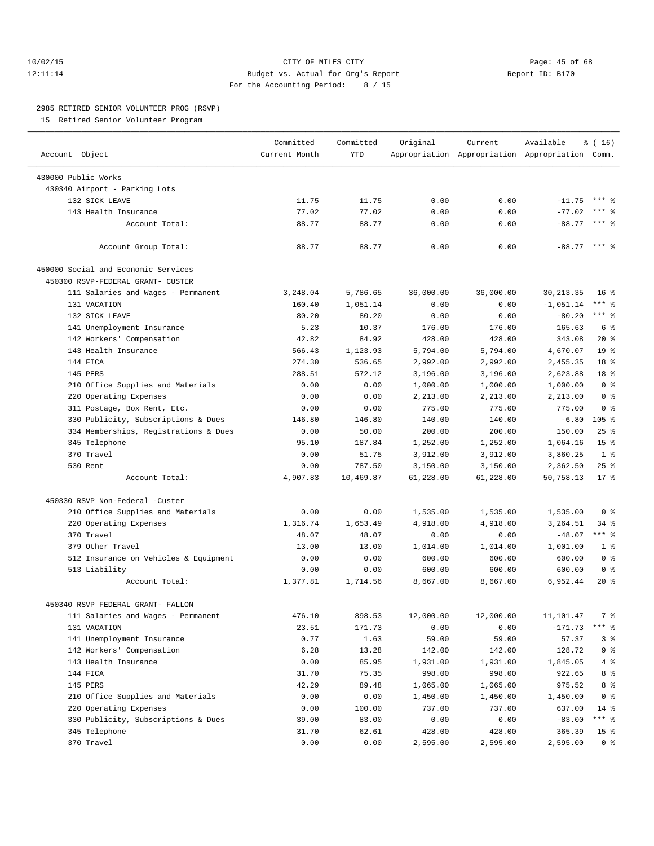## 10/02/15 **Page: 45 of 68** CITY OF MILES CITY **CITY Page: 45 of 68** 12:11:14 Budget vs. Actual for Org's Report Report ID: B170 For the Accounting Period: 8 / 15

————————————————————————————————————————————————————————————————————————————————————————————————————————————————————————————————————

## 2985 RETIRED SENIOR VOLUNTEER PROG (RSVP)

15 Retired Senior Volunteer Program

|                                       | Committed     | Committed  | Original  | Current   | Available                                       | $\frac{1}{6}$ ( 16 ) |
|---------------------------------------|---------------|------------|-----------|-----------|-------------------------------------------------|----------------------|
| Account Object                        | Current Month | <b>YTD</b> |           |           | Appropriation Appropriation Appropriation Comm. |                      |
| 430000 Public Works                   |               |            |           |           |                                                 |                      |
| 430340 Airport - Parking Lots         |               |            |           |           |                                                 |                      |
| 132 SICK LEAVE                        | 11.75         | 11.75      | 0.00      | 0.00      | $-11.75$                                        | $***$ 2              |
| 143 Health Insurance                  | 77.02         | 77.02      | 0.00      | 0.00      | $-77.02$                                        | *** 응                |
| Account Total:                        | 88.77         | 88.77      | 0.00      | 0.00      | $-88.77$                                        | *** 음                |
|                                       |               |            |           |           |                                                 |                      |
| Account Group Total:                  | 88.77         | 88.77      | 0.00      | 0.00      | $-88.77$ *** $%$                                |                      |
| 450000 Social and Economic Services   |               |            |           |           |                                                 |                      |
| 450300 RSVP-FEDERAL GRANT- CUSTER     |               |            |           |           |                                                 |                      |
| 111 Salaries and Wages - Permanent    | 3,248.04      | 5,786.65   | 36,000.00 | 36,000.00 | 30, 213.35                                      | $16*$                |
| 131 VACATION                          | 160.40        | 1,051.14   | 0.00      | 0.00      | $-1,051.14$                                     | *** 응                |
| 132 SICK LEAVE                        | 80.20         | 80.20      | 0.00      | 0.00      | $-80.20$                                        | $***$ $%$            |
| 141 Unemployment Insurance            | 5.23          | 10.37      | 176.00    | 176.00    | 165.63                                          | 6 <sup>°</sup>       |
| 142 Workers' Compensation             | 42.82         | 84.92      | 428.00    | 428.00    | 343.08                                          | $20*$                |
| 143 Health Insurance                  | 566.43        | 1,123.93   | 5,794.00  | 5,794.00  | 4,670.07                                        | 19 <sup>°</sup>      |
| 144 FICA                              | 274.30        | 536.65     | 2,992.00  | 2,992.00  | 2,455.35                                        | 18 <sup>°</sup>      |
| 145 PERS                              | 288.51        | 572.12     | 3,196.00  | 3,196.00  | 2,623.88                                        | 18 <sup>°</sup>      |
| 210 Office Supplies and Materials     | 0.00          | 0.00       | 1,000.00  | 1,000.00  | 1,000.00                                        | 0 <sup>8</sup>       |
| 220 Operating Expenses                | 0.00          | 0.00       | 2,213.00  | 2,213.00  | 2,213.00                                        | 0 <sup>8</sup>       |
| 311 Postage, Box Rent, Etc.           | 0.00          | 0.00       | 775.00    | 775.00    | 775.00                                          | 0 <sup>8</sup>       |
| 330 Publicity, Subscriptions & Dues   | 146.80        | 146.80     | 140.00    | 140.00    | $-6.80$                                         | $105$ %              |
| 334 Memberships, Registrations & Dues | 0.00          | 50.00      | 200.00    | 200.00    | 150.00                                          | $25$ $%$             |
| 345 Telephone                         | 95.10         | 187.84     | 1,252.00  | 1,252.00  | 1,064.16                                        | 15 <sup>°</sup>      |
| 370 Travel                            | 0.00          | 51.75      | 3,912.00  | 3,912.00  | 3,860.25                                        | 1 <sup>8</sup>       |
| 530 Rent                              | 0.00          | 787.50     | 3,150.00  | 3,150.00  | 2,362.50                                        | $25$ %               |
| Account Total:                        | 4,907.83      | 10,469.87  | 61,228.00 | 61,228.00 | 50,758.13                                       | $17$ %               |
|                                       |               |            |           |           |                                                 |                      |
| 450330 RSVP Non-Federal -Custer       |               |            |           |           |                                                 |                      |
| 210 Office Supplies and Materials     | 0.00          | 0.00       | 1,535.00  | 1,535.00  | 1,535.00                                        | 0 <sup>8</sup>       |
| 220 Operating Expenses                | 1,316.74      | 1,653.49   | 4,918.00  | 4,918.00  | 3,264.51                                        | 34 %                 |
| 370 Travel                            | 48.07         | 48.07      | 0.00      | 0.00      | $-48.07$                                        | *** 응                |
| 379 Other Travel                      | 13.00         | 13.00      | 1,014.00  | 1,014.00  | 1,001.00                                        | 1 <sup>8</sup>       |
| 512 Insurance on Vehicles & Equipment | 0.00          | 0.00       | 600.00    | 600.00    | 600.00                                          | 0 <sup>8</sup>       |
| 513 Liability                         | 0.00          | 0.00       | 600.00    | 600.00    | 600.00                                          | 0 <sup>8</sup>       |
| Account Total:                        | 1,377.81      | 1,714.56   | 8,667.00  | 8,667.00  | 6,952.44                                        | $20*$                |
| 450340 RSVP FEDERAL GRANT- FALLON     |               |            |           |           |                                                 |                      |
| 111 Salaries and Wages - Permanent    | 476.10        | 898.53     | 12,000.00 | 12,000.00 | 11,101.47                                       | 7 %                  |
| 131 VACATION                          | 23.51         | 171.73     | 0.00      | 0.00      | $-171.73$                                       | $***$ $-$            |
| 141 Unemployment Insurance            | 0.77          | 1.63       | 59.00     | 59.00     | 57.37                                           | 3%                   |
| 142 Workers' Compensation             | 6.28          | 13.28      | 142.00    | 142.00    | 128.72                                          | 9 %                  |
| 143 Health Insurance                  | 0.00          | 85.95      | 1,931.00  | 1,931.00  | 1,845.05                                        | 4%                   |
| 144 FICA                              | 31.70         | 75.35      | 998.00    | 998.00    | 922.65                                          | 8 %                  |
| 145 PERS                              | 42.29         | 89.48      | 1,065.00  | 1,065.00  | 975.52                                          | 8 %                  |
| 210 Office Supplies and Materials     | 0.00          | 0.00       | 1,450.00  | 1,450.00  | 1,450.00                                        | 0 <sup>8</sup>       |
| 220 Operating Expenses                | 0.00          | 100.00     | 737.00    | 737.00    | 637.00                                          | 14 %                 |
| 330 Publicity, Subscriptions & Dues   | 39.00         | 83.00      | 0.00      | 0.00      | $-83.00$                                        | *** %                |
| 345 Telephone                         | 31.70         | 62.61      | 428.00    | 428.00    | 365.39                                          | 15 <sup>8</sup>      |
| 370 Travel                            | 0.00          | 0.00       | 2,595.00  | 2,595.00  | 2,595.00                                        | 0 <sup>8</sup>       |
|                                       |               |            |           |           |                                                 |                      |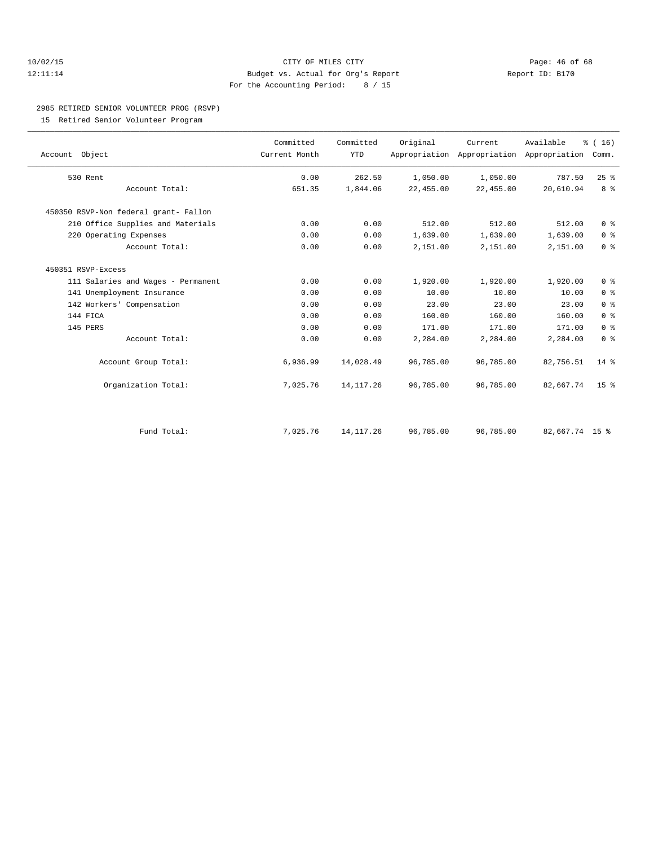## 10/02/15 **Page: 46 of 68** CITY OF MILES CITY **Page: 46 of 68** 12:11:14 Budget vs. Actual for Org's Report Report ID: B170 For the Accounting Period: 8 / 15

# 2985 RETIRED SENIOR VOLUNTEER PROG (RSVP)

15 Retired Senior Volunteer Program

| Account Object                        | Committed<br>Current Month | Committed<br><b>YTD</b> | Original  | Current   | Available<br>Appropriation Appropriation Appropriation | % (16)<br>Comm. |
|---------------------------------------|----------------------------|-------------------------|-----------|-----------|--------------------------------------------------------|-----------------|
| 530 Rent                              | 0.00                       | 262.50                  | 1,050.00  | 1,050.00  | 787.50                                                 | 25%             |
| Account Total:                        | 651.35                     | 1,844.06                | 22,455.00 | 22,455.00 | 20,610.94                                              | 8 <sup>8</sup>  |
| 450350 RSVP-Non federal grant- Fallon |                            |                         |           |           |                                                        |                 |
| 210 Office Supplies and Materials     | 0.00                       | 0.00                    | 512.00    | 512.00    | 512.00                                                 | 0 <sup>8</sup>  |
| 220 Operating Expenses                | 0.00                       | 0.00                    | 1,639.00  | 1,639.00  | 1,639.00                                               | 0 <sup>8</sup>  |
| Account Total:                        | 0.00                       | 0.00                    | 2,151.00  | 2,151.00  | 2,151.00                                               | 0 <sup>8</sup>  |
| 450351 RSVP-Excess                    |                            |                         |           |           |                                                        |                 |
| 111 Salaries and Wages - Permanent    | 0.00                       | 0.00                    | 1,920.00  | 1,920.00  | 1,920.00                                               | 0 <sup>8</sup>  |
| 141 Unemployment Insurance            | 0.00                       | 0.00                    | 10.00     | 10.00     | 10.00                                                  | 0 <sup>8</sup>  |
| 142 Workers' Compensation             | 0.00                       | 0.00                    | 23.00     | 23.00     | 23.00                                                  | 0 <sup>8</sup>  |
| 144 FICA                              | 0.00                       | 0.00                    | 160.00    | 160.00    | 160.00                                                 | 0 <sup>°</sup>  |
| 145 PERS                              | 0.00                       | 0.00                    | 171.00    | 171.00    | 171.00                                                 | 0 <sup>8</sup>  |
| Account Total:                        | 0.00                       | 0.00                    | 2,284.00  | 2,284.00  | 2,284.00                                               | 0 <sup>8</sup>  |
| Account Group Total:                  | 6,936.99                   | 14,028.49               | 96,785.00 | 96,785.00 | 82,756.51                                              | $14*$           |
| Organization Total:                   | 7,025.76                   | 14, 117. 26             | 96,785.00 | 96,785.00 | 82,667.74                                              | 15 <sup>8</sup> |
|                                       |                            |                         |           |           |                                                        |                 |
| Fund Total:                           | 7,025.76                   | 14, 117. 26             | 96,785.00 | 96,785.00 | 82,667.74 15 %                                         |                 |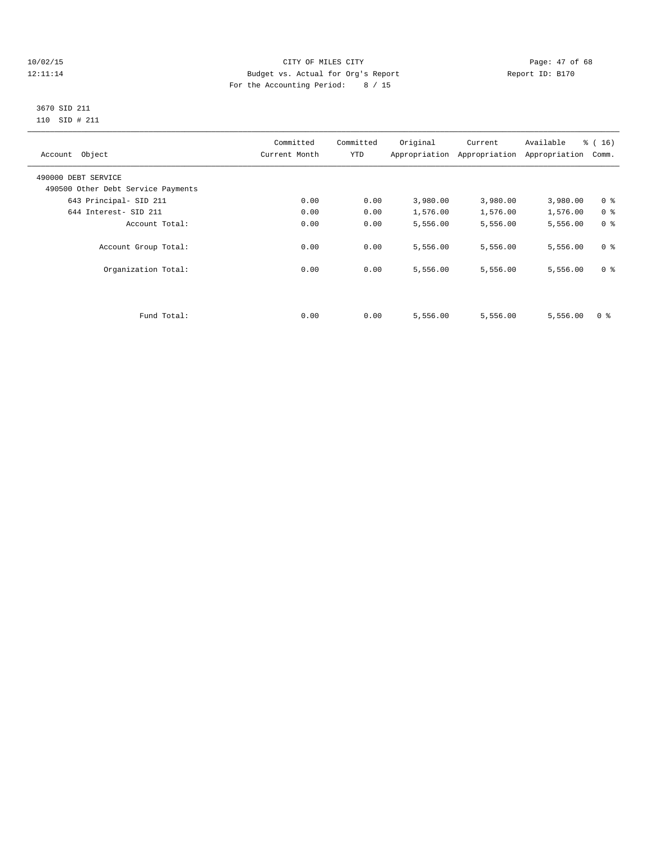## 10/02/15 **Page: 47 of 68** CITY OF MILES CITY **Page: 47 of 68** 12:11:14 Budget vs. Actual for Org's Report Report ID: B170 For the Accounting Period: 8 / 15

## 3670 SID 211 110 SID # 211

| Account Object                     | Committed<br>Current Month | Committed<br>YTD | Original | Current<br>Appropriation Appropriation | Available<br>Appropriation | % (16)<br>Comm. |
|------------------------------------|----------------------------|------------------|----------|----------------------------------------|----------------------------|-----------------|
| 490000 DEBT SERVICE                |                            |                  |          |                                        |                            |                 |
| 490500 Other Debt Service Payments |                            |                  |          |                                        |                            |                 |
| 643 Principal- SID 211             | 0.00                       | 0.00             | 3,980.00 | 3,980.00                               | 3,980.00                   | 0 <sup>8</sup>  |
| 644 Interest- SID 211              | 0.00                       | 0.00             | 1,576.00 | 1,576.00                               | 1,576.00                   | 0 <sup>8</sup>  |
| Account Total:                     | 0.00                       | 0.00             | 5,556.00 | 5,556.00                               | 5,556.00                   | 0 <sup>8</sup>  |
| Account Group Total:               | 0.00                       | 0.00             | 5,556.00 | 5,556.00                               | 5,556.00                   | 0 <sup>8</sup>  |
| Organization Total:                | 0.00                       | 0.00             | 5,556.00 | 5,556.00                               | 5,556.00                   | 0 <sup>8</sup>  |
|                                    |                            |                  |          |                                        |                            |                 |
| Fund Total:                        | 0.00                       | 0.00             | 5,556.00 | 5,556.00                               | 5,556.00                   | 0 <sup>8</sup>  |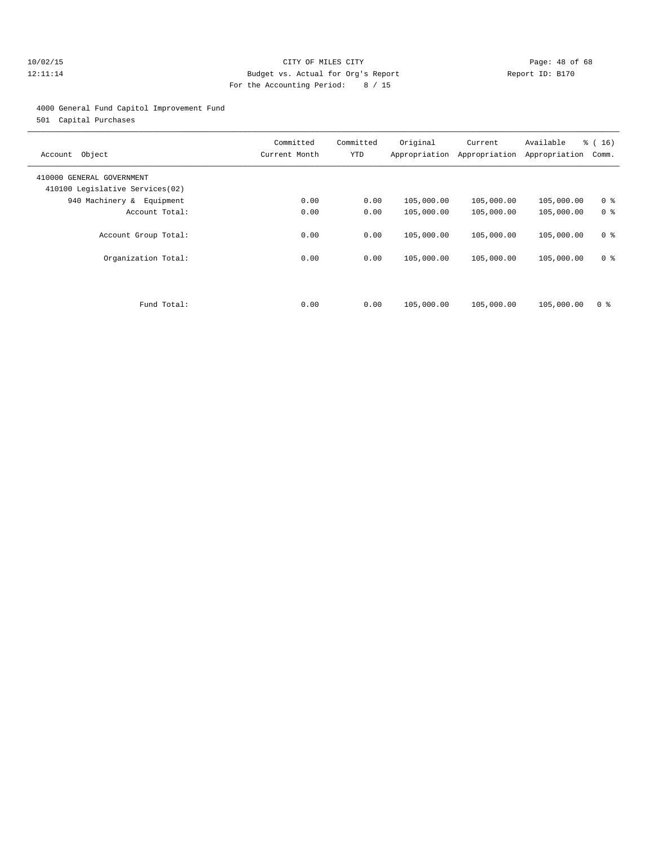## 10/02/15 **Page: 48 of 68** CITY OF MILES CITY **CITY Page: 48 of 68** 12:11:14 Budget vs. Actual for Org's Report Report ID: B170 For the Accounting Period: 8 / 15

## 4000 General Fund Capitol Improvement Fund

501 Capital Purchases

| Object<br>Account                                            | Committed<br>Current Month | Committed<br>YTD | Original<br>Appropriation | Current<br>Appropriation | Available<br>Appropriation | % (16)<br>Comm. |
|--------------------------------------------------------------|----------------------------|------------------|---------------------------|--------------------------|----------------------------|-----------------|
| 410000 GENERAL GOVERNMENT<br>410100 Legislative Services(02) |                            |                  |                           |                          |                            |                 |
| 940 Machinery & Equipment                                    | 0.00                       | 0.00             | 105,000.00                | 105,000.00               | 105,000.00                 | 0 <sup>8</sup>  |
| Account Total:                                               | 0.00                       | 0.00             | 105,000.00                | 105,000.00               | 105,000.00                 | 0 <sup>8</sup>  |
| Account Group Total:                                         | 0.00                       | 0.00             | 105,000.00                | 105,000.00               | 105,000.00                 | 0 <sup>8</sup>  |
| Organization Total:                                          | 0.00                       | 0.00             | 105,000.00                | 105,000.00               | 105,000.00                 | 0 <sup>8</sup>  |
|                                                              |                            |                  |                           |                          |                            |                 |
| Fund Total:                                                  | 0.00                       | 0.00             | 105,000.00                | 105,000.00               | 105,000.00                 | 0 <sup>8</sup>  |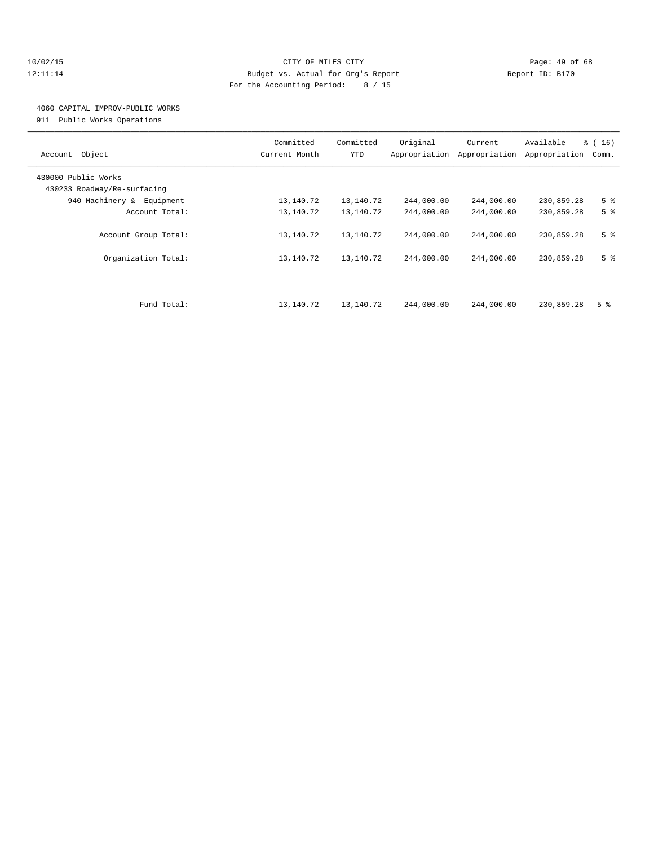## 10/02/15 **Page: 49 of 68** CITY OF MILES CITY **CITY** CITY **Page: 49 of 68** 12:11:14 Budget vs. Actual for Org's Report Report ID: B170 For the Accounting Period: 8 / 15

## 4060 CAPITAL IMPROV-PUBLIC WORKS

911 Public Works Operations

| Object<br>Account                                  | Committed<br>Current Month | Committed<br>YTD | Original<br>Appropriation | Current<br>Appropriation | Available<br>Appropriation | % (16)<br>Comm. |
|----------------------------------------------------|----------------------------|------------------|---------------------------|--------------------------|----------------------------|-----------------|
| 430000 Public Works<br>430233 Roadway/Re-surfacing |                            |                  |                           |                          |                            |                 |
| 940 Machinery & Equipment                          | 13,140.72                  | 13,140.72        | 244,000.00                | 244,000.00               | 230,859.28                 | 5 <sup>°</sup>  |
| Account Total:                                     | 13,140.72                  | 13,140.72        | 244,000.00                | 244,000.00               | 230,859.28                 | 5 <sup>8</sup>  |
| Account Group Total:                               | 13,140.72                  | 13,140.72        | 244,000.00                | 244,000.00               | 230,859.28                 | 5 <sup>°</sup>  |
| Organization Total:                                | 13,140.72                  | 13,140.72        | 244,000.00                | 244,000.00               | 230,859.28                 | 5 <sup>°</sup>  |
| Fund Total:                                        | 13,140.72                  | 13,140.72        | 244,000.00                | 244,000.00               | 230,859.28                 | 5 <sup>8</sup>  |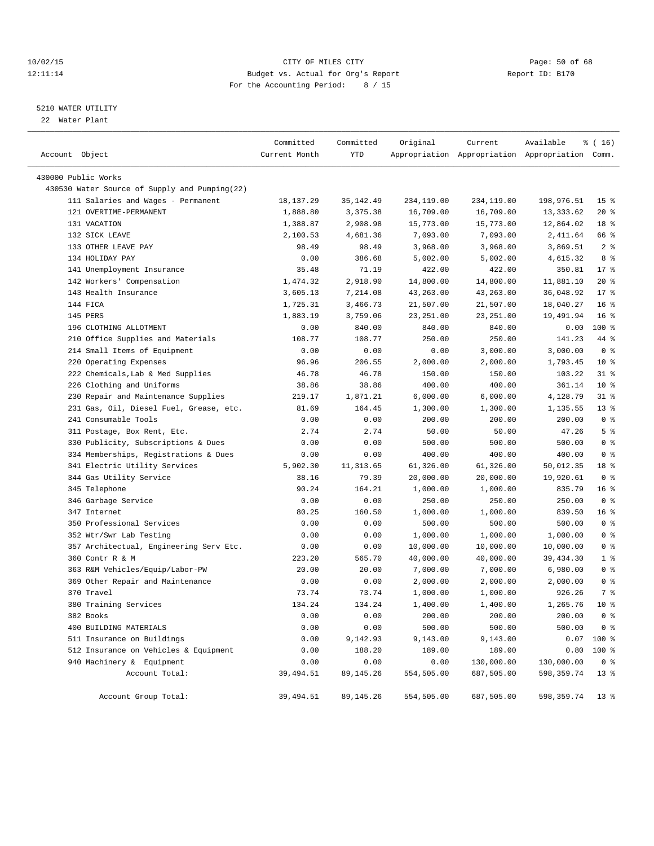## 10/02/15 **Page: 50 of 68** CITY OF MILES CITY **CITY Page: 50 of 68** 12:11:14 Budget vs. Actual for Org's Report Report ID: B170 For the Accounting Period: 8 / 15

## 5210 WATER UTILITY

22 Water Plant

| Account Object                                | Committed<br>Current Month | Committed<br>YTD | Original   | Current    | Available<br>Appropriation Appropriation Appropriation Comm. | % (16)          |
|-----------------------------------------------|----------------------------|------------------|------------|------------|--------------------------------------------------------------|-----------------|
|                                               |                            |                  |            |            |                                                              |                 |
| 430000 Public Works                           |                            |                  |            |            |                                                              |                 |
| 430530 Water Source of Supply and Pumping(22) |                            |                  |            |            |                                                              |                 |
| 111 Salaries and Wages - Permanent            | 18,137.29                  | 35, 142.49       | 234,119.00 | 234,119.00 | 198,976.51                                                   | 15 <sub>8</sub> |
| 121 OVERTIME-PERMANENT                        | 1,888.80                   | 3,375.38         | 16,709.00  | 16,709.00  | 13, 333.62                                                   | $20*$           |
| 131 VACATION                                  | 1,388.87                   | 2,908.98         | 15,773.00  | 15,773.00  | 12,864.02                                                    | 18 <sup>°</sup> |
| 132 SICK LEAVE                                | 2,100.53                   | 4,681.36         | 7,093.00   | 7,093.00   | 2,411.64                                                     | 66 %            |
| 133 OTHER LEAVE PAY                           | 98.49                      | 98.49            | 3,968.00   | 3,968.00   | 3,869.51                                                     | 2 <sub>8</sub>  |
| 134 HOLIDAY PAY                               | 0.00                       | 386.68           | 5,002.00   | 5,002.00   | 4,615.32                                                     | 8 %             |
| 141 Unemployment Insurance                    | 35.48                      | 71.19            | 422.00     | 422.00     | 350.81                                                       | $17*$           |
| 142 Workers' Compensation                     | 1,474.32                   | 2,918.90         | 14,800.00  | 14,800.00  | 11,881.10                                                    | $20*$           |
| 143 Health Insurance                          | 3,605.13                   | 7,214.08         | 43,263.00  | 43,263.00  | 36,048.92                                                    | $17*$           |
| 144 FICA                                      | 1,725.31                   | 3,466.73         | 21,507.00  | 21,507.00  | 18,040.27                                                    | $16*$           |
| 145 PERS                                      | 1,883.19                   | 3,759.06         | 23, 251.00 | 23, 251.00 | 19,491.94                                                    | 16 <sup>°</sup> |
| 196 CLOTHING ALLOTMENT                        | 0.00                       | 840.00           | 840.00     | 840.00     | 0.00                                                         | 100 %           |
| 210 Office Supplies and Materials             | 108.77                     | 108.77           | 250.00     | 250.00     | 141.23                                                       | 44 %            |
| 214 Small Items of Equipment                  | 0.00                       | 0.00             | 0.00       | 3,000.00   | 3,000.00                                                     | 0 <sup>8</sup>  |
| 220 Operating Expenses                        | 96.96                      | 206.55           | 2,000.00   | 2,000.00   | 1,793.45                                                     | $10*$           |
| 222 Chemicals, Lab & Med Supplies             | 46.78                      | 46.78            | 150.00     | 150.00     | 103.22                                                       | $31$ $%$        |
| 226 Clothing and Uniforms                     | 38.86                      | 38.86            | 400.00     | 400.00     | 361.14                                                       | $10*$           |
| Repair and Maintenance Supplies<br>230        | 219.17                     | 1,871.21         | 6,000.00   | 6,000.00   | 4,128.79                                                     | $31$ $%$        |
| 231 Gas, Oil, Diesel Fuel, Grease, etc.       | 81.69                      | 164.45           | 1,300.00   | 1,300.00   | 1,135.55                                                     | $13*$           |
| 241 Consumable Tools                          | 0.00                       | 0.00             | 200.00     | 200.00     | 200.00                                                       | 0 <sup>8</sup>  |
| 311 Postage, Box Rent, Etc.                   | 2.74                       | 2.74             | 50.00      | 50.00      | 47.26                                                        | 5 <sup>°</sup>  |
| 330 Publicity, Subscriptions & Dues           | 0.00                       | 0.00             | 500.00     | 500.00     | 500.00                                                       | 0 <sup>8</sup>  |
| 334 Memberships, Registrations & Dues         | 0.00                       | 0.00             | 400.00     | 400.00     | 400.00                                                       | 0 <sup>8</sup>  |
| 341 Electric Utility Services                 | 5,902.30                   | 11, 313.65       | 61,326.00  | 61,326.00  | 50,012.35                                                    | 18 %            |
| 344 Gas Utility Service                       | 38.16                      | 79.39            | 20,000.00  | 20,000.00  | 19,920.61                                                    | 0 <sup>8</sup>  |
| 345 Telephone                                 | 90.24                      | 164.21           | 1,000.00   | 1,000.00   | 835.79                                                       | 16 <sup>°</sup> |
| 346 Garbage Service                           | 0.00                       | 0.00             | 250.00     | 250.00     | 250.00                                                       | 0 <sup>8</sup>  |
| 347 Internet                                  | 80.25                      | 160.50           | 1,000.00   | 1,000.00   | 839.50                                                       | 16 %            |
| 350 Professional Services                     | 0.00                       | 0.00             | 500.00     | 500.00     | 500.00                                                       | 0 <sup>8</sup>  |
| 352 Wtr/Swr Lab Testing                       | 0.00                       | 0.00             | 1,000.00   | 1,000.00   | 1,000.00                                                     | 0 <sup>8</sup>  |
| 357 Architectual, Engineering Serv Etc.       | 0.00                       | 0.00             | 10,000.00  | 10,000.00  | 10,000.00                                                    | 0 <sup>8</sup>  |
| 360 Contr R & M                               | 223.20                     | 565.70           | 40,000.00  | 40,000.00  | 39,434.30                                                    | 1 <sup>8</sup>  |
| 363 R&M Vehicles/Equip/Labor-PW               | 20.00                      | 20.00            | 7,000.00   | 7,000.00   | 6,980.00                                                     | 0 <sup>8</sup>  |
| 369 Other Repair and Maintenance              | 0.00                       | 0.00             | 2,000.00   | 2,000.00   | 2,000.00                                                     | 0 <sup>8</sup>  |
| 370 Travel                                    | 73.74                      | 73.74            | 1,000.00   | 1,000.00   | 926.26                                                       | 7 %             |
| 380 Training Services                         | 134.24                     | 134.24           | 1,400.00   | 1,400.00   | 1,265.76                                                     | 10 <sup>°</sup> |
| 382 Books                                     | 0.00                       | 0.00             | 200.00     | 200.00     | 200.00                                                       | $0$ %           |
| 400 BUILDING MATERIALS                        | 0.00                       | 0.00             | 500.00     | 500.00     | 500.00                                                       | 0 <sup>8</sup>  |
| 511 Insurance on Buildings                    | 0.00                       | 9,142.93         | 9,143.00   | 9,143.00   | 0.07                                                         | 100 %           |
| 512 Insurance on Vehicles & Equipment         | 0.00                       | 188.20           | 189.00     | 189.00     | 0.80                                                         | 100 %           |
| 940 Machinery & Equipment                     | 0.00                       | 0.00             | 0.00       | 130,000.00 | 130,000.00                                                   | 0 <sup>8</sup>  |
| Account Total:                                | 39,494.51                  | 89, 145. 26      | 554,505.00 | 687,505.00 | 598, 359.74                                                  | $13*$           |
| Account Group Total:                          | 39,494.51                  | 89, 145. 26      | 554,505.00 | 687,505.00 | 598, 359.74                                                  | $13*$           |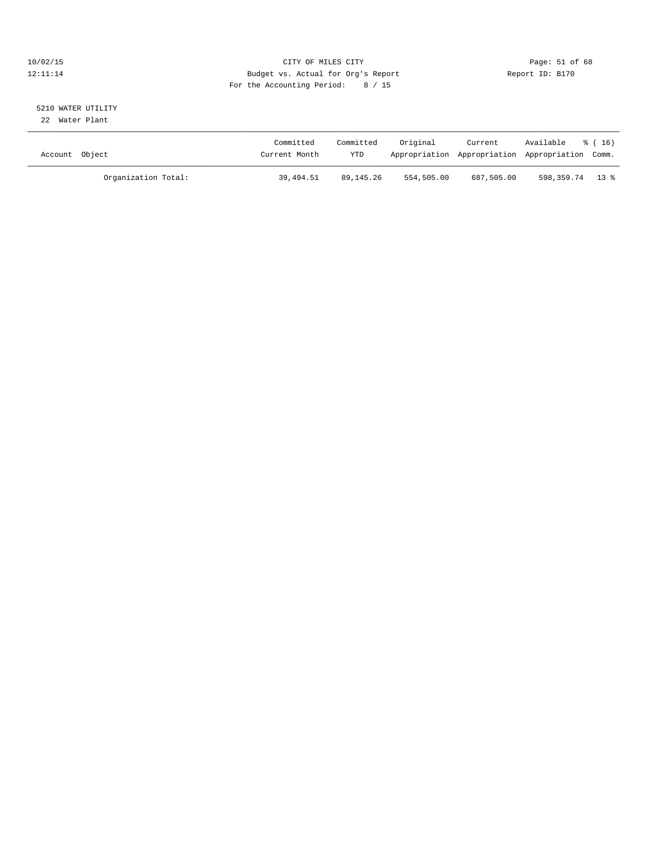## 10/02/15 **Page: 51 of 68** CITY OF MILES CITY **CITY** Page: 51 of 68 12:11:14 Budget vs. Actual for Org's Report Report ID: B170 For the Accounting Period: 8 / 15

# 5210 WATER UTILITY

22 Water Plant

| Account Object |                     | Committed<br>Current Month | Committed<br>YTD | Original   | Current    | Available<br>Appropriation Appropriation Appropriation Comm. | % (16) |
|----------------|---------------------|----------------------------|------------------|------------|------------|--------------------------------------------------------------|--------|
|                | Organization Total: | 39,494.51                  | 89,145.26        | 554,505.00 | 687,505.00 | 598,359.74 13 %                                              |        |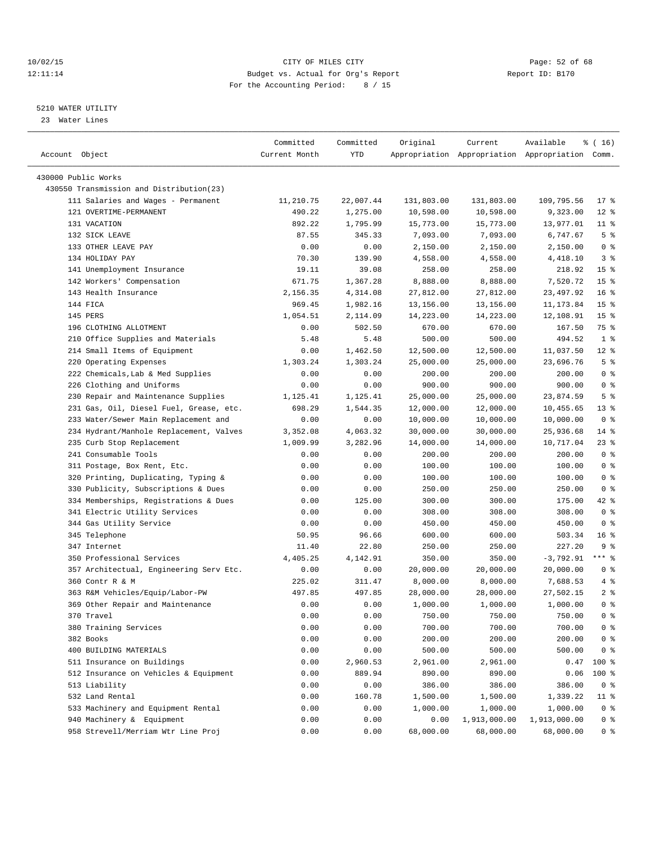## 10/02/15 **Page: 52 of 68** CITY OF MILES CITY **CITY Page: 52 of 68** 12:11:14 Budget vs. Actual for Org's Report Report ID: B170 For the Accounting Period: 8 / 15

————————————————————————————————————————————————————————————————————————————————————————————————————————————————————————————————————

## 5210 WATER UTILITY

23 Water Lines

|                                          | Committed     | Committed | Original   | Current      | Available                                       | % (16)          |
|------------------------------------------|---------------|-----------|------------|--------------|-------------------------------------------------|-----------------|
| Account Object                           | Current Month | YTD       |            |              | Appropriation Appropriation Appropriation Comm. |                 |
|                                          |               |           |            |              |                                                 |                 |
| 430000 Public Works                      |               |           |            |              |                                                 |                 |
| 430550 Transmission and Distribution(23) |               |           |            |              |                                                 |                 |
| 111 Salaries and Wages - Permanent       | 11,210.75     | 22,007.44 | 131,803.00 | 131,803.00   | 109,795.56                                      | $17$ %          |
| 121 OVERTIME-PERMANENT                   | 490.22        | 1,275.00  | 10,598.00  | 10,598.00    | 9,323.00                                        | $12*$           |
| 131 VACATION                             | 892.22        | 1,795.99  | 15,773.00  | 15,773.00    | 13,977.01                                       | $11$ %          |
| 132 SICK LEAVE                           | 87.55         | 345.33    | 7,093.00   | 7,093.00     | 6,747.67                                        | 5 <sup>°</sup>  |
| 133 OTHER LEAVE PAY                      | 0.00          | 0.00      | 2,150.00   | 2,150.00     | 2,150.00                                        | 0 <sup>8</sup>  |
| 134 HOLIDAY PAY                          | 70.30         | 139.90    | 4,558.00   | 4,558.00     | 4,418.10                                        | 3 <sup>8</sup>  |
| 141 Unemployment Insurance               | 19.11         | 39.08     | 258.00     | 258.00       | 218.92                                          | 15 <sup>8</sup> |
| 142 Workers' Compensation                | 671.75        | 1,367.28  | 8,888.00   | 8,888.00     | 7,520.72                                        | 15 <sup>°</sup> |
| 143 Health Insurance                     | 2,156.35      | 4,314.08  | 27,812.00  | 27,812.00    | 23, 497.92                                      | $16*$           |
| 144 FICA                                 | 969.45        | 1,982.16  | 13,156.00  | 13,156.00    | 11, 173.84                                      | 15 <sup>8</sup> |
| 145 PERS                                 | 1,054.51      | 2,114.09  | 14,223.00  | 14,223.00    | 12,108.91                                       | 15 <sup>°</sup> |
| 196 CLOTHING ALLOTMENT                   | 0.00          | 502.50    | 670.00     | 670.00       | 167.50                                          | 75 %            |
| 210 Office Supplies and Materials        | 5.48          | 5.48      | 500.00     | 500.00       | 494.52                                          | 1 <sup>8</sup>  |
| 214 Small Items of Equipment             | 0.00          | 1,462.50  | 12,500.00  | 12,500.00    | 11,037.50                                       | $12*$           |
| 220 Operating Expenses                   | 1,303.24      | 1,303.24  | 25,000.00  | 25,000.00    | 23,696.76                                       | 5 <sup>°</sup>  |
| 222 Chemicals, Lab & Med Supplies        | 0.00          | 0.00      | 200.00     | 200.00       | 200.00                                          | 0 <sup>8</sup>  |
| 226 Clothing and Uniforms                | 0.00          | 0.00      | 900.00     | 900.00       | 900.00                                          | 0 <sup>8</sup>  |
| 230 Repair and Maintenance Supplies      | 1,125.41      | 1,125.41  | 25,000.00  | 25,000.00    | 23,874.59                                       | 5 <sup>°</sup>  |
| 231 Gas, Oil, Diesel Fuel, Grease, etc.  | 698.29        | 1,544.35  | 12,000.00  | 12,000.00    | 10,455.65                                       | $13*$           |
| 233 Water/Sewer Main Replacement and     | 0.00          | 0.00      | 10,000.00  | 10,000.00    | 10,000.00                                       | 0 <sup>8</sup>  |
| 234 Hydrant/Manhole Replacement, Valves  | 3,352.08      | 4,063.32  | 30,000.00  | 30,000.00    | 25,936.68                                       | 14 %            |
| 235 Curb Stop Replacement                | 1,009.99      | 3,282.96  | 14,000.00  | 14,000.00    | 10,717.04                                       | $23$ %          |
| 241 Consumable Tools                     | 0.00          | 0.00      | 200.00     | 200.00       | 200.00                                          | 0 <sup>8</sup>  |
| 311 Postage, Box Rent, Etc.              | 0.00          | 0.00      | 100.00     | 100.00       | 100.00                                          | 0 <sup>8</sup>  |
| 320 Printing, Duplicating, Typing &      | 0.00          | 0.00      | 100.00     | 100.00       | 100.00                                          | 0 <sup>8</sup>  |
| 330 Publicity, Subscriptions & Dues      | 0.00          | 0.00      | 250.00     | 250.00       | 250.00                                          | 0 <sup>8</sup>  |
| 334 Memberships, Registrations & Dues    | 0.00          | 125.00    | 300.00     | 300.00       | 175.00                                          | 42 %            |
| 341 Electric Utility Services            | 0.00          | 0.00      | 308.00     | 308.00       | 308.00                                          | 0 <sup>8</sup>  |
| 344 Gas Utility Service                  | 0.00          | 0.00      | 450.00     | 450.00       | 450.00                                          | 0 <sup>8</sup>  |
| 345 Telephone                            | 50.95         | 96.66     | 600.00     | 600.00       | 503.34                                          | 16 <sup>8</sup> |
| 347 Internet                             | 11.40         | 22.80     | 250.00     | 250.00       | 227.20                                          | 9 %             |
| 350 Professional Services                | 4,405.25      | 4,142.91  | 350.00     | 350.00       | $-3,792.91$                                     | $***$ 8         |
| 357 Architectual, Engineering Serv Etc.  | 0.00          | 0.00      | 20,000.00  | 20,000.00    | 20,000.00                                       | 0 <sup>8</sup>  |
| 360 Contr R & M                          | 225.02        | 311.47    | 8,000.00   | 8,000.00     | 7,688.53                                        | 4%              |
| 363 R&M Vehicles/Equip/Labor-PW          | 497.85        | 497.85    | 28,000.00  | 28,000.00    | 27,502.15                                       | 2 <sub>8</sub>  |
| 369 Other Repair and Maintenance         | 0.00          | 0.00      | 1,000.00   | 1,000.00     | 1,000.00                                        | 0 <sup>8</sup>  |
| 370 Travel                               | 0.00          | 0.00      | 750.00     | 750.00       | 750.00                                          | 0 <sup>8</sup>  |
| 380 Training Services                    | 0.00          | 0.00      | 700.00     | 700.00       | 700.00                                          | 0 <sup>8</sup>  |
| 382 Books                                | 0.00          | 0.00      | 200.00     | 200.00       | 200.00                                          | 0 <sup>8</sup>  |
| 400 BUILDING MATERIALS                   | 0.00          | 0.00      | 500.00     | 500.00       | 500.00                                          | 0 <sup>8</sup>  |
| 511 Insurance on Buildings               | 0.00          | 2,960.53  | 2,961.00   | 2,961.00     | 0.47                                            | 100 %           |
| 512 Insurance on Vehicles & Equipment    | 0.00          | 889.94    | 890.00     | 890.00       | 0.06                                            | 100 %           |
| 513 Liability                            | 0.00          | 0.00      | 386.00     | 386.00       | 386.00                                          | 0 <sup>8</sup>  |
| 532 Land Rental                          | 0.00          | 160.78    | 1,500.00   | 1,500.00     | 1,339.22                                        | $11$ %          |
| 533 Machinery and Equipment Rental       | 0.00          | 0.00      | 1,000.00   | 1,000.00     | 1,000.00                                        | $0$ %           |
| 940 Machinery & Equipment                | 0.00          | 0.00      | 0.00       | 1,913,000.00 | 1,913,000.00                                    | 0 <sup>8</sup>  |
| 958 Strevell/Merriam Wtr Line Proj       | 0.00          | 0.00      | 68,000.00  | 68,000.00    | 68,000.00                                       | 0 <sup>8</sup>  |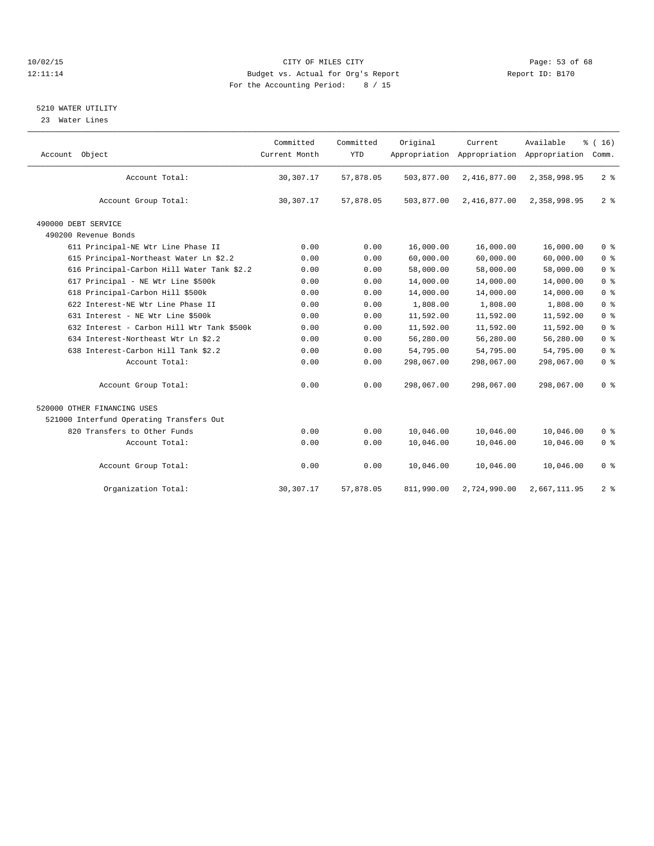## 10/02/15 Page: 53 of 68 12:11:14 Budget vs. Actual for Org's Report Report ID: B170 For the Accounting Period: 8 / 15

## 5210 WATER UTILITY

23 Water Lines

| Account Object                             | Committed<br>Current Month | Committed<br><b>YTD</b> | Original   | Current<br>Appropriation Appropriation | Available<br>Appropriation | % (16)<br>Comm. |
|--------------------------------------------|----------------------------|-------------------------|------------|----------------------------------------|----------------------------|-----------------|
| Account Total:                             | 30,307.17                  | 57,878.05               | 503,877.00 | 2,416,877.00                           | 2,358,998.95               | 2 <sup>8</sup>  |
| Account Group Total:                       | 30, 307. 17                | 57,878.05               | 503,877.00 | 2,416,877.00                           | 2,358,998.95               | 2 <sup>8</sup>  |
| 490000 DEBT SERVICE                        |                            |                         |            |                                        |                            |                 |
| 490200 Revenue Bonds                       |                            |                         |            |                                        |                            |                 |
| 611 Principal-NE Wtr Line Phase II         | 0.00                       | 0.00                    | 16,000.00  | 16,000.00                              | 16,000.00                  | 0 <sup>°</sup>  |
| 615 Principal-Northeast Water Ln \$2.2     | 0.00                       | 0.00                    | 60,000.00  | 60,000.00                              | 60,000.00                  | 0 <sup>8</sup>  |
| 616 Principal-Carbon Hill Water Tank \$2.2 | 0.00                       | 0.00                    | 58,000.00  | 58,000.00                              | 58,000.00                  | $0 *$           |
| 617 Principal - NE Wtr Line \$500k         | 0.00                       | 0.00                    | 14,000.00  | 14,000.00                              | 14,000.00                  | 0 <sup>8</sup>  |
| 618 Principal-Carbon Hill \$500k           | 0.00                       | 0.00                    | 14,000.00  | 14,000.00                              | 14,000.00                  | 0 <sup>8</sup>  |
| 622 Interest-NE Wtr Line Phase II          | 0.00                       | 0.00                    | 1,808.00   | 1,808.00                               | 1,808.00                   | 0 <sup>8</sup>  |
| 631 Interest - NE Wtr Line \$500k          | 0.00                       | 0.00                    | 11,592.00  | 11,592.00                              | 11,592.00                  | 0 <sup>°</sup>  |
| 632 Interest - Carbon Hill Wtr Tank \$500k | 0.00                       | 0.00                    | 11,592.00  | 11,592.00                              | 11,592.00                  | 0 <sup>8</sup>  |
| 634 Interest-Northeast Wtr Ln \$2.2        | 0.00                       | 0.00                    | 56,280.00  | 56,280.00                              | 56,280.00                  | 0 <sup>8</sup>  |
| 638 Interest-Carbon Hill Tank \$2.2        | 0.00                       | 0.00                    | 54,795.00  | 54,795.00                              | 54,795.00                  | 0 <sup>8</sup>  |
| Account Total:                             | 0.00                       | 0.00                    | 298,067.00 | 298,067.00                             | 298,067.00                 | 0 <sup>°</sup>  |
| Account Group Total:                       | 0.00                       | 0.00                    | 298,067.00 | 298,067.00                             | 298,067.00                 | 0 <sup>8</sup>  |
| 520000 OTHER FINANCING USES                |                            |                         |            |                                        |                            |                 |
| 521000 Interfund Operating Transfers Out   |                            |                         |            |                                        |                            |                 |
| 820 Transfers to Other Funds               | 0.00                       | 0.00                    | 10,046.00  | 10,046.00                              | 10,046.00                  | 0 <sup>8</sup>  |
| Account Total:                             | 0.00                       | 0.00                    | 10,046.00  | 10,046.00                              | 10,046.00                  | 0 <sup>8</sup>  |
| Account Group Total:                       | 0.00                       | 0.00                    | 10,046.00  | 10,046.00                              | 10,046.00                  | 0 <sup>8</sup>  |
| Organization Total:                        | 30, 307.17                 | 57,878.05               | 811,990.00 | 2,724,990.00                           | 2,667,111.95               | 2 <sup>°</sup>  |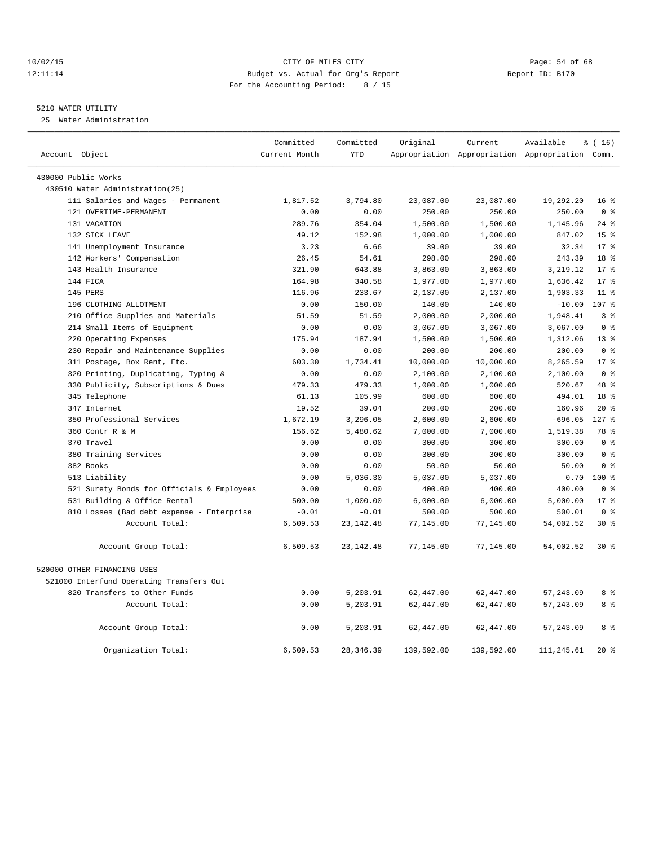## 10/02/15 **Page: 54 of 68** CITY OF MILES CITY **CITY** Page: 54 of 68 12:11:14 Budget vs. Actual for Org's Report Report ID: B170 For the Accounting Period: 8 / 15

## 5210 WATER UTILITY

25 Water Administration

| Account Object                             | Committed<br>Current Month | Committed<br><b>YTD</b> | Original   | Current    | Available<br>Appropriation Appropriation Appropriation Comm. | % (16)          |
|--------------------------------------------|----------------------------|-------------------------|------------|------------|--------------------------------------------------------------|-----------------|
|                                            |                            |                         |            |            |                                                              |                 |
| 430000 Public Works                        |                            |                         |            |            |                                                              |                 |
| 430510 Water Administration(25)            |                            |                         |            |            |                                                              |                 |
| 111 Salaries and Wages - Permanent         | 1,817.52                   | 3,794.80                | 23,087.00  | 23,087.00  | 19,292.20                                                    | 16 <sup>8</sup> |
| 121 OVERTIME-PERMANENT                     | 0.00                       | 0.00                    | 250.00     | 250.00     | 250.00                                                       | 0 <sup>8</sup>  |
| 131 VACATION                               | 289.76                     | 354.04                  | 1,500.00   | 1,500.00   | 1,145.96                                                     | $24$ %          |
| 132 SICK LEAVE                             | 49.12                      | 152.98                  | 1,000.00   | 1,000.00   | 847.02                                                       | 15 <sup>°</sup> |
| 141 Unemployment Insurance                 | 3.23                       | 6.66                    | 39.00      | 39.00      | 32.34                                                        | $17*$           |
| 142 Workers' Compensation                  | 26.45                      | 54.61                   | 298.00     | 298.00     | 243.39                                                       | 18 <sup>8</sup> |
| 143 Health Insurance                       | 321.90                     | 643.88                  | 3,863.00   | 3,863.00   | 3, 219.12                                                    | $17*$           |
| 144 FICA                                   | 164.98                     | 340.58                  | 1,977.00   | 1,977.00   | 1,636.42                                                     | $17*$           |
| 145 PERS                                   | 116.96                     | 233.67                  | 2,137.00   | 2,137.00   | 1,903.33                                                     | $11$ %          |
| 196 CLOTHING ALLOTMENT                     | 0.00                       | 150.00                  | 140.00     | 140.00     | $-10.00$                                                     | 107 %           |
| 210 Office Supplies and Materials          | 51.59                      | 51.59                   | 2,000.00   | 2,000.00   | 1,948.41                                                     | 3 <sup>8</sup>  |
| 214 Small Items of Equipment               | 0.00                       | 0.00                    | 3,067.00   | 3,067.00   | 3,067.00                                                     | 0 <sup>8</sup>  |
| 220 Operating Expenses                     | 175.94                     | 187.94                  | 1,500.00   | 1,500.00   | 1,312.06                                                     | 13 <sup>8</sup> |
| 230 Repair and Maintenance Supplies        | 0.00                       | 0.00                    | 200.00     | 200.00     | 200.00                                                       | 0 <sup>°</sup>  |
| 311 Postage, Box Rent, Etc.                | 603.30                     | 1,734.41                | 10,000.00  | 10,000.00  | 8,265.59                                                     | $17*$           |
| 320 Printing, Duplicating, Typing &        | 0.00                       | 0.00                    | 2,100.00   | 2,100.00   | 2,100.00                                                     | 0 <sup>8</sup>  |
| 330 Publicity, Subscriptions & Dues        | 479.33                     | 479.33                  | 1,000.00   | 1,000.00   | 520.67                                                       | 48 %            |
| 345 Telephone                              | 61.13                      | 105.99                  | 600.00     | 600.00     | 494.01                                                       | 18 <sup>8</sup> |
| 347 Internet                               | 19.52                      | 39.04                   | 200.00     | 200.00     | 160.96                                                       | $20*$           |
| 350 Professional Services                  | 1,672.19                   | 3,296.05                | 2,600.00   | 2,600.00   | $-696.05$                                                    | $127$ %         |
| 360 Contr R & M                            | 156.62                     | 5,480.62                | 7,000.00   | 7,000.00   | 1,519.38                                                     | 78 %            |
| 370 Travel                                 | 0.00                       | 0.00                    | 300.00     | 300.00     | 300.00                                                       | 0 <sup>8</sup>  |
| 380 Training Services                      | 0.00                       | 0.00                    | 300.00     | 300.00     | 300.00                                                       | 0 <sup>8</sup>  |
| 382 Books                                  | 0.00                       | 0.00                    | 50.00      | 50.00      | 50.00                                                        | 0 <sup>8</sup>  |
| 513 Liability                              | 0.00                       | 5,036.30                | 5,037.00   | 5,037.00   | 0.70                                                         | $100*$          |
| 521 Surety Bonds for Officials & Employees | 0.00                       | 0.00                    | 400.00     | 400.00     | 400.00                                                       | 0 <sup>8</sup>  |
| 531 Building & Office Rental               | 500.00                     | 1,000.00                | 6,000.00   | 6,000.00   | 5,000.00                                                     | $17*$           |
| 810 Losses (Bad debt expense - Enterprise  | $-0.01$                    | $-0.01$                 | 500.00     | 500.00     | 500.01                                                       | 0 <sup>8</sup>  |
| Account Total:                             | 6,509.53                   | 23, 142. 48             | 77,145.00  | 77,145.00  | 54,002.52                                                    | $30*$           |
| Account Group Total:                       | 6,509.53                   | 23, 142. 48             | 77,145.00  | 77,145.00  | 54,002.52                                                    | $30*$           |
| 520000 OTHER FINANCING USES                |                            |                         |            |            |                                                              |                 |
| 521000 Interfund Operating Transfers Out   |                            |                         |            |            |                                                              |                 |
| 820 Transfers to Other Funds               | 0.00                       | 5,203.91                | 62,447.00  | 62,447.00  | 57, 243.09                                                   | 8 %             |
| Account Total:                             | 0.00                       | 5,203.91                | 62,447.00  | 62,447.00  | 57, 243.09                                                   | 8 %             |
| Account Group Total:                       | 0.00                       | 5,203.91                | 62,447.00  | 62,447.00  | 57, 243.09                                                   | 8 %             |
| Organization Total:                        | 6,509.53                   | 28, 346.39              | 139,592.00 | 139,592.00 | 111,245.61                                                   | $20*$           |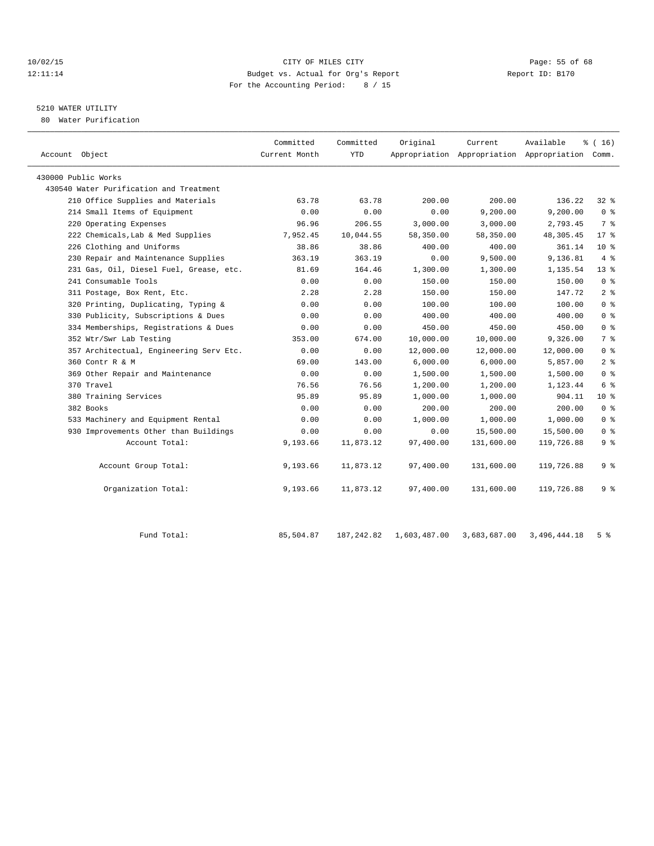## 10/02/15 **Page: 55 of 68** CITY OF MILES CITY **CITY** Page: 55 of 68 12:11:14 Budget vs. Actual for Org's Report Report ID: B170 For the Accounting Period: 8 / 15

## 5210 WATER UTILITY

80 Water Purification

| Account Object                          | Committed<br>Current Month | Committed<br><b>YTD</b> | Original  | Current    | Available<br>Appropriation Appropriation Appropriation Comm. | % (16)         |
|-----------------------------------------|----------------------------|-------------------------|-----------|------------|--------------------------------------------------------------|----------------|
| 430000 Public Works                     |                            |                         |           |            |                                                              |                |
| 430540 Water Purification and Treatment |                            |                         |           |            |                                                              |                |
| 210 Office Supplies and Materials       | 63.78                      | 63.78                   | 200.00    | 200.00     | 136.22                                                       | $32*$          |
| 214 Small Items of Equipment            | 0.00                       | 0.00                    | 0.00      | 9,200.00   | 9,200.00                                                     | 0 <sup>8</sup> |
| 220 Operating Expenses                  | 96.96                      | 206.55                  | 3,000.00  | 3,000.00   | 2,793.45                                                     | 7 %            |
| 222 Chemicals, Lab & Med Supplies       | 7,952.45                   | 10,044.55               | 58,350.00 | 58,350.00  | 48,305.45                                                    | $17$ %         |
| 226 Clothing and Uniforms               | 38.86                      | 38.86                   | 400.00    | 400.00     | 361.14                                                       | $10*$          |
| 230 Repair and Maintenance Supplies     | 363.19                     | 363.19                  | 0.00      | 9,500.00   | 9,136.81                                                     | 4%             |
| 231 Gas, Oil, Diesel Fuel, Grease, etc. | 81.69                      | 164.46                  | 1,300.00  | 1,300.00   | 1,135.54                                                     | $13*$          |
| 241 Consumable Tools                    | 0.00                       | 0.00                    | 150.00    | 150.00     | 150.00                                                       | 0 <sup>8</sup> |
| 311 Postage, Box Rent, Etc.             | 2.28                       | 2.28                    | 150.00    | 150.00     | 147.72                                                       | 2 <sub>8</sub> |
| 320 Printing, Duplicating, Typing &     | 0.00                       | 0.00                    | 100.00    | 100.00     | 100.00                                                       | 0 <sup>8</sup> |
| 330 Publicity, Subscriptions & Dues     | 0.00                       | 0.00                    | 400.00    | 400.00     | 400.00                                                       | 0 <sup>8</sup> |
| 334 Memberships, Registrations & Dues   | 0.00                       | 0.00                    | 450.00    | 450.00     | 450.00                                                       | 0 <sup>8</sup> |
| 352 Wtr/Swr Lab Testing                 | 353.00                     | 674.00                  | 10,000.00 | 10,000.00  | 9,326.00                                                     | 7 %            |
| 357 Architectual, Engineering Serv Etc. | 0.00                       | 0.00                    | 12,000.00 | 12,000.00  | 12,000.00                                                    | 0 <sup>8</sup> |
| 360 Contr R & M                         | 69.00                      | 143.00                  | 6,000.00  | 6,000.00   | 5,857.00                                                     | 2 <sub>8</sub> |
| 369 Other Repair and Maintenance        | 0.00                       | 0.00                    | 1,500.00  | 1,500.00   | 1,500.00                                                     | 0 <sup>8</sup> |
| 370 Travel                              | 76.56                      | 76.56                   | 1,200.00  | 1,200.00   | 1,123.44                                                     | 6 %            |
| 380 Training Services                   | 95.89                      | 95.89                   | 1,000.00  | 1,000.00   | 904.11                                                       | $10*$          |
| 382 Books                               | 0.00                       | 0.00                    | 200.00    | 200.00     | 200.00                                                       | 0 <sup>8</sup> |
| 533 Machinery and Equipment Rental      | 0.00                       | 0.00                    | 1,000.00  | 1,000.00   | 1,000.00                                                     | 0 <sup>8</sup> |
| 930 Improvements Other than Buildings   | 0.00                       | 0.00                    | 0.00      | 15,500.00  | 15,500.00                                                    | 0 <sup>8</sup> |
| Account Total:                          | 9,193.66                   | 11,873.12               | 97,400.00 | 131,600.00 | 119,726.88                                                   | 9%             |
| Account Group Total:                    | 9,193.66                   | 11,873.12               | 97,400.00 | 131,600.00 | 119,726.88                                                   | 9 %            |
| Organization Total:                     | 9,193.66                   | 11,873.12               | 97,400.00 | 131,600.00 | 119,726.88                                                   | 9 <sup>8</sup> |
|                                         |                            |                         |           |            |                                                              |                |

Fund Total: 85,504.87 187,242.82 1,603,487.00 3,683,687.00 3,496,444.18 5 %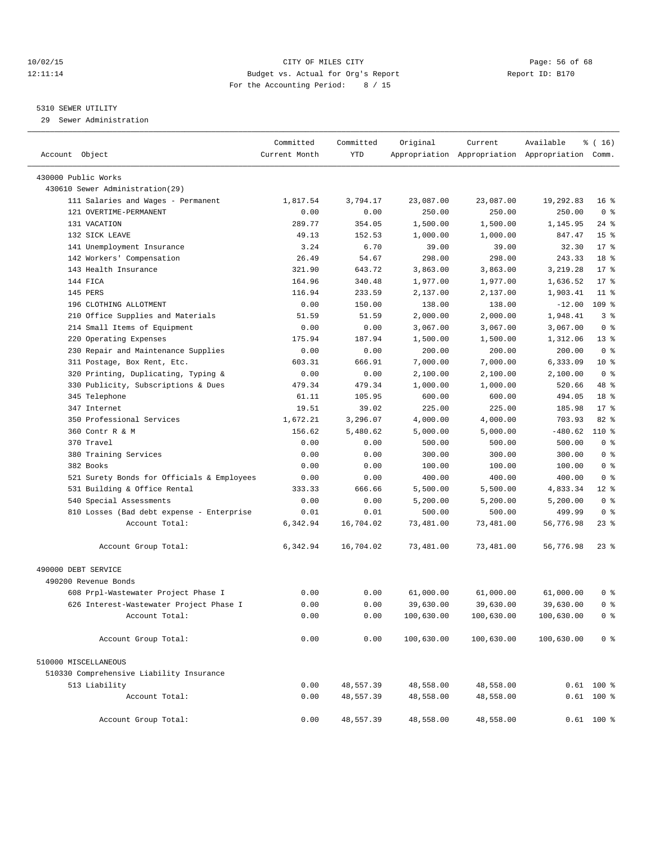## 10/02/15 **Page: 56 of 68** CITY OF MILES CITY **CITY** Page: 56 of 68 12:11:14 Budget vs. Actual for Org's Report Report ID: B170 For the Accounting Period: 8 / 15

————————————————————————————————————————————————————————————————————————————————————————————————————————————————————————————————————

## 5310 SEWER UTILITY

29 Sewer Administration

|                                                              | Committed     | Committed            | Original          | Current              | Available                                       | $\frac{1}{6}$ ( 16 )              |
|--------------------------------------------------------------|---------------|----------------------|-------------------|----------------------|-------------------------------------------------|-----------------------------------|
| Account Object                                               | Current Month | YTD                  |                   |                      | Appropriation Appropriation Appropriation Comm. |                                   |
|                                                              |               |                      |                   |                      |                                                 |                                   |
| 430000 Public Works                                          |               |                      |                   |                      |                                                 |                                   |
| 430610 Sewer Administration(29)                              |               |                      |                   | 23,087.00            |                                                 |                                   |
| 111 Salaries and Wages - Permanent<br>121 OVERTIME-PERMANENT | 1,817.54      | 3,794.17             | 23,087.00         |                      | 19,292.83                                       | 16 <sup>8</sup><br>0 <sup>8</sup> |
|                                                              | 0.00          | 0.00                 | 250.00            | 250.00               | 250.00                                          |                                   |
| 131 VACATION<br>132 SICK LEAVE                               | 289.77        | 354.05               | 1,500.00          | 1,500.00             | 1,145.95                                        | 24 %                              |
| 141 Unemployment Insurance                                   | 49.13<br>3.24 | 152.53<br>6.70       | 1,000.00<br>39.00 | 1,000.00<br>39.00    | 847.47<br>32.30                                 | 15 <sup>°</sup><br>$17*$          |
| 142 Workers' Compensation                                    | 26.49         | 54.67                | 298.00            | 298.00               | 243.33                                          | 18 %                              |
| 143 Health Insurance                                         | 321.90        | 643.72               | 3,863.00          |                      | 3,219.28                                        | $17*$                             |
| 144 FICA                                                     | 164.96        |                      |                   | 3,863.00<br>1,977.00 |                                                 | $17*$                             |
| 145 PERS                                                     |               | 340.48               | 1,977.00          |                      | 1,636.52                                        | $11$ %                            |
| 196 CLOTHING ALLOTMENT                                       | 116.94        | 233.59               | 2,137.00          | 2,137.00             | 1,903.41                                        | 109 %                             |
|                                                              | 0.00          | 150.00               | 138.00            | 138.00               | $-12.00$<br>1,948.41                            | 3%                                |
| 210 Office Supplies and Materials                            | 51.59         | 51.59                | 2,000.00          | 2,000.00             |                                                 | 0 <sup>8</sup>                    |
| 214 Small Items of Equipment                                 | 0.00          | 0.00                 | 3,067.00          | 3,067.00             | 3,067.00                                        |                                   |
| 220 Operating Expenses                                       | 175.94        | 187.94               | 1,500.00          | 1,500.00             | 1,312.06                                        | $13*$                             |
| 230 Repair and Maintenance Supplies                          | 0.00          | 0.00                 | 200.00            | 200.00               | 200.00                                          | 0 <sup>8</sup>                    |
| 311 Postage, Box Rent, Etc.                                  | 603.31        | 666.91               | 7,000.00          | 7,000.00             | 6,333.09                                        | $10*$<br>0 <sup>8</sup>           |
| 320 Printing, Duplicating, Typing &                          | 0.00          | 0.00                 | 2,100.00          | 2,100.00             | 2,100.00                                        | 48 %                              |
| 330 Publicity, Subscriptions & Dues                          | 479.34        | 479.34               | 1,000.00          | 1,000.00<br>600.00   | 520.66                                          | 18 <sup>°</sup>                   |
| 345 Telephone                                                | 61.11         | 105.95               | 600.00            |                      | 494.05                                          | $17*$                             |
| 347 Internet<br>350 Professional Services                    | 19.51         | 39.02                | 225.00            | 225.00<br>4,000.00   | 185.98<br>703.93                                | $82$ $%$                          |
| 360 Contr R & M                                              | 1,672.21      | 3,296.07<br>5,480.62 | 4,000.00          |                      | $-480.62$                                       | $110*$                            |
| 370 Travel                                                   | 156.62        |                      | 5,000.00          | 5,000.00             |                                                 | 0 <sup>8</sup>                    |
|                                                              | 0.00          | 0.00                 | 500.00            | 500.00               | 500.00<br>300.00                                | 0 <sup>8</sup>                    |
| 380 Training Services                                        | 0.00          | 0.00                 | 300.00            | 300.00               |                                                 |                                   |
| 382 Books                                                    | 0.00          | 0.00                 | 100.00            | 100.00               | 100.00                                          | 0 <sup>8</sup><br>0 <sup>8</sup>  |
| 521 Surety Bonds for Officials & Employees                   | 0.00          | 0.00                 | 400.00            | 400.00               | 400.00                                          | $12$ %                            |
| 531 Building & Office Rental                                 | 333.33        | 666.66               | 5,500.00          | 5,500.00             | 4,833.34                                        | 0 <sup>8</sup>                    |
| 540 Special Assessments                                      | 0.00          | 0.00                 | 5,200.00          | 5,200.00             | 5,200.00                                        |                                   |
| 810 Losses (Bad debt expense - Enterprise                    | 0.01          | 0.01                 | 500.00            | 500.00               | 499.99                                          | 0 <sup>8</sup>                    |
| Account Total:                                               | 6,342.94      | 16,704.02            | 73,481.00         | 73,481.00            | 56,776.98                                       | $23$ %                            |
| Account Group Total:                                         | 6,342.94      | 16,704.02            | 73,481.00         | 73,481.00            | 56,776.98                                       | $23$ $%$                          |
| 490000 DEBT SERVICE                                          |               |                      |                   |                      |                                                 |                                   |
| 490200 Revenue Bonds                                         |               |                      |                   |                      |                                                 |                                   |
| 608 Prpl-Wastewater Project Phase I                          | 0.00          | 0.00                 | 61,000.00         | 61,000.00            | 61,000.00                                       | 0 %                               |
| 626 Interest-Wastewater Project Phase I                      | 0.00          | 0.00                 | 39,630.00         | 39,630.00            | 39,630.00                                       | 0 <sup>8</sup>                    |
| Account Total:                                               | 0.00          | 0.00                 | 100,630.00        | 100,630.00           | 100,630.00                                      | 0 <sup>8</sup>                    |
|                                                              |               |                      |                   |                      |                                                 |                                   |
| Account Group Total:                                         | 0.00          | 0.00                 | 100,630.00        | 100,630.00           | 100,630.00                                      | 0 <sup>8</sup>                    |
| 510000 MISCELLANEOUS                                         |               |                      |                   |                      |                                                 |                                   |
| 510330 Comprehensive Liability Insurance                     |               |                      |                   |                      |                                                 |                                   |
| 513 Liability                                                | 0.00          | 48,557.39            | 48,558.00         | 48,558.00            |                                                 | $0.61$ 100 %                      |
| Account Total:                                               | 0.00          | 48,557.39            | 48,558.00         | 48,558.00            |                                                 | $0.61$ 100 %                      |
| Account Group Total:                                         | 0.00          | 48,557.39            | 48,558.00         | 48,558.00            |                                                 | $0.61$ 100 %                      |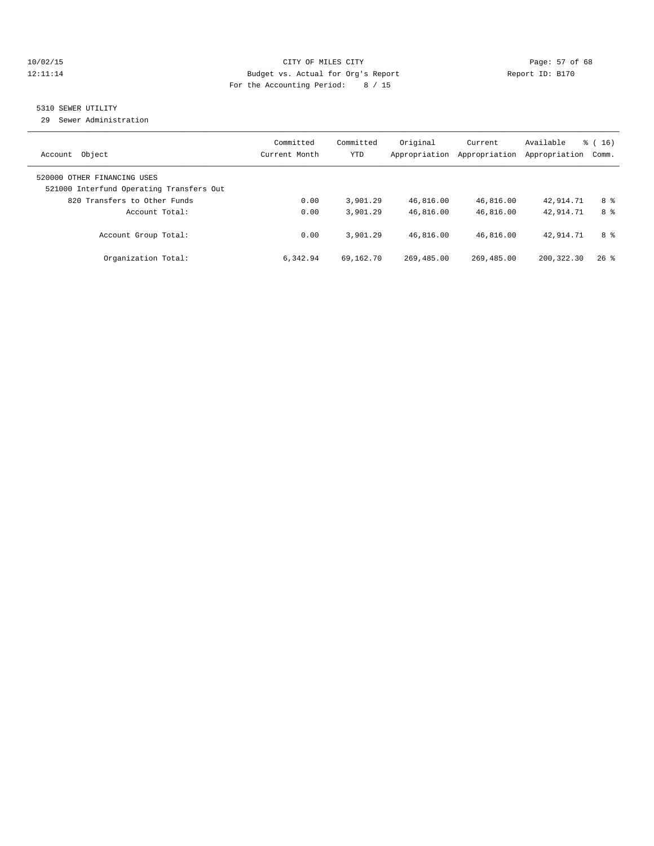## 10/02/15 **Page: 57 of 68** CITY OF MILES CITY **CITY Page: 57 of 68** 12:11:14 Budget vs. Actual for Org's Report Report ID: B170 For the Accounting Period: 8 / 15

## 5310 SEWER UTILITY

29 Sewer Administration

| Object<br>Account                                                       | Committed<br>Current Month | Committed<br><b>YTD</b> | Original<br>Appropriation | Current<br>Appropriation | Available<br>Appropriation | $\frac{3}{6}$ ( 16 )<br>Comm. |
|-------------------------------------------------------------------------|----------------------------|-------------------------|---------------------------|--------------------------|----------------------------|-------------------------------|
| 520000 OTHER FINANCING USES<br>521000 Interfund Operating Transfers Out |                            |                         |                           |                          |                            |                               |
| 820 Transfers to Other Funds                                            | 0.00                       | 3,901.29                | 46,816.00                 | 46,816.00                | 42,914.71                  | 8 %                           |
| Account Total:                                                          | 0.00                       | 3,901.29                | 46,816.00                 | 46,816.00                | 42,914.71                  | 8 %                           |
| Account Group Total:                                                    | 0.00                       | 3,901.29                | 46,816.00                 | 46,816.00                | 42,914.71                  | 8 %                           |
| Organization Total:                                                     | 6,342.94                   | 69,162.70               | 269,485.00                | 269,485.00               | 200, 322, 30               | $26$ %                        |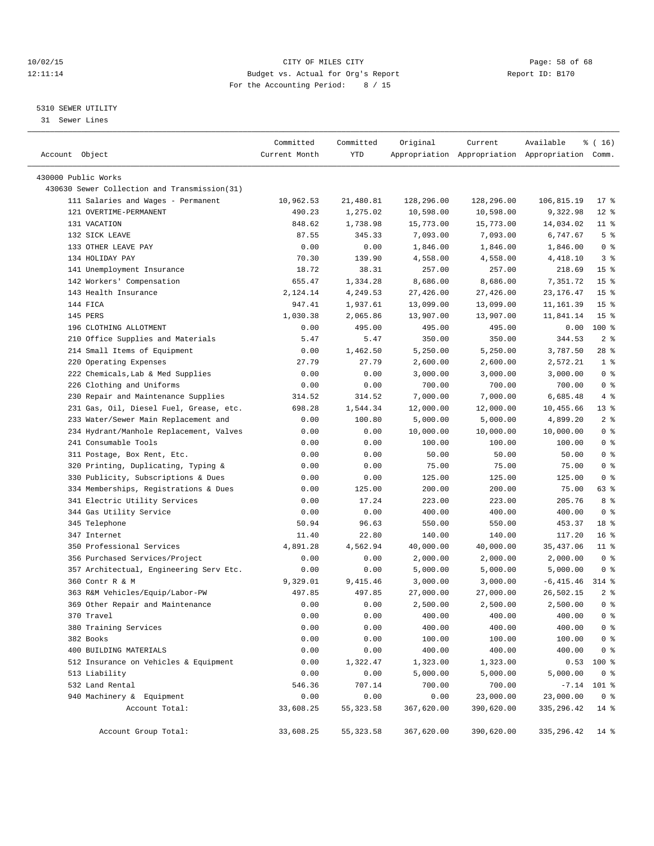## 10/02/15 **Page: 58 of 68** CITY OF MILES CITY **CITY Page: 58 of 68** 12:11:14 Budget vs. Actual for Org's Report Report ID: B170 For the Accounting Period: 8 / 15

————————————————————————————————————————————————————————————————————————————————————————————————————————————————————————————————————

## 5310 SEWER UTILITY

31 Sewer Lines

| Account Object                               | Committed<br>Current Month | Committed<br>YTD | Original   | Current    | Available<br>Appropriation Appropriation Appropriation Comm. | ៖ ( 16)         |
|----------------------------------------------|----------------------------|------------------|------------|------------|--------------------------------------------------------------|-----------------|
| 430000 Public Works                          |                            |                  |            |            |                                                              |                 |
| 430630 Sewer Collection and Transmission(31) |                            |                  |            |            |                                                              |                 |
| 111 Salaries and Wages - Permanent           | 10,962.53                  | 21,480.81        | 128,296.00 | 128,296.00 | 106,815.19                                                   | $17$ %          |
| 121 OVERTIME-PERMANENT                       | 490.23                     | 1,275.02         | 10,598.00  | 10,598.00  | 9,322.98                                                     | $12*$           |
| 131 VACATION                                 | 848.62                     | 1,738.98         | 15,773.00  | 15,773.00  | 14,034.02                                                    | $11$ %          |
| 132 SICK LEAVE                               | 87.55                      | 345.33           | 7,093.00   | 7,093.00   | 6,747.67                                                     | 5 <sup>°</sup>  |
| 133 OTHER LEAVE PAY                          | 0.00                       | 0.00             | 1,846.00   | 1,846.00   | 1,846.00                                                     | 0 <sup>8</sup>  |
| 134 HOLIDAY PAY                              | 70.30                      | 139.90           | 4,558.00   | 4,558.00   | 4,418.10                                                     | 3 <sup>8</sup>  |
| 141 Unemployment Insurance                   | 18.72                      | 38.31            | 257.00     | 257.00     | 218.69                                                       | 15 <sup>°</sup> |
| 142 Workers' Compensation                    | 655.47                     | 1,334.28         | 8,686.00   | 8,686.00   | 7,351.72                                                     | 15 <sup>°</sup> |
| 143 Health Insurance                         | 2,124.14                   | 4,249.53         | 27,426.00  | 27,426.00  | 23, 176. 47                                                  | 15 <sup>°</sup> |
| 144 FICA                                     | 947.41                     | 1,937.61         | 13,099.00  | 13,099.00  | 11,161.39                                                    | 15 <sup>°</sup> |
| 145 PERS                                     | 1,030.38                   | 2,065.86         | 13,907.00  | 13,907.00  | 11,841.14                                                    | 15 <sup>°</sup> |
| 196 CLOTHING ALLOTMENT                       | 0.00                       | 495.00           | 495.00     | 495.00     | 0.00                                                         | $100*$          |
| 210 Office Supplies and Materials            | 5.47                       | 5.47             | 350.00     | 350.00     | 344.53                                                       | 2 <sup>°</sup>  |
| 214 Small Items of Equipment                 | 0.00                       | 1,462.50         | 5,250.00   | 5,250.00   | 3,787.50                                                     | $28$ %          |
| 220 Operating Expenses                       | 27.79                      | 27.79            | 2,600.00   | 2,600.00   | 2,572.21                                                     | 1 <sup>°</sup>  |
| 222 Chemicals, Lab & Med Supplies            | 0.00                       | 0.00             | 3,000.00   | 3,000.00   | 3,000.00                                                     | 0 <sup>8</sup>  |
| 226 Clothing and Uniforms                    | 0.00                       | 0.00             | 700.00     | 700.00     | 700.00                                                       | 0 <sup>8</sup>  |
| 230 Repair and Maintenance Supplies          | 314.52                     | 314.52           | 7,000.00   | 7,000.00   | 6,685.48                                                     | 4%              |
| 231 Gas, Oil, Diesel Fuel, Grease, etc.      | 698.28                     | 1,544.34         | 12,000.00  | 12,000.00  | 10,455.66                                                    | $13$ %          |
| 233 Water/Sewer Main Replacement and         | 0.00                       | 100.80           | 5,000.00   | 5,000.00   | 4,899.20                                                     | 2 <sub>8</sub>  |
| 234 Hydrant/Manhole Replacement, Valves      | 0.00                       | 0.00             | 10,000.00  | 10,000.00  | 10,000.00                                                    | 0 <sup>8</sup>  |
| 241 Consumable Tools                         | 0.00                       | 0.00             | 100.00     | 100.00     | 100.00                                                       | 0 <sup>8</sup>  |
| 311 Postage, Box Rent, Etc.                  | 0.00                       | 0.00             | 50.00      | 50.00      | 50.00                                                        | 0 <sup>8</sup>  |
| 320 Printing, Duplicating, Typing &          | 0.00                       | 0.00             | 75.00      | 75.00      | 75.00                                                        | 0 <sup>8</sup>  |
| 330 Publicity, Subscriptions & Dues          | 0.00                       | 0.00             | 125.00     | 125.00     | 125.00                                                       | 0 <sup>8</sup>  |
| 334 Memberships, Registrations & Dues        | 0.00                       | 125.00           | 200.00     | 200.00     | 75.00                                                        | 63 %            |
| 341 Electric Utility Services                | 0.00                       | 17.24            | 223.00     | 223.00     | 205.76                                                       | 8 %             |
| 344 Gas Utility Service                      | 0.00                       | 0.00             | 400.00     | 400.00     | 400.00                                                       | 0 <sup>8</sup>  |
| 345 Telephone                                | 50.94                      | 96.63            | 550.00     | 550.00     | 453.37                                                       | 18 <sup>8</sup> |
| 347 Internet                                 | 11.40                      | 22.80            | 140.00     | 140.00     | 117.20                                                       | $16*$           |
| 350 Professional Services                    | 4,891.28                   | 4,562.94         | 40,000.00  | 40,000.00  | 35,437.06                                                    | $11$ %          |
| 356 Purchased Services/Project               | 0.00                       | 0.00             | 2,000.00   | 2,000.00   | 2,000.00                                                     | 0 <sup>8</sup>  |
| 357 Architectual, Engineering Serv Etc.      | 0.00                       | 0.00             | 5,000.00   | 5,000.00   | 5,000.00                                                     | 0 <sup>8</sup>  |
| 360 Contr R & M                              | 9,329.01                   | 9,415.46         | 3,000.00   | 3,000.00   | $-6, 415.46$                                                 | $314$ %         |
| 363 R&M Vehicles/Equip/Labor-PW              | 497.85                     | 497.85           | 27,000.00  | 27,000.00  | 26,502.15                                                    | 2 <sub>8</sub>  |
| 369 Other Repair and Maintenance             | 0.00                       | 0.00             | 2,500.00   | 2,500.00   | 2,500.00                                                     | 0 <sup>8</sup>  |
| 370 Travel                                   | 0.00                       | 0.00             | 400.00     | 400.00     | 400.00                                                       | 0 <sup>8</sup>  |
| 380 Training Services                        | 0.00                       | 0.00             | 400.00     | 400.00     | 400.00                                                       | 0 <sup>8</sup>  |
| 382 Books                                    | 0.00                       | 0.00             | 100.00     | 100.00     | 100.00                                                       | 0 <sup>8</sup>  |
| 400 BUILDING MATERIALS                       | 0.00                       | 0.00             | 400.00     | 400.00     | 400.00                                                       | $0$ %           |
| 512 Insurance on Vehicles & Equipment        | 0.00                       | 1,322.47         | 1,323.00   | 1,323.00   | 0.53                                                         | 100 %           |
| 513 Liability                                | 0.00                       | 0.00             | 5,000.00   | 5,000.00   | 5,000.00                                                     | 0 <sup>8</sup>  |
| 532 Land Rental                              | 546.36                     | 707.14           | 700.00     | 700.00     |                                                              | $-7.14$ 101 %   |
| 940 Machinery & Equipment                    | 0.00                       | 0.00             | 0.00       | 23,000.00  | 23,000.00                                                    | 0 <sup>8</sup>  |
| Account Total:                               | 33,608.25                  | 55,323.58        | 367,620.00 | 390,620.00 | 335, 296.42                                                  | 14 %            |
| Account Group Total:                         | 33,608.25                  | 55, 323.58       | 367,620.00 | 390,620.00 | 335, 296.42                                                  | $14$ %          |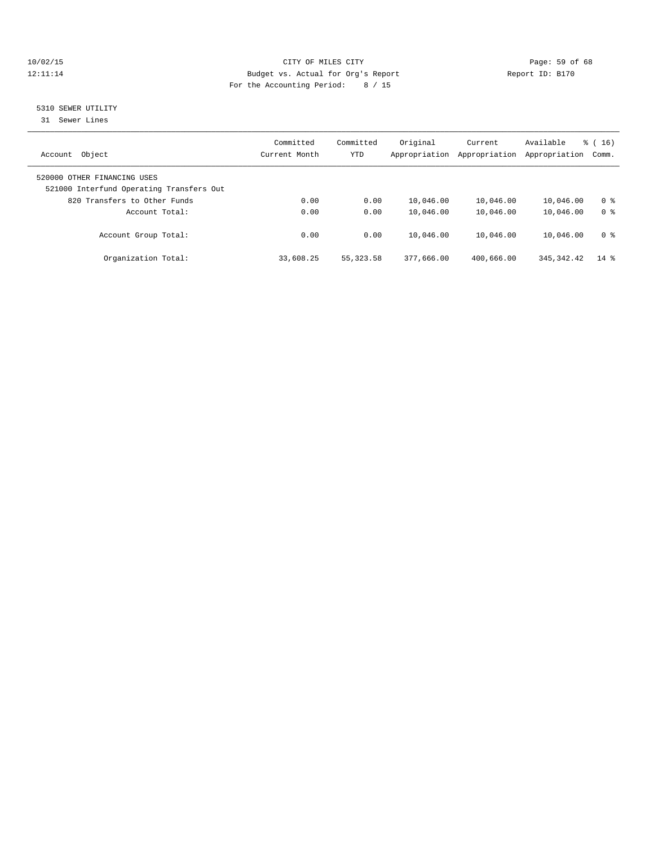## 10/02/15 **Page: 59 of 68** CITY OF MILES CITY **CITY Page: 59 of 68** 12:11:14 Budget vs. Actual for Org's Report Report ID: B170 For the Accounting Period: 8 / 15

## 5310 SEWER UTILITY

31 Sewer Lines

| Object<br>Account                                                       | Committed<br>Current Month | Committed<br><b>YTD</b> | Original<br>Appropriation | Current<br>Appropriation | Available<br>Appropriation | $\frac{1}{6}$ ( 16 )<br>Comm. |
|-------------------------------------------------------------------------|----------------------------|-------------------------|---------------------------|--------------------------|----------------------------|-------------------------------|
| 520000 OTHER FINANCING USES<br>521000 Interfund Operating Transfers Out |                            |                         |                           |                          |                            |                               |
| 820 Transfers to Other Funds                                            | 0.00                       | 0.00                    | 10,046.00                 | 10,046.00                | 10,046.00                  | 0 <sup>8</sup>                |
| Account Total:                                                          | 0.00                       | 0.00                    | 10,046.00                 | 10,046.00                | 10,046.00                  | 0 <sup>8</sup>                |
| Account Group Total:                                                    | 0.00                       | 0.00                    | 10,046.00                 | 10,046.00                | 10,046.00                  | 0 <sup>8</sup>                |
| Organization Total:                                                     | 33,608.25                  | 55, 323. 58             | 377,666.00                | 400,666.00               | 345, 342.42                | $14*$                         |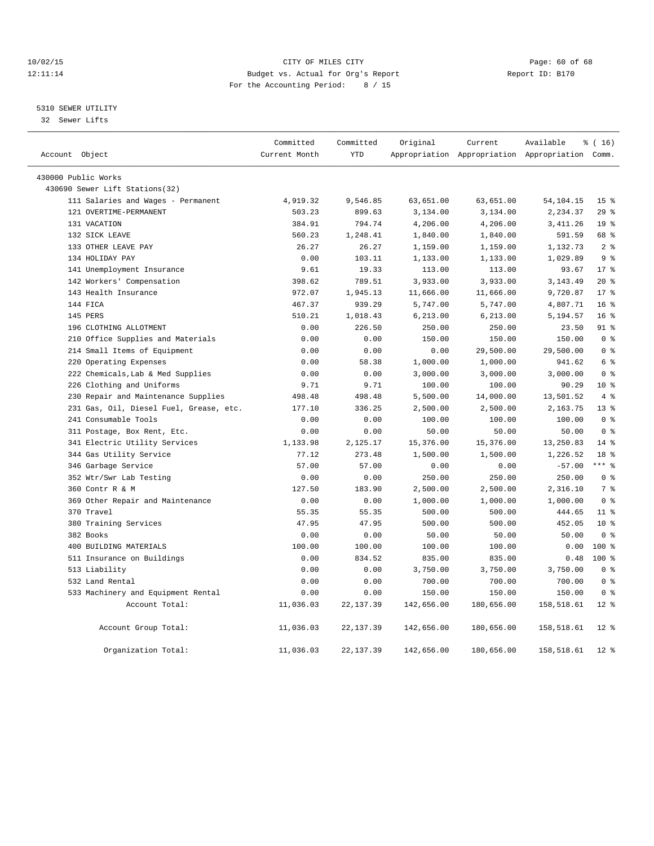## 10/02/15 **Page: 60 of 68** CITY OF MILES CITY **CITY** CITY **Page: 60 of 68** 12:11:14 Budget vs. Actual for Org's Report Report ID: B170 For the Accounting Period: 8 / 15

## 5310 SEWER UTILITY

32 Sewer Lifts

| Account Object                          | Committed<br>Current Month | Committed<br><b>YTD</b> | Original   | Current    | Available<br>Appropriation Appropriation Appropriation Comm. | % (16)          |
|-----------------------------------------|----------------------------|-------------------------|------------|------------|--------------------------------------------------------------|-----------------|
|                                         |                            |                         |            |            |                                                              |                 |
| 430000 Public Works                     |                            |                         |            |            |                                                              |                 |
| 430690 Sewer Lift Stations(32)          |                            |                         |            |            |                                                              |                 |
| 111 Salaries and Wages - Permanent      | 4,919.32                   | 9,546.85                | 63,651.00  | 63,651.00  | 54, 104. 15                                                  | 15 <sup>°</sup> |
| 121 OVERTIME-PERMANENT                  | 503.23                     | 899.63                  | 3,134.00   | 3,134.00   | 2,234.37                                                     | 29%             |
| 131 VACATION                            | 384.91                     | 794.74                  | 4,206.00   | 4,206.00   | 3, 411.26                                                    | 19 <sup>8</sup> |
| 132 SICK LEAVE                          | 560.23                     | 1,248.41                | 1,840.00   | 1,840.00   | 591.59                                                       | 68 %            |
| 133 OTHER LEAVE PAY                     | 26.27                      | 26.27                   | 1,159.00   | 1,159.00   | 1,132.73                                                     | 2 <sup>8</sup>  |
| 134 HOLIDAY PAY                         | 0.00                       | 103.11                  | 1,133.00   | 1,133.00   | 1,029.89                                                     | 9 <sup>8</sup>  |
| 141 Unemployment Insurance              | 9.61                       | 19.33                   | 113.00     | 113.00     | 93.67                                                        | $17*$           |
| 142 Workers' Compensation               | 398.62                     | 789.51                  | 3,933.00   | 3,933.00   | 3, 143.49                                                    | $20*$           |
| 143 Health Insurance                    | 972.07                     | 1,945.13                | 11,666.00  | 11,666.00  | 9,720.87                                                     | $17*$           |
| 144 FICA                                | 467.37                     | 939.29                  | 5,747.00   | 5,747.00   | 4,807.71                                                     | 16 <sup>8</sup> |
| 145 PERS                                | 510.21                     | 1,018.43                | 6,213.00   | 6,213.00   | 5,194.57                                                     | $16*$           |
| 196 CLOTHING ALLOTMENT                  | 0.00                       | 226.50                  | 250.00     | 250.00     | 23.50                                                        | $91$ $%$        |
| Office Supplies and Materials<br>210    | 0.00                       | 0.00                    | 150.00     | 150.00     | 150.00                                                       | 0 <sup>8</sup>  |
| 214 Small Items of Equipment            | 0.00                       | 0.00                    | 0.00       | 29,500.00  | 29,500.00                                                    | 0 <sup>8</sup>  |
| 220 Operating Expenses                  | 0.00                       | 58.38                   | 1,000.00   | 1,000.00   | 941.62                                                       | 6 %             |
| 222 Chemicals, Lab & Med Supplies       | 0.00                       | 0.00                    | 3,000.00   | 3,000.00   | 3,000.00                                                     | 0 <sup>8</sup>  |
| 226 Clothing and Uniforms               | 9.71                       | 9.71                    | 100.00     | 100.00     | 90.29                                                        | $10*$           |
| 230 Repair and Maintenance Supplies     | 498.48                     | 498.48                  | 5,500.00   | 14,000.00  | 13,501.52                                                    | 4%              |
| 231 Gas, Oil, Diesel Fuel, Grease, etc. | 177.10                     | 336.25                  | 2,500.00   | 2,500.00   | 2,163.75                                                     | 13 <sup>8</sup> |
| 241 Consumable Tools                    | 0.00                       | 0.00                    | 100.00     | 100.00     | 100.00                                                       | 0 <sup>8</sup>  |
| 311 Postage, Box Rent, Etc.             | 0.00                       | 0.00                    | 50.00      | 50.00      | 50.00                                                        | 0 <sup>8</sup>  |
| 341 Electric Utility Services           | 1,133.98                   | 2,125.17                | 15,376.00  | 15,376.00  | 13,250.83                                                    | $14*$           |
| 344 Gas Utility Service                 | 77.12                      | 273.48                  | 1,500.00   | 1,500.00   | 1,226.52                                                     | 18 <sup>8</sup> |
| 346 Garbage Service                     | 57.00                      | 57.00                   | 0.00       | 0.00       | $-57.00$                                                     | $***$ $_{8}$    |
| 352 Wtr/Swr Lab Testing                 | 0.00                       | 0.00                    | 250.00     | 250.00     | 250.00                                                       | 0 <sup>8</sup>  |
| 360 Contr R & M                         | 127.50                     | 183.90                  | 2,500.00   | 2,500.00   | 2,316.10                                                     | 7 <sup>8</sup>  |
| 369 Other Repair and Maintenance        | 0.00                       | 0.00                    | 1,000.00   | 1,000.00   | 1,000.00                                                     | 0 <sup>8</sup>  |
| 370 Travel                              | 55.35                      | 55.35                   | 500.00     | 500.00     | 444.65                                                       | 11 <sup>°</sup> |
| 380 Training Services                   | 47.95                      | 47.95                   | 500.00     | 500.00     | 452.05                                                       | $10*$           |
| 382 Books                               | 0.00                       | 0.00                    | 50.00      | 50.00      | 50.00                                                        | 0 <sup>8</sup>  |
| 400 BUILDING MATERIALS                  | 100.00                     | 100.00                  | 100.00     | 100.00     | 0.00                                                         | 100 %           |
| 511 Insurance on Buildings              | 0.00                       | 834.52                  | 835.00     | 835.00     | 0.48                                                         | $100*$          |
| 513 Liability                           | 0.00                       | 0.00                    | 3,750.00   | 3,750.00   | 3,750.00                                                     | 0 <sup>8</sup>  |
| 532 Land Rental                         | 0.00                       | 0.00                    | 700.00     | 700.00     | 700.00                                                       | 0 <sup>8</sup>  |
| 533 Machinery and Equipment Rental      | 0.00                       | 0.00                    | 150.00     | 150.00     | 150.00                                                       | 0 <sup>8</sup>  |
| Account Total:                          | 11,036.03                  | 22, 137.39              | 142,656.00 | 180,656.00 | 158,518.61                                                   | $12*$           |
| Account Group Total:                    | 11,036.03                  | 22, 137.39              | 142,656.00 | 180,656.00 | 158,518.61                                                   | $12*$           |
| Organization Total:                     | 11,036.03                  | 22, 137.39              | 142,656.00 | 180,656.00 | 158,518.61                                                   | $12*$           |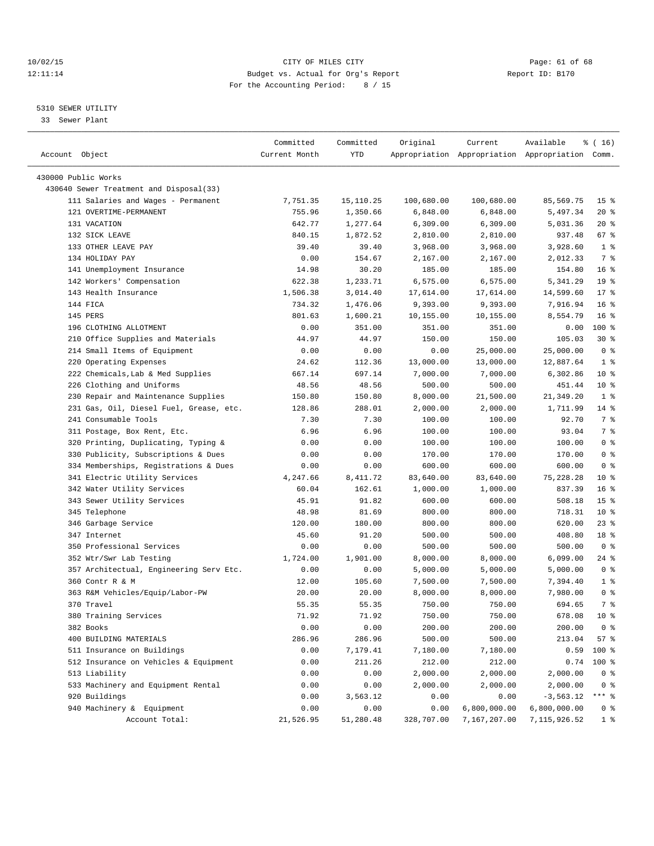## 10/02/15 **Page: 61 of 68** CITY OF MILES CITY **CITY** Page: 61 of 68 12:11:14 Budget vs. Actual for Org's Report Report ID: B170 For the Accounting Period: 8 / 15

————————————————————————————————————————————————————————————————————————————————————————————————————————————————————————————————————

## 5310 SEWER UTILITY

33 Sewer Plant

|                                         | Committed     | Committed | Original   | Current      | Available                                       | $\frac{1}{6}$ ( 16 ) |
|-----------------------------------------|---------------|-----------|------------|--------------|-------------------------------------------------|----------------------|
| Account Object                          | Current Month | YTD       |            |              | Appropriation Appropriation Appropriation Comm. |                      |
|                                         |               |           |            |              |                                                 |                      |
| 430000 Public Works                     |               |           |            |              |                                                 |                      |
| 430640 Sewer Treatment and Disposal(33) |               |           |            |              |                                                 |                      |
| 111 Salaries and Wages - Permanent      | 7,751.35      | 15,110.25 | 100,680.00 | 100,680.00   | 85,569.75                                       | 15 <sub>8</sub>      |
| 121 OVERTIME-PERMANENT                  | 755.96        | 1,350.66  | 6,848.00   | 6,848.00     | 5,497.34                                        | $20*$                |
| 131 VACATION                            | 642.77        | 1,277.64  | 6,309.00   | 6,309.00     | 5,031.36                                        | $20*$                |
| 132 SICK LEAVE                          | 840.15        | 1,872.52  | 2,810.00   | 2,810.00     | 937.48                                          | 67%                  |
| 133 OTHER LEAVE PAY                     | 39.40         | 39.40     | 3,968.00   | 3,968.00     | 3,928.60                                        | 1 <sup>8</sup>       |
| 134 HOLIDAY PAY                         | 0.00          | 154.67    | 2,167.00   | 2,167.00     | 2,012.33                                        | 7 %                  |
| 141 Unemployment Insurance              | 14.98         | 30.20     | 185.00     | 185.00       | 154.80                                          | 16 <sup>8</sup>      |
| 142 Workers' Compensation               | 622.38        | 1,233.71  | 6,575.00   | 6,575.00     | 5,341.29                                        | 19 <sup>°</sup>      |
| 143 Health Insurance                    | 1,506.38      | 3,014.40  | 17,614.00  | 17,614.00    | 14,599.60                                       | $17*$                |
| 144 FICA                                | 734.32        | 1,476.06  | 9,393.00   | 9,393.00     | 7,916.94                                        | $16*$                |
| 145 PERS                                | 801.63        | 1,600.21  | 10,155.00  | 10,155.00    | 8,554.79                                        | 16 <sup>8</sup>      |
| 196 CLOTHING ALLOTMENT                  | 0.00          | 351.00    | 351.00     | 351.00       | 0.00                                            | 100 %                |
| 210 Office Supplies and Materials       | 44.97         | 44.97     | 150.00     | 150.00       | 105.03                                          | $30*$                |
| 214 Small Items of Equipment            | 0.00          | 0.00      | 0.00       | 25,000.00    | 25,000.00                                       | 0 <sup>8</sup>       |
| 220 Operating Expenses                  | 24.62         | 112.36    | 13,000.00  | 13,000.00    | 12,887.64                                       | 1 <sup>8</sup>       |
| 222 Chemicals, Lab & Med Supplies       | 667.14        | 697.14    | 7,000.00   | 7,000.00     | 6,302.86                                        | $10*$                |
| 226 Clothing and Uniforms               | 48.56         | 48.56     | 500.00     | 500.00       | 451.44                                          | $10*$                |
| 230 Repair and Maintenance Supplies     | 150.80        | 150.80    | 8,000.00   | 21,500.00    | 21,349.20                                       | 1 <sup>8</sup>       |
| 231 Gas, Oil, Diesel Fuel, Grease, etc. | 128.86        | 288.01    | 2,000.00   | 2,000.00     | 1,711.99                                        | $14$ %               |
| 241 Consumable Tools                    | 7.30          | 7.30      | 100.00     | 100.00       | 92.70                                           | 7 %                  |
| 311 Postage, Box Rent, Etc.             | 6.96          | 6.96      | 100.00     | 100.00       | 93.04                                           | 7 %                  |
| 320 Printing, Duplicating, Typing &     | 0.00          | 0.00      | 100.00     | 100.00       | 100.00                                          | 0 <sup>8</sup>       |
| 330 Publicity, Subscriptions & Dues     | 0.00          | 0.00      | 170.00     | 170.00       | 170.00                                          | 0 <sup>8</sup>       |
| 334 Memberships, Registrations & Dues   | 0.00          | 0.00      | 600.00     | 600.00       | 600.00                                          | 0 <sup>8</sup>       |
| 341 Electric Utility Services           | 4,247.66      | 8,411.72  | 83,640.00  | 83,640.00    | 75, 228.28                                      | $10*$                |
| 342 Water Utility Services              | 60.04         | 162.61    | 1,000.00   | 1,000.00     | 837.39                                          | $16*$                |
| 343 Sewer Utility Services              | 45.91         | 91.82     | 600.00     | 600.00       | 508.18                                          | 15 <sup>°</sup>      |
| 345 Telephone                           | 48.98         | 81.69     | 800.00     | 800.00       | 718.31                                          | $10*$                |
| 346 Garbage Service                     | 120.00        | 180.00    | 800.00     | 800.00       | 620.00                                          | 23 %                 |
| 347 Internet                            | 45.60         | 91.20     | 500.00     | 500.00       | 408.80                                          | 18 %                 |
| 350 Professional Services               | 0.00          | 0.00      | 500.00     | 500.00       | 500.00                                          | 0 <sup>8</sup>       |
| 352 Wtr/Swr Lab Testing                 | 1,724.00      | 1,901.00  | 8,000.00   | 8,000.00     | 6,099.00                                        | 24 %                 |
| 357 Architectual, Engineering Serv Etc. | 0.00          | 0.00      | 5,000.00   | 5,000.00     | 5,000.00                                        | 0 <sup>8</sup>       |
| 360 Contr R & M                         | 12.00         | 105.60    | 7,500.00   | 7,500.00     | 7,394.40                                        | 1 <sup>°</sup>       |
| 363 R&M Vehicles/Equip/Labor-PW         | 20.00         | 20.00     | 8,000.00   | 8,000.00     | 7,980.00                                        | 0 <sup>8</sup>       |
| 370 Travel                              | 55.35         | 55.35     | 750.00     | 750.00       | 694.65                                          | 7 %                  |
| 380 Training Services                   | 71.92         | 71.92     | 750.00     | 750.00       | 678.08 10 %                                     |                      |
| 382 Books                               | 0.00          | 0.00      | 200.00     | 200.00       | 200.00                                          | 0 <sup>8</sup>       |
| 400 BUILDING MATERIALS                  | 286.96        | 286.96    | 500.00     | 500.00       | 213.04                                          | 57%                  |
| 511 Insurance on Buildings              | 0.00          | 7,179.41  | 7,180.00   | 7,180.00     | 0.59                                            | 100 %                |
| 512 Insurance on Vehicles & Equipment   | 0.00          | 211.26    | 212.00     | 212.00       | 0.74                                            | 100 %                |
| 513 Liability                           | 0.00          | 0.00      | 2,000.00   | 2,000.00     | 2,000.00                                        | 0 <sup>8</sup>       |
| 533 Machinery and Equipment Rental      | 0.00          | 0.00      | 2,000.00   | 2,000.00     | 2,000.00                                        | $0$ %                |
| 920 Buildings                           | 0.00          | 3,563.12  | 0.00       | 0.00         | $-3,563.12$                                     | *** %                |
| 940 Machinery & Equipment               | 0.00          | 0.00      | 0.00       | 6,800,000.00 | 6,800,000.00                                    | 0 %                  |
| Account Total:                          | 21,526.95     | 51,280.48 | 328,707.00 | 7,167,207.00 | 7, 115, 926.52                                  | $1$ %                |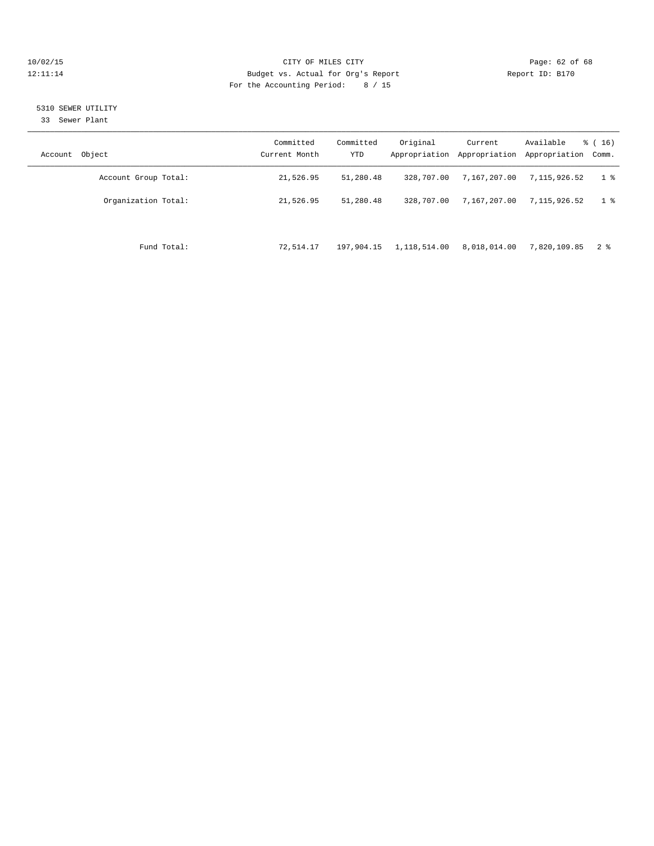## 10/02/15 **Page: 62 of 68** CITY OF MILES CITY **CITY Page: 62 of 68** 12:11:14 Budget vs. Actual for Org's Report Report ID: B170 For the Accounting Period: 8 / 15

## 5310 SEWER UTILITY

33 Sewer Plant

| Account Object       | Committed<br>Current Month | Committed<br>YTD | Original     | Current<br>Appropriation Appropriation | Available<br>Appropriation | $\frac{3}{6}$ ( 16 )<br>Comm. |
|----------------------|----------------------------|------------------|--------------|----------------------------------------|----------------------------|-------------------------------|
| Account Group Total: | 21,526.95                  | 51,280.48        | 328,707.00   | 7,167,207.00                           | 7,115,926.52               | 1 <sub>8</sub>                |
| Organization Total:  | 21,526.95                  | 51,280.48        | 328,707.00   | 7,167,207.00                           | 7.115.926.52               | 1 <sup>8</sup>                |
| Fund Total:          | 72,514.17                  | 197,904.15       | 1,118,514.00 | 8,018,014.00                           | 7,820,109.85               | 2 %                           |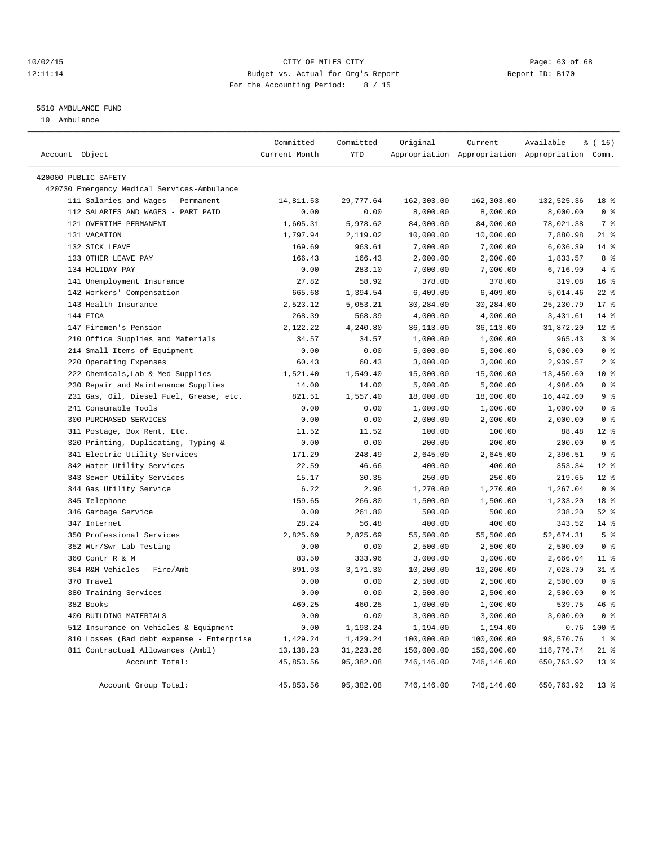## 10/02/15 **Page: 63 of 68** CITY OF MILES CITY **CITY Page: 63 of 68** 12:11:14 Budget vs. Actual for Org's Report Report ID: B170 For the Accounting Period: 8 / 15

## 5510 AMBULANCE FUND

10 Ambulance

| Account Object |                                             | Committed<br>Current Month | Committed<br><b>YTD</b> | Original   | Current    | Available<br>Appropriation Appropriation Appropriation Comm. | $*(16)$         |
|----------------|---------------------------------------------|----------------------------|-------------------------|------------|------------|--------------------------------------------------------------|-----------------|
|                | 420000 PUBLIC SAFETY                        |                            |                         |            |            |                                                              |                 |
|                | 420730 Emergency Medical Services-Ambulance |                            |                         |            |            |                                                              |                 |
|                | 111 Salaries and Wages - Permanent          | 14,811.53                  | 29,777.64               | 162,303.00 | 162,303.00 | 132,525.36                                                   | 18 %            |
|                | 112 SALARIES AND WAGES - PART PAID          | 0.00                       | 0.00                    | 8,000.00   | 8,000.00   | 8,000.00                                                     | 0 <sup>8</sup>  |
|                | 121 OVERTIME-PERMANENT                      | 1,605.31                   | 5,978.62                | 84,000.00  | 84,000.00  | 78,021.38                                                    | 7 %             |
|                | 131 VACATION                                | 1,797.94                   | 2,119.02                | 10,000.00  | 10,000.00  | 7,880.98                                                     | $21$ %          |
|                | 132 SICK LEAVE                              | 169.69                     | 963.61                  | 7,000.00   | 7,000.00   | 6,036.39                                                     | $14$ %          |
|                | 133 OTHER LEAVE PAY                         | 166.43                     | 166.43                  | 2,000.00   | 2,000.00   | 1,833.57                                                     | 8 %             |
|                | 134 HOLIDAY PAY                             | 0.00                       | 283.10                  | 7,000.00   | 7,000.00   | 6,716.90                                                     | 4%              |
|                | 141 Unemployment Insurance                  | 27.82                      | 58.92                   | 378.00     | 378.00     | 319.08                                                       | 16 <sup>°</sup> |
|                | 142 Workers' Compensation                   | 665.68                     | 1,394.54                | 6,409.00   | 6,409.00   | 5,014.46                                                     | $22$ $%$        |
|                | 143 Health Insurance                        | 2,523.12                   | 5,053.21                | 30,284.00  | 30,284.00  | 25,230.79                                                    | $17*$           |
|                | 144 FICA                                    | 268.39                     | 568.39                  | 4,000.00   | 4,000.00   | 3,431.61                                                     | $14$ %          |
|                | 147 Firemen's Pension                       | 2,122.22                   | 4,240.80                | 36,113.00  | 36,113.00  | 31,872.20                                                    | $12*$           |
|                | 210 Office Supplies and Materials           | 34.57                      | 34.57                   | 1,000.00   | 1,000.00   | 965.43                                                       | 3%              |
|                | 214 Small Items of Equipment                | 0.00                       | 0.00                    | 5,000.00   | 5,000.00   | 5,000.00                                                     | 0 <sup>8</sup>  |
|                | 220 Operating Expenses                      | 60.43                      | 60.43                   | 3,000.00   | 3,000.00   | 2,939.57                                                     | 2 <sup>°</sup>  |
|                | 222 Chemicals, Lab & Med Supplies           | 1,521.40                   | 1,549.40                | 15,000.00  | 15,000.00  | 13,450.60                                                    | $10*$           |
|                | 230 Repair and Maintenance Supplies         | 14.00                      | 14.00                   | 5,000.00   | 5,000.00   | 4,986.00                                                     | 0 <sup>8</sup>  |
|                | 231 Gas, Oil, Diesel Fuel, Grease, etc.     | 821.51                     | 1,557.40                | 18,000.00  | 18,000.00  | 16,442.60                                                    | 9%              |
|                | 241 Consumable Tools                        | 0.00                       | 0.00                    | 1,000.00   | 1,000.00   | 1,000.00                                                     | 0 <sup>8</sup>  |
|                | 300 PURCHASED SERVICES                      | 0.00                       | 0.00                    | 2,000.00   | 2,000.00   | 2,000.00                                                     | 0 <sup>8</sup>  |
|                | 311 Postage, Box Rent, Etc.                 | 11.52                      | 11.52                   | 100.00     | 100.00     | 88.48                                                        | $12*$           |
|                | 320 Printing, Duplicating, Typing &         | 0.00                       | 0.00                    | 200.00     | 200.00     | 200.00                                                       | 0 <sup>8</sup>  |
|                | 341 Electric Utility Services               | 171.29                     | 248.49                  | 2,645.00   | 2,645.00   | 2,396.51                                                     | 9%              |
|                | 342 Water Utility Services                  | 22.59                      | 46.66                   | 400.00     | 400.00     | 353.34                                                       | $12*$           |
|                | 343 Sewer Utility Services                  | 15.17                      | 30.35                   | 250.00     | 250.00     | 219.65                                                       | $12*$           |
|                | 344 Gas Utility Service                     | 6.22                       | 2.96                    | 1,270.00   | 1,270.00   | 1,267.04                                                     | 0 <sup>8</sup>  |
|                | 345 Telephone                               | 159.65                     | 266.80                  | 1,500.00   | 1,500.00   | 1,233.20                                                     | 18 %            |
|                | 346 Garbage Service                         | 0.00                       | 261.80                  | 500.00     | 500.00     | 238.20                                                       | $52$ $%$        |
|                | 347 Internet                                | 28.24                      | 56.48                   | 400.00     | 400.00     | 343.52                                                       | $14$ %          |
|                | 350 Professional Services                   | 2,825.69                   | 2,825.69                | 55,500.00  | 55,500.00  | 52,674.31                                                    | 5 <sup>°</sup>  |
|                | 352 Wtr/Swr Lab Testing                     | 0.00                       | 0.00                    | 2,500.00   | 2,500.00   | 2,500.00                                                     | 0 <sup>8</sup>  |
|                | 360 Contr R & M                             | 83.50                      | 333.96                  | 3,000.00   | 3,000.00   | 2,666.04                                                     | $11$ %          |
|                | 364 R&M Vehicles - Fire/Amb                 | 891.93                     | 3,171.30                | 10,200.00  | 10,200.00  | 7,028.70                                                     | $31$ %          |
|                | 370 Travel                                  | 0.00                       | 0.00                    | 2,500.00   | 2,500.00   | 2,500.00                                                     | 0 <sup>8</sup>  |
|                | 380 Training Services                       | 0.00                       | 0.00                    | 2,500.00   | 2,500.00   | 2,500.00                                                     | 0 <sup>8</sup>  |
|                | 382 Books                                   | 460.25                     | 460.25                  | 1,000.00   | 1,000.00   | 539.75                                                       | 46%             |
|                | 400 BUILDING MATERIALS                      | 0.00                       | 0.00                    | 3,000.00   | 3,000.00   | 3,000.00                                                     | 0 <sup>8</sup>  |
|                | 512 Insurance on Vehicles & Equipment       | 0.00                       | 1,193.24                | 1,194.00   | 1,194.00   | 0.76                                                         | 100 %           |
|                | 810 Losses (Bad debt expense - Enterprise   | 1,429.24                   | 1,429.24                | 100,000.00 | 100,000.00 | 98,570.76                                                    | 1 <sup>8</sup>  |
|                | 811 Contractual Allowances (Ambl)           | 13, 138. 23                | 31, 223. 26             | 150,000.00 | 150,000.00 | 118,776.74                                                   | $21$ %          |
|                | Account Total:                              | 45,853.56                  | 95,382.08               | 746,146.00 | 746,146.00 | 650,763.92                                                   | $13*$           |
|                | Account Group Total:                        | 45,853.56                  | 95,382.08               | 746,146.00 | 746,146.00 | 650,763.92                                                   | 13 <sub>8</sub> |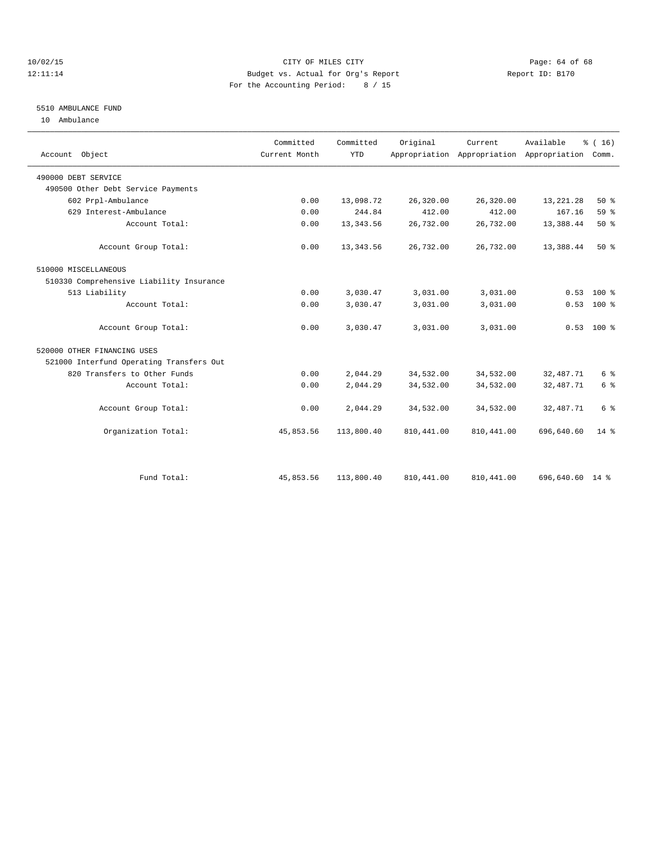## 10/02/15 **Page: 64 of 68** CITY OF MILES CITY **CITY** Page: 64 of 68 12:11:14 Budget vs. Actual for Org's Report Report ID: B170 For the Accounting Period: 8 / 15

## 5510 AMBULANCE FUND

10 Ambulance

| Account Object                           | Committed<br>Current Month | Committed<br><b>YTD</b> | Original    | Current     | Available<br>Appropriation Appropriation Appropriation | % (16)<br>Comm. |
|------------------------------------------|----------------------------|-------------------------|-------------|-------------|--------------------------------------------------------|-----------------|
| 490000 DEBT SERVICE                      |                            |                         |             |             |                                                        |                 |
| 490500 Other Debt Service Payments       |                            |                         |             |             |                                                        |                 |
| 602 Prpl-Ambulance                       | 0.00                       | 13,098.72               | 26,320.00   | 26,320.00   | 13, 221. 28                                            | $50*$           |
| 629 Interest-Ambulance                   | 0.00                       | 244.84                  | 412.00      | 412.00      | 167.16                                                 | 59%             |
| Account Total:                           | 0.00                       | 13, 343.56              | 26,732.00   | 26,732.00   | 13,388.44                                              | 50%             |
| Account Group Total:                     | 0.00                       | 13, 343.56              | 26,732.00   | 26,732.00   | 13,388.44                                              | $50*$           |
| 510000 MISCELLANEOUS                     |                            |                         |             |             |                                                        |                 |
| 510330 Comprehensive Liability Insurance |                            |                         |             |             |                                                        |                 |
| 513 Liability                            | 0.00                       | 3,030.47                | 3,031.00    | 3,031.00    | 0.53                                                   | $100*$          |
| Account Total:                           | 0.00                       | 3,030.47                | 3,031.00    | 3,031.00    | 0.53                                                   | $100*$          |
| Account Group Total:                     | 0.00                       | 3,030.47                | 3,031.00    | 3,031.00    |                                                        | $0.53$ 100 %    |
| 520000 OTHER FINANCING USES              |                            |                         |             |             |                                                        |                 |
| 521000 Interfund Operating Transfers Out |                            |                         |             |             |                                                        |                 |
| 820 Transfers to Other Funds             | 0.00                       | 2,044.29                | 34,532.00   | 34,532.00   | 32, 487. 71                                            | 6 %             |
| Account Total:                           | 0.00                       | 2,044.29                | 34,532.00   | 34,532.00   | 32, 487. 71                                            | 6 <sup>°</sup>  |
| Account Group Total:                     | 0.00                       | 2,044.29                | 34,532.00   | 34,532.00   | 32, 487. 71                                            | 6 %             |
| Organization Total:                      | 45,853.56                  | 113,800.40              | 810, 441.00 | 810, 441.00 | 696,640.60                                             | $14*$           |
|                                          |                            |                         |             |             |                                                        |                 |
| Fund Total:                              | 45,853.56                  | 113,800.40              | 810, 441.00 | 810, 441.00 | 696,640.60 14 %                                        |                 |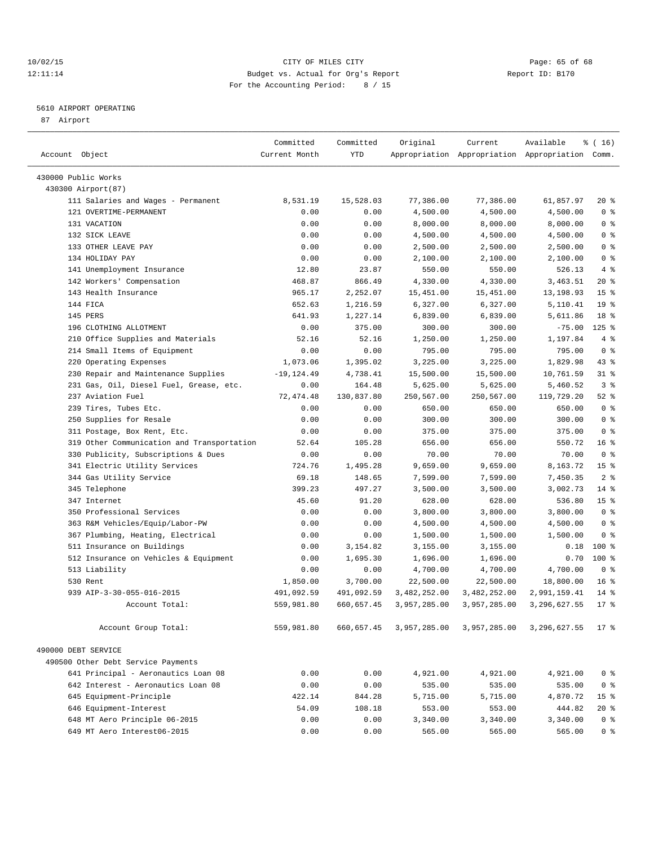## 10/02/15 **Page: 65 of 68** CITY OF MILES CITY **CITY Page: 65 of 68** 12:11:14 Budget vs. Actual for Org's Report Report ID: B170 For the Accounting Period: 8 / 15

————————————————————————————————————————————————————————————————————————————————————————————————————————————————————————————————————

## 5610 AIRPORT OPERATING

87 Airport

|                                            | Committed     | Committed  | Original     | Current      | Available                                       | ៖ ( 16)         |
|--------------------------------------------|---------------|------------|--------------|--------------|-------------------------------------------------|-----------------|
| Account Object                             | Current Month | YTD        |              |              | Appropriation Appropriation Appropriation Comm. |                 |
|                                            |               |            |              |              |                                                 |                 |
| 430000 Public Works                        |               |            |              |              |                                                 |                 |
| 430300 Airport (87)                        |               |            |              |              |                                                 |                 |
| 111 Salaries and Wages - Permanent         | 8,531.19      | 15,528.03  | 77,386.00    | 77,386.00    | 61,857.97                                       | $20*$           |
| 121 OVERTIME-PERMANENT                     | 0.00          | 0.00       | 4,500.00     | 4,500.00     | 4,500.00                                        | 0 <sup>8</sup>  |
| 131 VACATION                               | 0.00          | 0.00       | 8,000.00     | 8,000.00     | 8,000.00                                        | 0 <sup>8</sup>  |
| 132 SICK LEAVE                             | 0.00          | 0.00       | 4,500.00     | 4,500.00     | 4,500.00                                        | 0 <sup>8</sup>  |
| 133 OTHER LEAVE PAY                        | 0.00          | 0.00       | 2,500.00     | 2,500.00     | 2,500.00                                        | 0 <sup>8</sup>  |
| 134 HOLIDAY PAY                            | 0.00          | 0.00       | 2,100.00     | 2,100.00     | 2,100.00                                        | 0 <sup>8</sup>  |
| 141 Unemployment Insurance                 | 12.80         | 23.87      | 550.00       | 550.00       | 526.13                                          | 4%              |
| 142 Workers' Compensation                  | 468.87        | 866.49     | 4,330.00     | 4,330.00     | 3,463.51                                        | 20%             |
| 143 Health Insurance                       | 965.17        | 2,252.07   | 15,451.00    | 15,451.00    | 13,198.93                                       | 15 <sup>°</sup> |
| 144 FICA                                   | 652.63        | 1,216.59   | 6,327.00     | 6,327.00     | 5,110.41                                        | 19 <sup>°</sup> |
| 145 PERS                                   | 641.93        | 1,227.14   | 6,839.00     | 6,839.00     | 5,611.86                                        | 18 <sup>8</sup> |
| 196 CLOTHING ALLOTMENT                     | 0.00          | 375.00     | 300.00       | 300.00       | $-75.00$                                        | $125$ %         |
| 210 Office Supplies and Materials          | 52.16         | 52.16      | 1,250.00     | 1,250.00     | 1,197.84                                        | 4%              |
| 214 Small Items of Equipment               | 0.00          | 0.00       | 795.00       | 795.00       | 795.00                                          | 0 <sup>8</sup>  |
| 220 Operating Expenses                     | 1,073.06      | 1,395.02   | 3,225.00     | 3,225.00     | 1,829.98                                        | $43$ $%$        |
| 230 Repair and Maintenance Supplies        | $-19, 124.49$ | 4,738.41   | 15,500.00    | 15,500.00    | 10,761.59                                       | $31$ %          |
| 231 Gas, Oil, Diesel Fuel, Grease, etc.    | 0.00          | 164.48     | 5,625.00     | 5,625.00     | 5,460.52                                        | 3 <sup>8</sup>  |
| 237 Aviation Fuel                          | 72, 474.48    | 130,837.80 | 250,567.00   | 250,567.00   | 119,729.20                                      | $52$ $%$        |
| 239 Tires, Tubes Etc.                      | 0.00          | 0.00       | 650.00       | 650.00       | 650.00                                          | 0 <sup>8</sup>  |
| 250 Supplies for Resale                    | 0.00          | 0.00       | 300.00       | 300.00       | 300.00                                          | 0 <sup>8</sup>  |
| 311 Postage, Box Rent, Etc.                | 0.00          | 0.00       | 375.00       | 375.00       | 375.00                                          | 0 <sup>8</sup>  |
| 319 Other Communication and Transportation | 52.64         | 105.28     | 656.00       | 656.00       | 550.72                                          | 16 <sup>8</sup> |
| 330 Publicity, Subscriptions & Dues        | 0.00          | 0.00       | 70.00        | 70.00        | 70.00                                           | 0 <sup>8</sup>  |
| 341 Electric Utility Services              | 724.76        | 1,495.28   | 9,659.00     | 9,659.00     | 8,163.72                                        | 15 <sup>°</sup> |
| 344 Gas Utility Service                    | 69.18         | 148.65     | 7,599.00     | 7,599.00     | 7,450.35                                        | 2 <sup>°</sup>  |
| 345 Telephone                              | 399.23        | 497.27     | 3,500.00     | 3,500.00     | 3,002.73                                        | $14*$           |
| 347 Internet                               | 45.60         | 91.20      | 628.00       | 628.00       | 536.80                                          | 15 <sup>8</sup> |
| 350 Professional Services                  | 0.00          | 0.00       | 3,800.00     | 3,800.00     | 3,800.00                                        | 0 <sup>8</sup>  |
| 363 R&M Vehicles/Equip/Labor-PW            | 0.00          | 0.00       | 4,500.00     | 4,500.00     | 4,500.00                                        | 0 <sup>8</sup>  |
| 367 Plumbing, Heating, Electrical          | 0.00          | 0.00       | 1,500.00     | 1,500.00     | 1,500.00                                        | 0 <sup>8</sup>  |
| 511 Insurance on Buildings                 | 0.00          | 3,154.82   | 3,155.00     | 3,155.00     | 0.18                                            | $100$ %         |
| 512 Insurance on Vehicles & Equipment      | 0.00          | 1,695.30   | 1,696.00     | 1,696.00     | 0.70                                            | 100 %           |
| 513 Liability                              | 0.00          | 0.00       | 4,700.00     | 4,700.00     | 4,700.00                                        | 0 <sup>8</sup>  |
| 530 Rent                                   | 1,850.00      | 3,700.00   | 22,500.00    | 22,500.00    | 18,800.00                                       | $16*$           |
| 939 AIP-3-30-055-016-2015                  | 491,092.59    | 491,092.59 | 3,482,252.00 | 3,482,252.00 | 2,991,159.41                                    | $14*$           |
| Account Total:                             | 559,981.80    | 660,657.45 | 3,957,285.00 | 3,957,285.00 | 3, 296, 627.55                                  | $17$ %          |
| Account Group Total:                       | 559,981.80    | 660,657.45 | 3,957,285.00 | 3,957,285.00 | 3,296,627.55                                    | 17 <sub>8</sub> |
| 490000 DEBT SERVICE                        |               |            |              |              |                                                 |                 |
| 490500 Other Debt Service Payments         |               |            |              |              |                                                 |                 |
| 641 Principal - Aeronautics Loan 08        | 0.00          | 0.00       | 4,921.00     | 4,921.00     | 4,921.00                                        | 0 <sup>8</sup>  |
| 642 Interest - Aeronautics Loan 08         | 0.00          | 0.00       | 535.00       | 535.00       | 535.00                                          | 0 <sup>8</sup>  |
| 645 Equipment-Principle                    | 422.14        | 844.28     | 5,715.00     | 5,715.00     | 4,870.72                                        | 15 <sup>°</sup> |
| 646 Equipment-Interest                     | 54.09         | 108.18     | 553.00       | 553.00       | 444.82                                          | $20*$           |
| 648 MT Aero Principle 06-2015              | 0.00          | 0.00       | 3,340.00     | 3,340.00     | 3,340.00                                        | 0 <sup>8</sup>  |
| 649 MT Aero Interest06-2015                | 0.00          | 0.00       | 565.00       | 565.00       | 565.00                                          | 0 <sup>8</sup>  |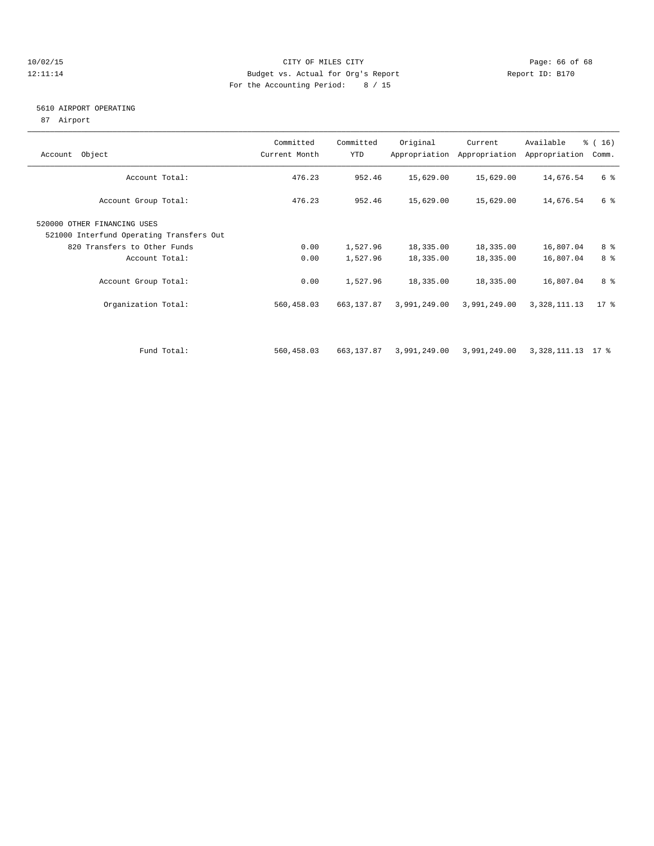## 10/02/15 **Page: 66 of 68** CITY OF MILES CITY **CITY** Page: 66 of 68 12:11:14 Budget vs. Actual for Org's Report Report ID: B170 For the Accounting Period: 8 / 15

## 5610 AIRPORT OPERATING

87 Airport

| Account Object                                                                                                            | Committed<br>Current Month | Committed<br>YTD     | Original               | Current<br>Appropriation Appropriation | Available<br>Appropriation | $\frac{3}{6}$ ( 16 )<br>Comm. |
|---------------------------------------------------------------------------------------------------------------------------|----------------------------|----------------------|------------------------|----------------------------------------|----------------------------|-------------------------------|
| Account Total:                                                                                                            | 476.23                     | 952.46               | 15,629.00              | 15,629.00                              | 14,676.54                  | 6 %                           |
| Account Group Total:                                                                                                      | 476.23                     | 952.46               | 15,629.00              | 15,629.00                              | 14,676.54                  | 6 %                           |
| 520000 OTHER FINANCING USES<br>521000 Interfund Operating Transfers Out<br>820 Transfers to Other Funds<br>Account Total: | 0.00<br>0.00               | 1,527.96<br>1,527.96 | 18,335.00<br>18,335.00 | 18,335.00<br>18,335.00                 | 16,807.04<br>16,807.04     | 8 %<br>8 %                    |
| Account Group Total:                                                                                                      | 0.00                       | 1,527.96             | 18,335.00              | 18,335.00                              | 16,807.04                  | 8 %                           |
| Organization Total:                                                                                                       | 560,458.03                 | 663,137.87           | 3,991,249.00           | 3,991,249.00                           | 3, 328, 111. 13            | $17*$                         |
| Fund Total:                                                                                                               | 560,458.03                 | 663,137.87           | 3,991,249.00           | 3,991,249.00                           | 3,328,111.13 17 %          |                               |